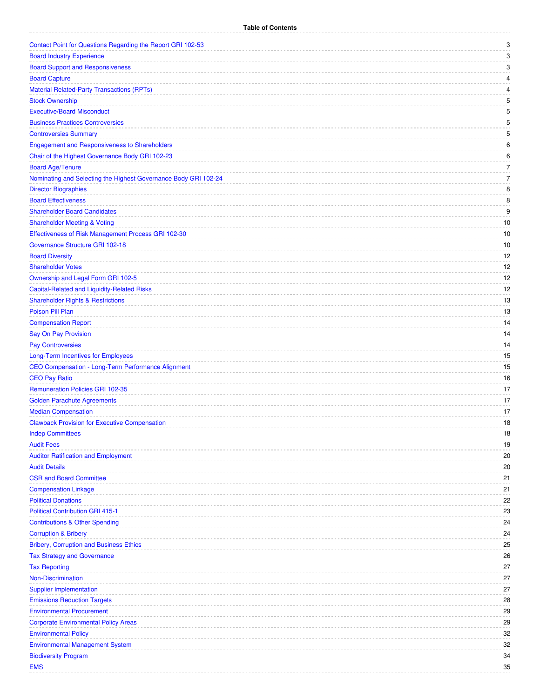|                                                                 | 3              |
|-----------------------------------------------------------------|----------------|
| Contact Point for Questions Regarding the Report GRI 102-53     | 3              |
| <b>Board Industry Experience</b>                                | 3              |
| <b>Board Support and Responsiveness</b>                         |                |
| <b>Board Capture</b>                                            | 4              |
| <b>Material Related-Party Transactions (RPTs)</b>               | $\overline{4}$ |
| <b>Stock Ownership</b>                                          | 5              |
| <b>Executive/Board Misconduct</b>                               | 5              |
| <b>Business Practices Controversies</b>                         | 5              |
| <b>Controversies Summary</b>                                    | 5              |
| <b>Engagement and Responsiveness to Shareholders</b>            | 6              |
| Chair of the Highest Governance Body GRI 102-23                 | 6              |
| <b>Board Age/Tenure</b>                                         | 7              |
| Nominating and Selecting the Highest Governance Body GRI 102-24 | 7              |
| <b>Director Biographies</b>                                     | 8              |
| <b>Board Effectiveness</b>                                      | 8              |
| <b>Shareholder Board Candidates</b>                             | 9              |
| <b>Shareholder Meeting &amp; Voting</b>                         | 10             |
| Effectiveness of Risk Management Process GRI 102-30             | 10             |
| Governance Structure GRI 102-18                                 | 10             |
| <b>Board Diversity</b>                                          | 12             |
| <b>Shareholder Votes</b>                                        | 12             |
| Ownership and Legal Form GRI 102-5                              | 12             |
| <b>Capital-Related and Liquidity-Related Risks</b>              | 12             |
| <b>Shareholder Rights &amp; Restrictions</b>                    | 13             |
| Poison Pill Plan                                                | 13             |
| <b>Compensation Report</b>                                      | 14             |
| Say On Pay Provision                                            | 14             |
| <b>Pay Controversies</b>                                        | 14             |
| <b>Long-Term Incentives for Employees</b>                       | 15             |
| CEO Compensation - Long-Term Performance Alignment              | 15             |
| <b>CEO Pay Ratio</b>                                            | 16             |
| <b>Remuneration Policies GRI 102-35</b>                         | 17             |
| <b>Golden Parachute Agreements</b>                              | 17             |
| <b>Median Compensation</b>                                      | 17             |
| <b>Clawback Provision for Executive Compensation</b>            | 18             |
| <b>Indep Committees</b>                                         | 18             |
| <b>Audit Fees</b>                                               | 19             |
| <b>Auditor Ratification and Employment</b>                      | 20             |
| <b>Audit Details</b>                                            | 20             |
| <b>CSR and Board Committee</b>                                  |                |
|                                                                 | 21             |
| <b>Compensation Linkage</b>                                     | 21             |
| <b>Political Donations</b>                                      | 22             |
| <b>Political Contribution GRI 415-1</b>                         | 23             |
| <b>Contributions &amp; Other Spending</b>                       | 24             |
| <b>Corruption &amp; Bribery</b>                                 | 24             |
| <b>Bribery, Corruption and Business Ethics</b>                  | 25             |
| <b>Tax Strategy and Governance</b>                              | 26             |
| <b>Tax Reporting</b>                                            | 27             |
| <b>Non-Discrimination</b>                                       | 27             |
| <b>Supplier Implementation</b>                                  | 27             |
| <b>Emissions Reduction Targets</b>                              | 28             |
| <b>Environmental Procurement</b>                                | 29             |
| <b>Corporate Environmental Policy Areas</b>                     | 29             |
| <b>Environmental Policy</b>                                     | 32             |
| <b>Environmental Management System</b>                          | 32             |
| <b>Biodiversity Program</b>                                     | 34             |
| <b>EMS</b>                                                      | 35             |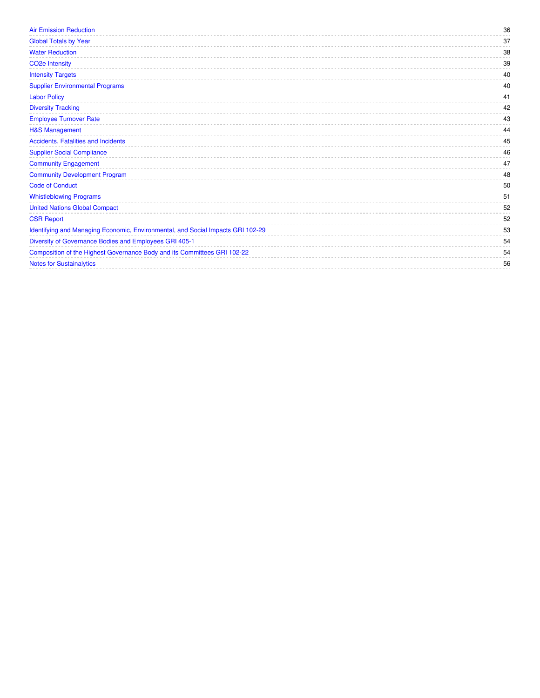| <b>Air Emission Reduction</b>                                                   | 36 |
|---------------------------------------------------------------------------------|----|
| <b>Global Totals by Year</b>                                                    | 37 |
| <b>Water Reduction</b>                                                          | 38 |
| CO <sub>2</sub> e Intensity                                                     | 39 |
| <b>Intensity Targets</b>                                                        | 40 |
| <b>Supplier Environmental Programs</b>                                          | 40 |
| <b>Labor Policy</b>                                                             | 41 |
| <b>Diversity Tracking</b>                                                       | 42 |
| <b>Employee Turnover Rate</b>                                                   | 43 |
| <b>H&amp;S Management</b>                                                       | 44 |
| Accidents, Fatalities and Incidents                                             | 45 |
| <b>Supplier Social Compliance</b>                                               | 46 |
| <b>Community Engagement</b>                                                     | 47 |
| <b>Community Development Program</b>                                            | 48 |
| <b>Code of Conduct</b>                                                          | 50 |
| <b>Whistleblowing Programs</b>                                                  | 51 |
| <b>United Nations Global Compact</b>                                            | 52 |
| <b>CSR Report</b>                                                               | 52 |
| Identifying and Managing Economic, Environmental, and Social Impacts GRI 102-29 | 53 |
| Diversity of Governance Bodies and Employees GRI 405-1                          | 54 |
| Composition of the Highest Governance Body and its Committees GRI 102-22        | 54 |
| <b>Notes for Sustainalytics</b>                                                 | 56 |
|                                                                                 |    |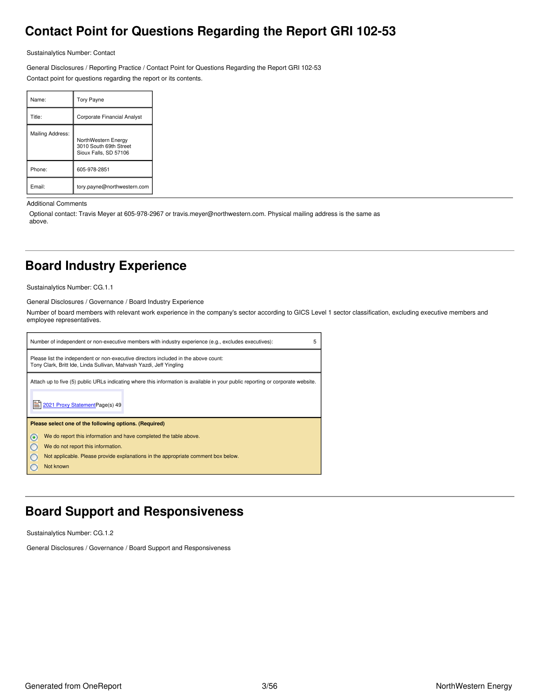# <span id="page-2-0"></span>**Contact Point for Questions Regarding the Report GRI 102-53**

Sustainalytics Number: Contact

General Disclosures / Reporting Practice / Contact Point for Questions Regarding the Report GRI 102-53 Contact point for questions regarding the report or its contents.

| Name:            | <b>Tory Payne</b>                                                      |
|------------------|------------------------------------------------------------------------|
| Title:           | <b>Corporate Financial Analyst</b>                                     |
| Mailing Address: | NorthWestern Energy<br>3010 South 69th Street<br>Sioux Falls, SD 57106 |
| Phone:           | 605-978-2851                                                           |
| Email:           | tory.payne@northwestern.com                                            |

### Additional Comments

Optional contact: Travis Meyer at 605-978-2967 or travis.meyer@northwestern.com. Physical mailing address is the same as above.

### <span id="page-2-1"></span>**Board Industry Experience**

Sustainalytics Number: CG.1.1

General Disclosures / Governance / Board Industry Experience

Number of board members with relevant work experience in the company's sector according to GICS Level 1 sector classification, excluding executive members and employee representatives.

| Number of independent or non-executive members with industry experience (e.g., excludes executives):                                                                                                                                                                           | 5 |
|--------------------------------------------------------------------------------------------------------------------------------------------------------------------------------------------------------------------------------------------------------------------------------|---|
| Please list the independent or non-executive directors included in the above count:<br>Tony Clark, Britt Ide, Linda Sullivan, Mahvash Yazdi, Jeff Yingling                                                                                                                     |   |
| Attach up to five (5) public URLs indicating where this information is available in your public reporting or corporate website.<br>2021 Proxy Statement Page(s) 49                                                                                                             |   |
| Please select one of the following options. (Required)<br>We do report this information and have completed the table above.<br>$\circ$<br>We do not report this information.<br>Not applicable. Please provide explanations in the appropriate comment box below.<br>Not known |   |

# <span id="page-2-2"></span>**Board Support and Responsiveness**

Sustainalytics Number: CG.1.2

General Disclosures / Governance / Board Support and Responsiveness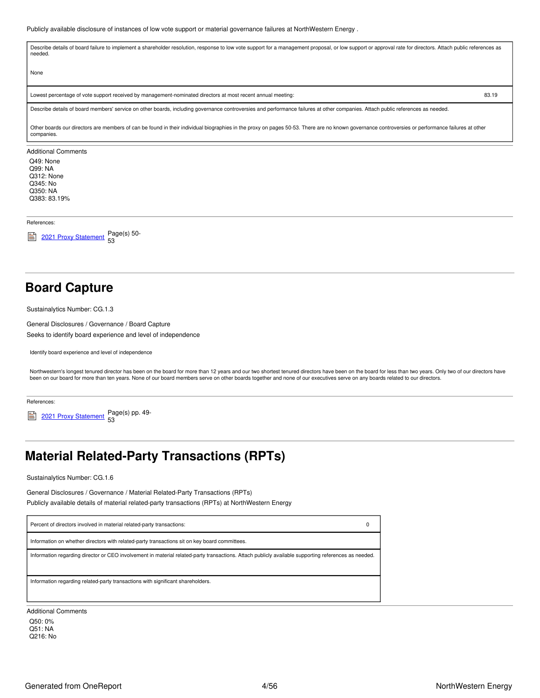Publicly available disclosure of instances of low vote support or material governance failures at NorthWestern Energy .

Describe details of board failure to implement a shareholder resolution, response to low vote support for a management proposal, or low support or approval rate for directors. Attach public references as needed. None Lowest percentage of vote support received by management-nominated directors at most recent annual meeting: 83.19 Describe details of board members' service on other boards, including governance controversies and performance failures at other companies. Attach public references as needed. Other boards our directors are members of can be found in their individual biographies in the proxy on pages 50-53. There are no known governance controversies or performance failures at other companies. Additional Comments Q49: None Q99: NA

Q312: None Q345: No Q350: NA Q383: 83.19%

References:

2021 Proxy [Statement](https://www.northwesternenergy.com/docs/default-source/documents/proxy/2021-Proxy-Statement-Final.pdf) Page(s) 50-53

### <span id="page-3-0"></span>**Board Capture**

Sustainalytics Number: CG.1.3

General Disclosures / Governance / Board Capture

Seeks to identify board experience and level of independence

Identify board experience and level of independence

Northwestern's longest tenured director has been on the board for more than 12 years and our two shortest tenured directors have been on the board for less than two years. Only two of our directors have been on our board for more than ten years. None of our board members serve on other boards together and none of our executives serve on any boards related to our directors.

References:

2021 Proxy [Statement](https://www.northwesternenergy.com/docs/default-source/documents/proxy/2021-Proxy-Statement-Final.pdf) Page(s) pp. 49-53

### <span id="page-3-1"></span>**Material Related-Party Transactions (RPTs)**

Sustainalytics Number: CG.1.6

General Disclosures / Governance / Material Related-Party Transactions (RPTs) Publicly available details of material related-party transactions (RPTs) at NorthWestern Energy

Percent of directors involved in material related-party transactions: 0 Information on whether directors with related-party transactions sit on key board committees. Information regarding director or CEO involvement in material related-party transactions. Attach publicly available supporting references as needed. Information regarding related-party transactions with significant shareholders.

Additional Comments

Q50: 0%  $O<sub>51</sub>·NA$ Q216: No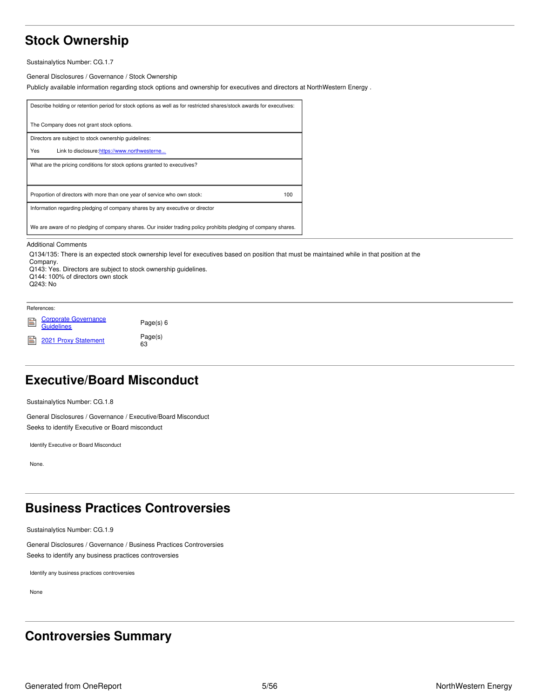# <span id="page-4-0"></span>**Stock Ownership**

Sustainalytics Number: CG.1.7

General Disclosures / Governance / Stock Ownership

Publicly available information regarding stock options and ownership for executives and directors at NorthWestern Energy .

| Describe holding or retention period for stock options as well as for restricted shares/stock awards for executives: |  |  |
|----------------------------------------------------------------------------------------------------------------------|--|--|
| The Company does not grant stock options.                                                                            |  |  |
| Directors are subject to stock ownership quidelines:                                                                 |  |  |
| Yes<br>Link to disclosure:https://www.northwesterne                                                                  |  |  |
| What are the pricing conditions for stock options granted to executives?                                             |  |  |
|                                                                                                                      |  |  |
| Proportion of directors with more than one year of service who own stock:<br>100                                     |  |  |
| Information regarding pledging of company shares by any executive or director                                        |  |  |
| We are aware of no pledging of company shares. Our insider trading policy prohibits pledging of company shares.      |  |  |

#### Additional Comments

Q134/135: There is an expected stock ownership level for executives based on position that must be maintained while in that position at the

Company. Q143: Yes. Directors are subject to stock ownership guidelines. Q144: 100% of directors own stock Q243: No

References:

Corporate [Governance](https://www.northwesternenergy.com/docs/default-source/default-document-library/about-us/investors/governance/corporate-governance-guidelines-2020-10-01.pdf?sfvrsn=5fc87b78_9) B Guidelines 2021 Proxy [Statement](https://www.northwesternenergy.com/docs/default-source/documents/proxy/2021-Proxy-Statement-Final.pdf)

Page(s) 6

Page(s) 63

### <span id="page-4-1"></span>**Executive/Board Misconduct**

Sustainalytics Number: CG.1.8

General Disclosures / Governance / Executive/Board Misconduct Seeks to identify Executive or Board misconduct

Identify Executive or Board Misconduct

None.

## <span id="page-4-2"></span>**Business Practices Controversies**

Sustainalytics Number: CG.1.9

General Disclosures / Governance / Business Practices Controversies Seeks to identify any business practices controversies

Identify any business practices controversies

None

# <span id="page-4-3"></span>**Controversies Summary**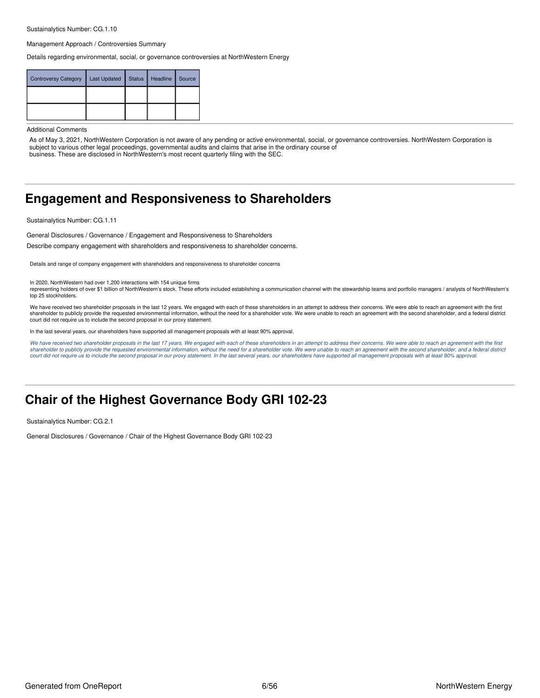#### Sustainalytics Number: CG.1.10

Management Approach / Controversies Summary

Details regarding environmental, social, or governance controversies at NorthWestern Energy

| <b>Controversy Category</b> | <b>Last Updated</b> | <b>Status</b> | Headline | <b>Source</b> |
|-----------------------------|---------------------|---------------|----------|---------------|
|                             |                     |               |          |               |
|                             |                     |               |          |               |

#### Additional Comments

As of May 3, 2021, NorthWestern Corporation is not aware of any pending or active environmental, social, or governance controversies. NorthWestern Corporation is subject to various other legal proceedings, governmental audits and claims that arise in the ordinary course of business. These are disclosed in NorthWestern's most recent quarterly filing with the SEC.

<span id="page-5-0"></span>**Engagement and Responsiveness to Shareholders**

Sustainalytics Number: CG.1.11

General Disclosures / Governance / Engagement and Responsiveness to Shareholders

Describe company engagement with shareholders and responsiveness to shareholder concerns.

Details and range of company engagement with shareholders and responsiveness to shareholder concerns

In 2020, NorthWestern had over 1,200 interactions with 154 unique firms

representing holders of over \$1 billion of NorthWestern's stock. These efforts included establishing a communication channel with the stewardship teams and portfolio managers / analysts of NorthWestern's top 25 stockholders.

We have received two shareholder proposals in the last 12 years. We engaged with each of these shareholders in an attempt to address their concerns. We were able to reach an agreement with the first shareholder to publicly provide the requested environmental information, without the need for a shareholder vote. We were unable to reach an agreement with the second shareholder, and a federal district court did not require us to include the second proposal in our proxy statement.

In the last several years, our shareholders have supported all management proposals with at least 90% approval.

We have received two shareholder proposals in the last 17 years. We engaged with each of these shareholders in an attempt to address their concerns. We were able to reach an agreement with the first shareholder to publicly provide the requested environmental information, without the need for a shareholder vote. We were unable to reach an agreement with the second shareholder, and a federal district court did not require us to include the second proposal in our proxy statement. In the last several years, our shareholders have supported all management proposals with at least 90% approval.

### <span id="page-5-1"></span>**Chair of the Highest Governance Body GRI 102-23**

Sustainalytics Number: CG.2.1

General Disclosures / Governance / Chair of the Highest Governance Body GRI 102-23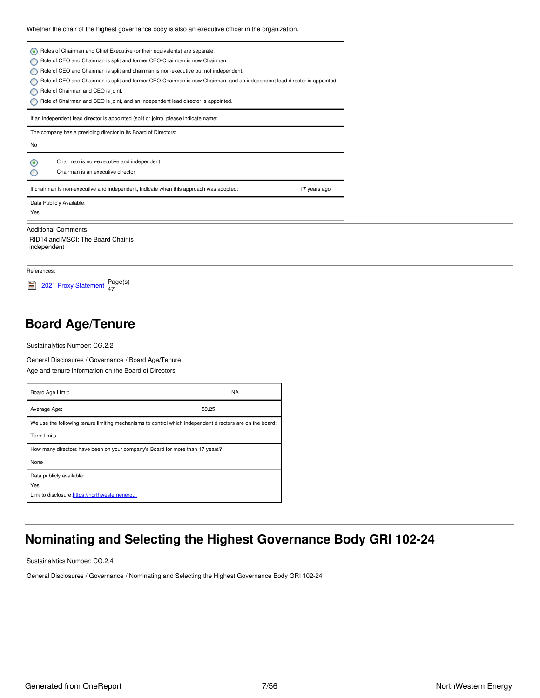Whether the chair of the highest governance body is also an executive officer in the organization.

| Roles of Chairman and Chief Executive (or their equivalents) are separate.<br>۰                                           |
|---------------------------------------------------------------------------------------------------------------------------|
| Role of CEO and Chairman is split and former CEO-Chairman is now Chairman.                                                |
| Role of CEO and Chairman is split and chairman is non-executive but not independent.                                      |
| Role of CEO and Chairman is split and former CEO-Chairman is now Chairman, and an independent lead director is appointed. |
| Role of Chairman and CEO is joint.                                                                                        |
| Role of Chairman and CEO is joint, and an independent lead director is appointed.                                         |
| If an independent lead director is appointed (split or joint), please indicate name:                                      |
| The company has a presiding director in its Board of Directors:                                                           |
| No                                                                                                                        |
| Chairman is non-executive and independent<br>◉                                                                            |
| Chairman is an executive director                                                                                         |
| If chairman is non-executive and independent, indicate when this approach was adopted:<br>17 years ago                    |
| Data Publicly Available:                                                                                                  |
| Yes                                                                                                                       |
|                                                                                                                           |

Additional Comments RID14 and MSCI: The Board Chair is independent

References:



## <span id="page-6-0"></span>**Board Age/Tenure**

Sustainalytics Number: CG.2.2

General Disclosures / Governance / Board Age/Tenure

Age and tenure information on the Board of Directors

| Board Age Limit:                                                                                                        | <b>NA</b> |
|-------------------------------------------------------------------------------------------------------------------------|-----------|
| Average Age:                                                                                                            | 59.25     |
| We use the following tenure limiting mechanisms to control which independent directors are on the board:<br>Term limits |           |
| How many directors have been on your company's Board for more than 17 years?<br>None                                    |           |
| Data publicly available:<br>Yes<br>Link to disclosure: https://northwesternenerg                                        |           |

# <span id="page-6-1"></span>**Nominating and Selecting the Highest Governance Body GRI 102-24**

Sustainalytics Number: CG.2.4

General Disclosures / Governance / Nominating and Selecting the Highest Governance Body GRI 102-24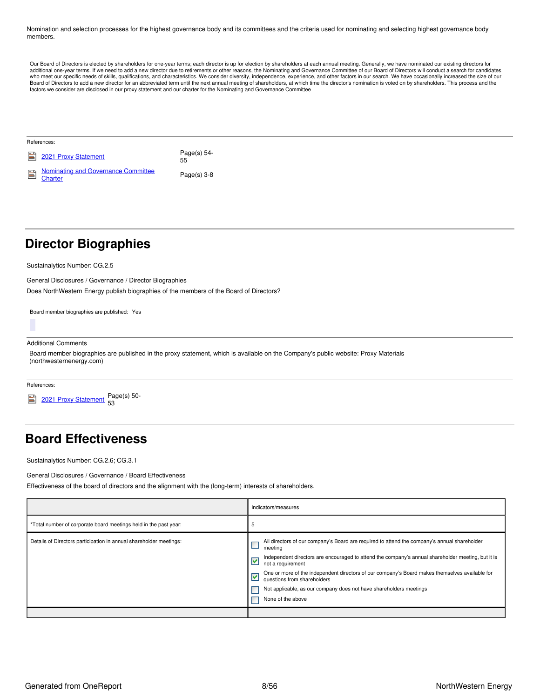Nomination and selection processes for the highest governance body and its committees and the criteria used for nominating and selecting highest governance body members.

Our Board of Directors is elected by shareholders for one-year terms; each director is up for election by shareholders at each annual meeting. Generally, we have nominated our existing directors for<br>additional one-year ter who meet our specific needs of skills, qualifications, and characteristics. We consider diversity, independence, experience, and other factors in our search. We have occasionally increased the size of our Board of Directors to add a new director for an abbreviated term until the next annual meeting of shareholders, at which time the director's nomination is voted on by shareholders. This process and the factors we consider are disclosed in our proxy statement and our charter for the Nominating and Governance Committee

| References:                         |                   |
|-------------------------------------|-------------------|
| <b>■ 2021 Proxy Statement</b>       | Page(s) 54-<br>55 |
| Nominating and Governance Committee | Page $(s)$ 3-8    |

# <span id="page-7-0"></span>**Director Biographies**

Sustainalytics Number: CG.2.5

General Disclosures / Governance / Director Biographies Does NorthWestern Energy publish biographies of the members of the Board of Directors?

Board member biographies are published: Yes

### Additional Comments

Board member biographies are published in the proxy statement, which is available on the Company's public website: Proxy Materials (northwesternenergy.com)

References:



### <span id="page-7-1"></span>**Board Effectiveness**

Sustainalytics Number: CG.2.6; CG.3.1

General Disclosures / Governance / Board Effectiveness

Effectiveness of the board of directors and the alignment with the (long-term) interests of shareholders.

|                                                                    | Indicators/measures                                                                                                                                |
|--------------------------------------------------------------------|----------------------------------------------------------------------------------------------------------------------------------------------------|
| *Total number of corporate board meetings held in the past year:   |                                                                                                                                                    |
| Details of Directors participation in annual shareholder meetings: | All directors of our company's Board are required to attend the company's annual shareholder<br>meeting                                            |
|                                                                    | Independent directors are encouraged to attend the company's annual shareholder meeting, but it is<br>$\blacktriangledown$<br>not a requirement    |
|                                                                    | One or more of the independent directors of our company's Board makes themselves available for questions from shareholders<br>$\blacktriangledown$ |
|                                                                    | Not applicable, as our company does not have shareholders meetings                                                                                 |
|                                                                    | None of the above                                                                                                                                  |
|                                                                    |                                                                                                                                                    |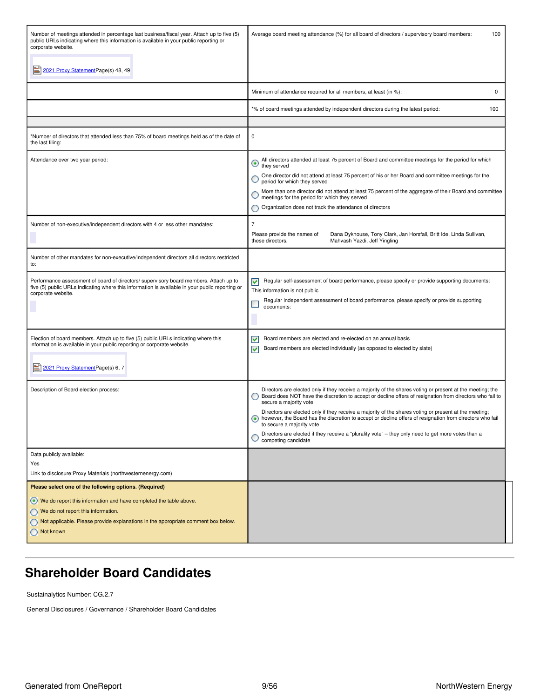| Number of meetings attended in percentage last business/fiscal year. Attach up to five (5)<br>public URLs indicating where this information is available in your public reporting or<br>corporate website.<br>2021 Proxy Statement Page(s) 48, 49                   | Average board meeting attendance (%) for all board of directors / supervisory board members:<br>100                                                                                                                                                                                                                                                                                                                                                                                  |
|---------------------------------------------------------------------------------------------------------------------------------------------------------------------------------------------------------------------------------------------------------------------|--------------------------------------------------------------------------------------------------------------------------------------------------------------------------------------------------------------------------------------------------------------------------------------------------------------------------------------------------------------------------------------------------------------------------------------------------------------------------------------|
|                                                                                                                                                                                                                                                                     | Minimum of attendance required for all members, at least (in %):<br>0                                                                                                                                                                                                                                                                                                                                                                                                                |
|                                                                                                                                                                                                                                                                     | *% of board meetings attended by independent directors during the latest period:<br>100                                                                                                                                                                                                                                                                                                                                                                                              |
|                                                                                                                                                                                                                                                                     |                                                                                                                                                                                                                                                                                                                                                                                                                                                                                      |
| *Number of directors that attended less than 75% of board meetings held as of the date of<br>the last filing:                                                                                                                                                       | 0                                                                                                                                                                                                                                                                                                                                                                                                                                                                                    |
| Attendance over two year period:                                                                                                                                                                                                                                    | All directors attended at least 75 percent of Board and committee meetings for the period for which<br>◉<br>they served<br>One director did not attend at least 75 percent of his or her Board and committee meetings for the<br>period for which they served<br>More than one director did not attend at least 75 percent of the aggregate of their Board and committee<br>meetings for the period for which they served<br>Organization does not track the attendance of directors |
| Number of non-executive/independent directors with 4 or less other mandates:                                                                                                                                                                                        | $\overline{7}$<br>Please provide the names of<br>Dana Dykhouse, Tony Clark, Jan Horsfall, Britt Ide, Linda Sullivan,<br>Mahvash Yazdi, Jeff Yingling<br>these directors.                                                                                                                                                                                                                                                                                                             |
| Number of other mandates for non-executive/independent directors all directors restricted<br>to:                                                                                                                                                                    |                                                                                                                                                                                                                                                                                                                                                                                                                                                                                      |
| Performance assessment of board of directors/ supervisory board members. Attach up to<br>five (5) public URLs indicating where this information is available in your public reporting or<br>corporate website.                                                      | Regular self-assessment of board performance, please specify or provide supporting documents:<br>⊻<br>This information is not public<br>Regular independent assessment of board performance, please specify or provide supporting<br>documents:                                                                                                                                                                                                                                      |
| Election of board members. Attach up to five (5) public URLs indicating where this<br>information is available in your public reporting or corporate website.<br>2021 Proxy StatementPage(s) 6, 7                                                                   | Board members are elected and re-elected on an annual basis<br>M<br>Board members are elected individually (as opposed to elected by slate)<br>M                                                                                                                                                                                                                                                                                                                                     |
| Description of Board election process:                                                                                                                                                                                                                              | Directors are elected only if they receive a majority of the shares voting or present at the meeting; the<br>Board does NOT have the discretion to accept or decline offers of resignation from directors who fail to<br>secure a majority vote<br>Directors are elected only if they receive a majority of the shares voting or present at the meeting;                                                                                                                             |
|                                                                                                                                                                                                                                                                     | however, the Board has the discretion to accept or decline offers of resignation from directors who fail<br>to secure a majority vote<br>Directors are elected if they receive a "plurality vote" - they only need to get more votes than a<br>competing candidate                                                                                                                                                                                                                   |
|                                                                                                                                                                                                                                                                     |                                                                                                                                                                                                                                                                                                                                                                                                                                                                                      |
| Data publicly available:<br>Yes                                                                                                                                                                                                                                     |                                                                                                                                                                                                                                                                                                                                                                                                                                                                                      |
| Link to disclosure: Proxy Materials (northwesternenergy.com)                                                                                                                                                                                                        |                                                                                                                                                                                                                                                                                                                                                                                                                                                                                      |
| Please select one of the following options. (Required)<br>We do report this information and have completed the table above.<br>We do not report this information.<br>Not applicable. Please provide explanations in the appropriate comment box below.<br>Not known |                                                                                                                                                                                                                                                                                                                                                                                                                                                                                      |

# <span id="page-8-0"></span>**Shareholder Board Candidates**

Sustainalytics Number: CG.2.7

General Disclosures / Governance / Shareholder Board Candidates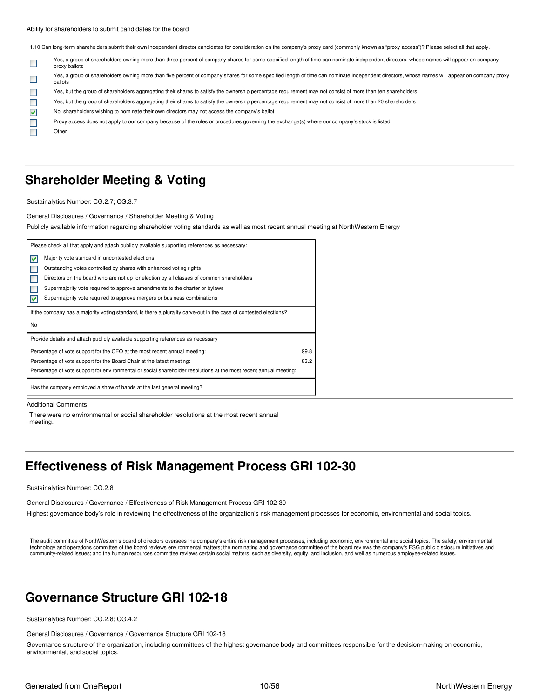1.10 Can long-term shareholders submit their own independent director candidates for consideration on the company's proxy card (commonly known as "proxy access")? Please select all that apply.

Yes, a group of shareholders owning more than three percent of company shares for some specified length of time can nominate independent directors, whose names will appear on company  $\mathcal{L}_{\mathcal{A}}$ proxy ballots

Yes, a group of shareholders owning more than five percent of company shares for some specified length of time can nominate independent directors, whose names will appear on company proxy ballots

Yes, but the group of shareholders aggregating their shares to satisfy the ownership percentage requirement may not consist of more than ten shareholders

Yes, but the group of shareholders aggregating their shares to satisfy the ownership percentage requirement may not consist of more than 20 shareholders

No, shareholders wishing to nominate their own directors may not access the company's ballot

Proxy access does not apply to our company because of the rules or procedures governing the exchange(s) where our company's stock is listed

<span id="page-9-0"></span>**Shareholder Meeting & Voting**

Sustainalytics Number: CG.2.7; CG.3.7

**Other** 

**The State**  $\Box$  $\Box$  $\blacktriangledown$ П  $\Box$ 

General Disclosures / Governance / Shareholder Meeting & Voting

Publicly available information regarding shareholder voting standards as well as most recent annual meeting at NorthWestern Energy

|    | Please check all that apply and attach publicly available supporting references as necessary:                     |      |  |  |
|----|-------------------------------------------------------------------------------------------------------------------|------|--|--|
| ⊽  | Majority vote standard in uncontested elections                                                                   |      |  |  |
|    | Outstanding votes controlled by shares with enhanced voting rights                                                |      |  |  |
|    | Directors on the board who are not up for election by all classes of common shareholders                          |      |  |  |
|    | Supermajority vote required to approve amendments to the charter or bylaws                                        |      |  |  |
| ⊽  | Supermajority vote required to approve mergers or business combinations                                           |      |  |  |
|    | If the company has a majority voting standard, is there a plurality carve-out in the case of contested elections? |      |  |  |
| No |                                                                                                                   |      |  |  |
|    | Provide details and attach publicly available supporting references as necessary                                  |      |  |  |
|    | Percentage of vote support for the CEO at the most recent annual meeting:                                         | 99.8 |  |  |
|    |                                                                                                                   |      |  |  |
|    | Percentage of vote support for the Board Chair at the latest meeting:                                             | 83.2 |  |  |
|    | Percentage of vote support for environmental or social shareholder resolutions at the most recent annual meeting: |      |  |  |

#### Additional Comments

There were no environmental or social shareholder resolutions at the most recent annual meeting.

### <span id="page-9-1"></span>**Effectiveness of Risk Management Process GRI 102-30**

#### Sustainalytics Number: CG.2.8

General Disclosures / Governance / Effectiveness of Risk Management Process GRI 102-30

Highest governance body's role in reviewing the effectiveness of the organization's risk management processes for economic, environmental and social topics.

The audit committee of NorthWestern's board of directors oversees the company's entire risk management processes, including economic, environmental and social topics. The safety, environmental, technology and operations committee of the board reviews environmental matters; the nominating and governance committee of the board reviews the company's ESG public disclosure initiatives and community-related issues; and the human resources committee reviews certain social matters, such as diversity, equity, and inclusion, and well as numerous employee-related issues.

### <span id="page-9-2"></span>**Governance Structure GRI 102-18**

Sustainalytics Number: CG.2.8; CG.4.2

General Disclosures / Governance / Governance Structure GRI 102-18

Governance structure of the organization, including committees of the highest governance body and committees responsible for the decision-making on economic, environmental, and social topics.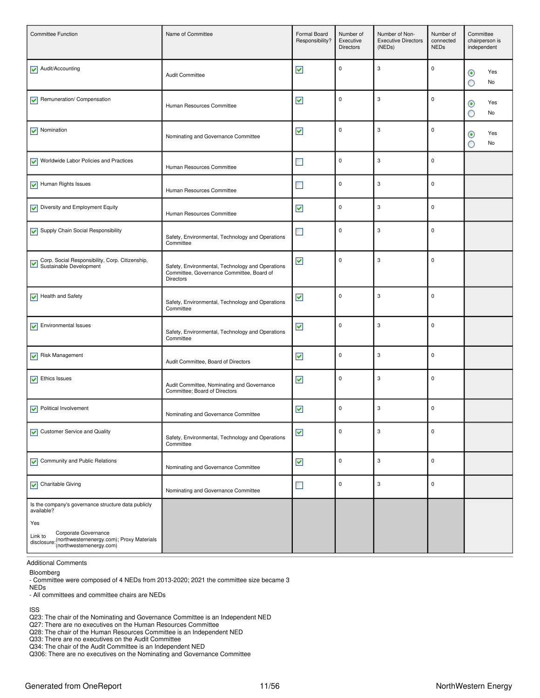| <b>Committee Function</b>                                                                                                                                                                        | Name of Committee                                                                                                 | Formal Board<br>Responsibility? | Number of<br>Executive<br>Directors | Number of Non-<br><b>Executive Directors</b><br>(NEDs) | Number of<br>connected<br><b>NEDs</b> | Committee<br>chairperson is<br>independent |
|--------------------------------------------------------------------------------------------------------------------------------------------------------------------------------------------------|-------------------------------------------------------------------------------------------------------------------|---------------------------------|-------------------------------------|--------------------------------------------------------|---------------------------------------|--------------------------------------------|
| Audit/Accounting                                                                                                                                                                                 | Audit Committee                                                                                                   | $\blacktriangledown$            | $\pmb{0}$                           | 3                                                      | $\pmb{0}$                             | Yes<br>$_{\odot}$<br>О<br>No               |
| Remuneration/Compensation                                                                                                                                                                        | Human Resources Committee                                                                                         | ⊻                               | $\pmb{0}$                           | 3                                                      | $\pmb{0}$                             | Yes<br>◉<br>Ο<br>No                        |
| $\sqrt{\phantom{a}}$ Nomination                                                                                                                                                                  | Nominating and Governance Committee                                                                               | $\blacktriangledown$            | $\pmb{0}$                           | 3                                                      | 0                                     | $_{\odot}$<br>Yes<br>No<br>О               |
| V Worldwide Labor Policies and Practices                                                                                                                                                         | Human Resources Committee                                                                                         | $\Box$                          | $\pmb{0}$                           | 3                                                      | $\mathbf 0$                           |                                            |
| Human Rights Issues                                                                                                                                                                              | Human Resources Committee                                                                                         | $\Box$                          | $\pmb{0}$                           | 3                                                      | 0                                     |                                            |
| $\triangleright$ Diversity and Employment Equity                                                                                                                                                 | Human Resources Committee                                                                                         | $\blacktriangledown$            | $\mathbf 0$                         | 3                                                      | $\mathbf 0$                           |                                            |
| V Supply Chain Social Responsibility                                                                                                                                                             | Safety, Environmental, Technology and Operations<br>Committee                                                     | $\mathbb{R}^n$                  | $\pmb{0}$                           | 3                                                      | $\pmb{0}$                             |                                            |
| Corp. Social Responsibility, Corp. Citizenship,<br>Sustainable Development                                                                                                                       | Safety, Environmental, Technology and Operations<br>Committee, Governance Committee, Board of<br><b>Directors</b> | $\blacktriangledown$            | $\pmb{0}$                           | 3                                                      | $\mathbf 0$                           |                                            |
| $\blacktriangleright$ Health and Safety                                                                                                                                                          | Safety, Environmental, Technology and Operations<br>Committee                                                     | $\blacktriangledown$            | $\pmb{0}$                           | 3                                                      | $\pmb{0}$                             |                                            |
| $\sqrt{\phantom{a}}$ Environmental Issues                                                                                                                                                        | Safety, Environmental, Technology and Operations<br>Committee                                                     | ☑                               | $\pmb{0}$                           | 3                                                      | $\pmb{0}$                             |                                            |
| Risk Management                                                                                                                                                                                  | Audit Committee, Board of Directors                                                                               | $\blacktriangledown$            | $\mathbf 0$                         | 3                                                      | $\mathbf 0$                           |                                            |
| $\sqrt{\phantom{a}}$ Ethics Issues                                                                                                                                                               | Audit Committee, Nominating and Governance<br>Committee; Board of Directors                                       | $\blacktriangledown$            | $\pmb{0}$                           | 3                                                      | $\pmb{0}$                             |                                            |
| Political Involvement                                                                                                                                                                            | Nominating and Governance Committee                                                                               | $\blacktriangledown$            | $\pmb{0}$                           | 3                                                      | $\mathbf 0$                           |                                            |
| Customer Service and Quality                                                                                                                                                                     | Safety, Environmental, Technology and Operations<br>Committee                                                     | ⊻                               | $\pmb{0}$                           | 3                                                      | 0                                     |                                            |
| Community and Public Relations                                                                                                                                                                   | Nominating and Governance Committee                                                                               | $\blacktriangledown$            | $\pmb{0}$                           | 3                                                      | $\mathbf 0$                           |                                            |
| $\triangleright$ Charitable Giving                                                                                                                                                               | Nominating and Governance Committee                                                                               | $\mathcal{L}_{\mathcal{A}}$     | $\pmb{0}$                           | 3                                                      | $\pmb{0}$                             |                                            |
| Is the company's governance structure data publicly<br>available?<br>Yes<br>Corporate Governance<br>Link to<br>disclosure: (northwesternenergy.com); Proxy Materials<br>(northwesternenergy.com) |                                                                                                                   |                                 |                                     |                                                        |                                       |                                            |

#### Additional Comments

### Bloomberg

- Committee were composed of 4 NEDs from 2013-2020; 2021 the committee size became 3

NEDs

- All committees and committee chairs are NEDs

### ISS

Q23: The chair of the Nominating and Governance Committee is an Independent NED

Q27: There are no executives on the Human Resources Committee

Q28: The chair of the Human Resources Committee is an Independent NED

Q33: There are no executives on the Audit Committee

Q34: The chair of the Audit Committee is an Independent NED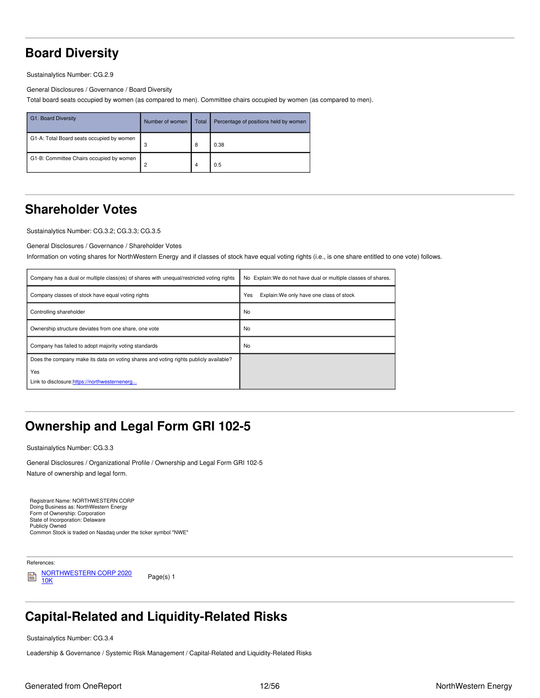# <span id="page-11-0"></span>**Board Diversity**

Sustainalytics Number: CG.2.9

General Disclosures / Governance / Board Diversity

Total board seats occupied by women (as compared to men). Committee chairs occupied by women (as compared to men).

| G1. Board Diversity                       | Number of women | Total | Percentage of positions held by women |
|-------------------------------------------|-----------------|-------|---------------------------------------|
| G1-A: Total Board seats occupied by women | 3               | -8    | 0.38                                  |
| G1-B: Committee Chairs occupied by women  | 2               | 4     | 0.5                                   |

## <span id="page-11-1"></span>**Shareholder Votes**

Sustainalytics Number: CG.3.2; CG.3.3; CG.3.5

General Disclosures / Governance / Shareholder Votes

Information on voting shares for NorthWestern Energy and if classes of stock have equal voting rights (i.e., is one share entitled to one vote) follows.

| Company has a dual or multiple class(es) of shares with unequal/restricted voting rights | No Explain: We do not have dual or multiple classes of shares. |
|------------------------------------------------------------------------------------------|----------------------------------------------------------------|
| Company classes of stock have equal voting rights                                        | Explain: We only have one class of stock<br>Yes                |
| Controlling shareholder                                                                  | <b>No</b>                                                      |
| Ownership structure deviates from one share, one vote                                    | No                                                             |
| Company has failed to adopt majority voting standards                                    | No                                                             |
| Does the company make its data on voting shares and voting rights publicly available?    |                                                                |
| Yes<br>Link to disclosure: https://northwesternenerg                                     |                                                                |

## <span id="page-11-2"></span>**Ownership and Legal Form GRI 102-5**

Sustainalytics Number: CG.3.3

General Disclosures / Organizational Profile / Ownership and Legal Form GRI 102-5

Nature of ownership and legal form.

Registrant Name: NORTHWESTERN CORP Doing Business as: NorthWestern Energy Form of Ownership: Corporation State of Incorporation: Delaware Publicly Owned Common Stock is traded on Nasdaq under the ticker symbol "NWE"

References:



Page(s) 1

# <span id="page-11-3"></span>**Capital-Related and Liquidity-Related Risks**

Sustainalytics Number: CG.3.4

Leadership & Governance / Systemic Risk Management / Capital-Related and Liquidity-Related Risks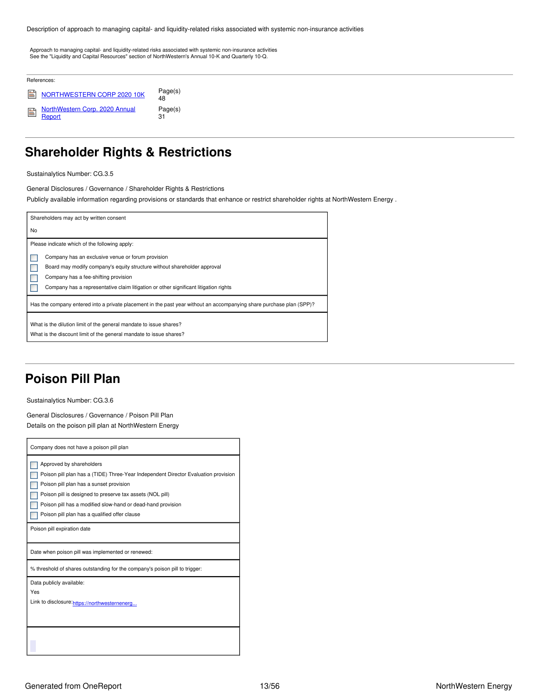Description of approach to managing capital- and liquidity-related risks associated with systemic non-insurance activities

Approach to managing capital- and liquidity-related risks associated with systemic non-insurance activities See the "Liquidity and Capital Resources" section of NorthWestern's Annual 10-K and Quarterly 10-Q.

| References:                              |               |
|------------------------------------------|---------------|
| NORTHWESTERN CORP 2020 10K               | Page(s)<br>48 |
| NorthWestern Corp. 2020 Annual<br>Report | Page(s)<br>31 |

# <span id="page-12-0"></span>**Shareholder Rights & Restrictions**

Sustainalytics Number: CG.3.5

General Disclosures / Governance / Shareholder Rights & Restrictions

Publicly available information regarding provisions or standards that enhance or restrict shareholder rights at NorthWestern Energy .

| Shareholders may act by written consent                                                                                                  |
|------------------------------------------------------------------------------------------------------------------------------------------|
| <b>No</b>                                                                                                                                |
| Please indicate which of the following apply:                                                                                            |
| Company has an exclusive venue or forum provision                                                                                        |
| Board may modify company's equity structure without shareholder approval                                                                 |
| Company has a fee-shifting provision                                                                                                     |
| Company has a representative claim litigation or other significant litigation rights                                                     |
| Has the company entered into a private placement in the past year without an accompanying share purchase plan (SPP)?                     |
| What is the dilution limit of the general mandate to issue shares?<br>What is the discount limit of the general mandate to issue shares? |

## <span id="page-12-1"></span>**Poison Pill Plan**

Sustainalytics Number: CG.3.6

General Disclosures / Governance / Poison Pill Plan Details on the poison pill plan at NorthWestern Energy

| Company does not have a poison pill plan                                                                                                                                                                                                                                                                                               |  |  |
|----------------------------------------------------------------------------------------------------------------------------------------------------------------------------------------------------------------------------------------------------------------------------------------------------------------------------------------|--|--|
| Approved by shareholders<br>Poison pill plan has a (TIDE) Three-Year Independent Director Evaluation provision<br>Poison pill plan has a sunset provision<br>Poison pill is designed to preserve tax assets (NOL pill)<br>Poison pill has a modified slow-hand or dead-hand provision<br>Poison pill plan has a qualified offer clause |  |  |
| Poison pill expiration date                                                                                                                                                                                                                                                                                                            |  |  |
| Date when poison pill was implemented or renewed:                                                                                                                                                                                                                                                                                      |  |  |
| % threshold of shares outstanding for the company's poison pill to trigger:                                                                                                                                                                                                                                                            |  |  |
| Data publicly available:<br>Yes<br>Link to disclosure: https://northwesternenerg                                                                                                                                                                                                                                                       |  |  |
|                                                                                                                                                                                                                                                                                                                                        |  |  |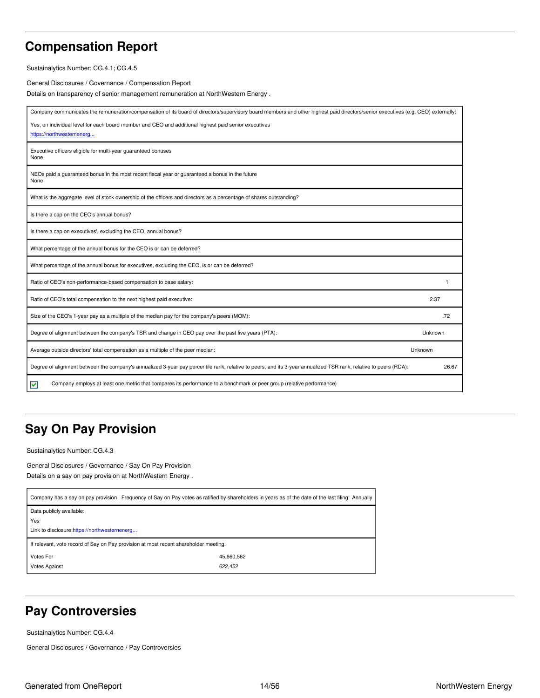# <span id="page-13-0"></span>**Compensation Report**

Sustainalytics Number: CG.4.1; CG.4.5

General Disclosures / Governance / Compensation Report

Details on transparency of senior management remuneration at NorthWestern Energy .

| Company communicates the remuneration/compensation of its board of directors/supervisory board members and other highest paid directors/senior executives (e.g. CEO) externally: |         |  |
|----------------------------------------------------------------------------------------------------------------------------------------------------------------------------------|---------|--|
| Yes, on individual level for each board member and CEO and additional highest paid senior executives                                                                             |         |  |
| https://northwesternenerg                                                                                                                                                        |         |  |
| Executive officers eligible for multi-year quaranteed bonuses<br>None                                                                                                            |         |  |
| NEOs paid a guaranteed bonus in the most recent fiscal year or guaranteed a bonus in the future<br>None                                                                          |         |  |
| What is the aggregate level of stock ownership of the officers and directors as a percentage of shares outstanding?                                                              |         |  |
| Is there a cap on the CEO's annual bonus?                                                                                                                                        |         |  |
| Is there a cap on executives', excluding the CEO, annual bonus?                                                                                                                  |         |  |
| What percentage of the annual bonus for the CEO is or can be deferred?                                                                                                           |         |  |
| What percentage of the annual bonus for executives, excluding the CEO, is or can be deferred?                                                                                    |         |  |
| Ratio of CEO's non-performance-based compensation to base salary:                                                                                                                |         |  |
| Ratio of CEO's total compensation to the next highest paid executive:                                                                                                            | 2.37    |  |
| Size of the CEO's 1-year pay as a multiple of the median pay for the company's peers (MOM):                                                                                      | .72     |  |
| Degree of alignment between the company's TSR and change in CEO pay over the past five years (PTA):                                                                              | Unknown |  |
| Average outside directors' total compensation as a multiple of the peer median:                                                                                                  | Unknown |  |
| Degree of alignment between the company's annualized 3-year pay percentile rank, relative to peers, and its 3-year annualized TSR rank, relative to peers (RDA):                 | 26.67   |  |
| Company employs at least one metric that compares its performance to a benchmark or peer group (relative performance)<br>☑                                                       |         |  |

# <span id="page-13-1"></span>**Say On Pay Provision**

Sustainalytics Number: CG.4.3

General Disclosures / Governance / Say On Pay Provision

Details on a say on pay provision at NorthWestern Energy .

| Company has a say on pay provision Frequency of Say on Pay votes as ratified by shareholders in years as of the date of the last filing: Annually |            |
|---------------------------------------------------------------------------------------------------------------------------------------------------|------------|
| Data publicly available:                                                                                                                          |            |
| Yes                                                                                                                                               |            |
| Link to disclosure: https://northwesternenerg                                                                                                     |            |
| If relevant, vote record of Say on Pay provision at most recent shareholder meeting.                                                              |            |
| <b>Votes For</b>                                                                                                                                  | 45,660,562 |
| <b>Votes Against</b>                                                                                                                              | 622.452    |

# <span id="page-13-2"></span>**Pay Controversies**

Sustainalytics Number: CG.4.4

General Disclosures / Governance / Pay Controversies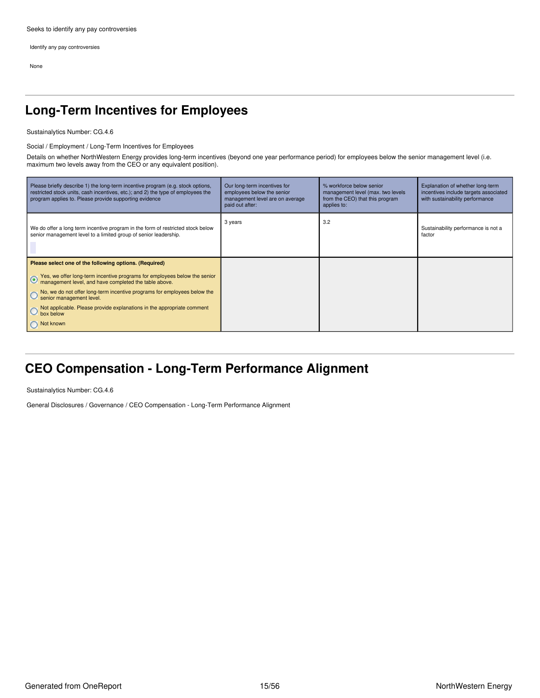Identify any pay controversies

None

## <span id="page-14-0"></span>**Long-Term Incentives for Employees**

Sustainalytics Number: CG.4.6

#### Social / Employment / Long-Term Incentives for Employees

Details on whether NorthWestern Energy provides long-term incentives (beyond one year performance period) for employees below the senior management level (i.e. maximum two levels away from the CEO or any equivalent position).

| Please briefly describe 1) the long-term incentive program (e.g. stock options,<br>restricted stock units, cash incentives, etc.); and 2) the type of employees the<br>program applies to. Please provide supporting evidence                                                                                                                                                                                   | Our long-term incentives for<br>employees below the senior<br>management level are on average<br>paid out after: | % workforce below senior<br>management level (max. two levels<br>from the CEO) that this program<br>applies to: | Explanation of whether long-term<br>incentives include targets associated<br>with sustainability performance |
|-----------------------------------------------------------------------------------------------------------------------------------------------------------------------------------------------------------------------------------------------------------------------------------------------------------------------------------------------------------------------------------------------------------------|------------------------------------------------------------------------------------------------------------------|-----------------------------------------------------------------------------------------------------------------|--------------------------------------------------------------------------------------------------------------|
| We do offer a long term incentive program in the form of restricted stock below<br>senior management level to a limited group of senior leadership.                                                                                                                                                                                                                                                             | 3 years                                                                                                          | 3.2                                                                                                             | Sustainability performance is not a<br>factor                                                                |
| Please select one of the following options. (Required)<br>$\odot$ Yes, we offer long-term incentive programs for employees below the senior management level, and have completed the table above.<br>No, we do not offer long-term incentive programs for employees below the<br>senior management level.<br>Not applicable. Please provide explanations in the appropriate comment<br>box below<br>◯ Not known |                                                                                                                  |                                                                                                                 |                                                                                                              |

# <span id="page-14-1"></span>**CEO Compensation - Long-Term Performance Alignment**

#### Sustainalytics Number: CG.4.6

General Disclosures / Governance / CEO Compensation - Long-Term Performance Alignment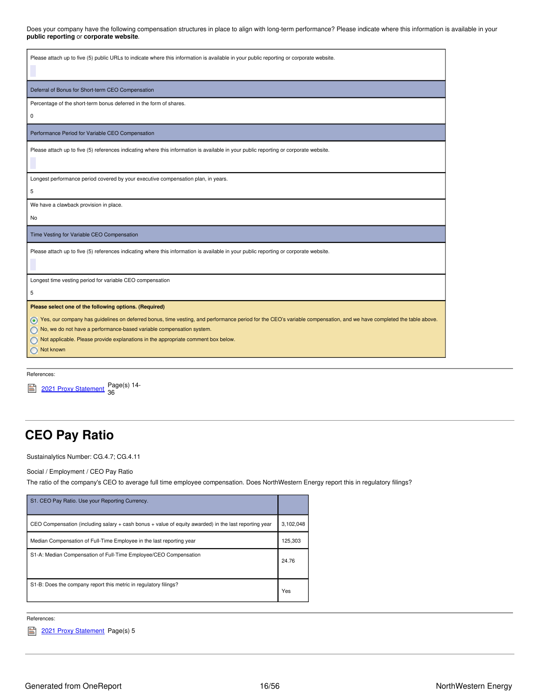Does your company have the following compensation structures in place to align with long-term performance? Please indicate where this information is available in your **public reporting** or **corporate website**.

| Please attach up to five (5) public URLs to indicate where this information is available in your public reporting or corporate website.                                                         |
|-------------------------------------------------------------------------------------------------------------------------------------------------------------------------------------------------|
| Deferral of Bonus for Short-term CEO Compensation                                                                                                                                               |
| Percentage of the short-term bonus deferred in the form of shares.                                                                                                                              |
| 0                                                                                                                                                                                               |
| Performance Period for Variable CEO Compensation                                                                                                                                                |
| Please attach up to five (5) references indicating where this information is available in your public reporting or corporate website.                                                           |
|                                                                                                                                                                                                 |
| Longest performance period covered by your executive compensation plan, in years.                                                                                                               |
| 5                                                                                                                                                                                               |
| We have a clawback provision in place.                                                                                                                                                          |
| No                                                                                                                                                                                              |
| Time Vesting for Variable CEO Compensation                                                                                                                                                      |
| Please attach up to five (5) references indicating where this information is available in your public reporting or corporate website.                                                           |
|                                                                                                                                                                                                 |
| Longest time vesting period for variable CEO compensation                                                                                                                                       |
| 5                                                                                                                                                                                               |
| Please select one of the following options. (Required)                                                                                                                                          |
| Yes, our company has guidelines on deferred bonus, time vesting, and performance period for the CEO's variable compensation, and we have completed the table above.<br>$\left( \bullet \right)$ |
| No, we do not have a performance-based variable compensation system.<br>Not applicable. Please provide explanations in the appropriate comment box below.                                       |
| Not known                                                                                                                                                                                       |
|                                                                                                                                                                                                 |

References:

2021 Proxy [Statement](https://www.northwesternenergy.com/docs/default-source/documents/proxy/2021-Proxy-Statement-Final.pdf) Page(s) 14-36

# <span id="page-15-0"></span>**CEO Pay Ratio**

Sustainalytics Number: CG.4.7; CG.4.11

Social / Employment / CEO Pay Ratio

The ratio of the company's CEO to average full time employee compensation. Does NorthWestern Energy report this in regulatory filings?

| S1. CEO Pay Ratio. Use your Reporting Currency.                                                           |           |
|-----------------------------------------------------------------------------------------------------------|-----------|
| CEO Compensation (including salary $+$ cash bonus $+$ value of equity awarded) in the last reporting year | 3,102,048 |
| Median Compensation of Full-Time Employee in the last reporting year                                      | 125.303   |
| S1-A: Median Compensation of Full-Time Employee/CEO Compensation                                          | 24.76     |
| S1-B: Does the company report this metric in regulatory filings?                                          | Yes       |

References:

2021 Proxy [Statement](https://www.northwesternenergy.com/docs/default-source/documents/proxy/2021-Proxy-Statement-Final.pdf) Page(s) 5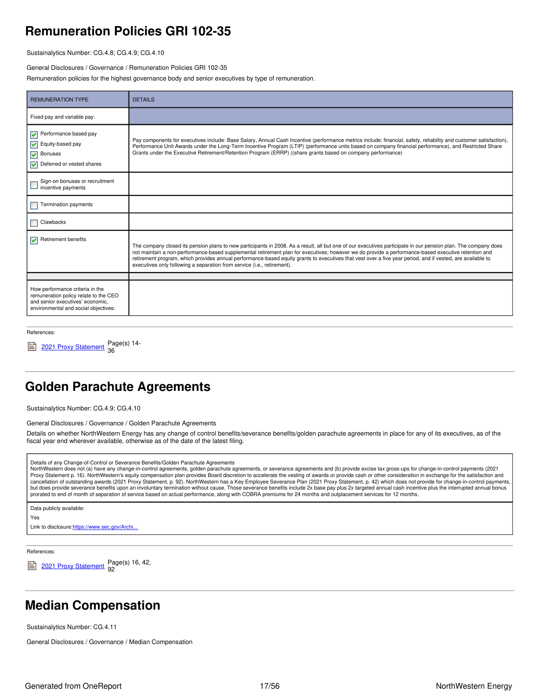# <span id="page-16-0"></span>**Remuneration Policies GRI 102-35**

Sustainalytics Number: CG.4.8; CG.4.9; CG.4.10

General Disclosures / Governance / Remuneration Policies GRI 102-35

Remuneration policies for the highest governance body and senior executives by type of remuneration.

| <b>REMUNERATION TYPE</b>                                                                                                                                                          | <b>DETAILS</b>                                                                                                                                                                                                                                                                                                                                                                                                                                                                                                                                                 |
|-----------------------------------------------------------------------------------------------------------------------------------------------------------------------------------|----------------------------------------------------------------------------------------------------------------------------------------------------------------------------------------------------------------------------------------------------------------------------------------------------------------------------------------------------------------------------------------------------------------------------------------------------------------------------------------------------------------------------------------------------------------|
| Fixed pay and variable pay:                                                                                                                                                       |                                                                                                                                                                                                                                                                                                                                                                                                                                                                                                                                                                |
| Performance-based pay<br>$\blacktriangledown$<br>$\sqrt{\phantom{a}}$ Equity-based pay<br><b>Bonuses</b><br>$\overline{\mathbf{v}}$<br>$\triangleright$ Deferred or vested shares | Pay components for executives include: Base Salary, Annual Cash Incentive (performance metrics include: financial, safety, reliability and customer satisfaction),<br>Performance Unit Awards under the Long-Term Incentive Program (LTIP) (performance units based on company financial performance), and Restricted Share<br>Grants under the Executive Retirement/Retention Program (ERRP) ((share grants based on company performance)                                                                                                                     |
| Sign-on bonuses or recruitment<br>incentive payments                                                                                                                              |                                                                                                                                                                                                                                                                                                                                                                                                                                                                                                                                                                |
| Termination payments                                                                                                                                                              |                                                                                                                                                                                                                                                                                                                                                                                                                                                                                                                                                                |
| Clawbacks                                                                                                                                                                         |                                                                                                                                                                                                                                                                                                                                                                                                                                                                                                                                                                |
| $\sqrt{\phantom{a}}$ Retirement benefits                                                                                                                                          | The company closed its pension plans to new participants in 2008. As a result, all but one of our executives participate in our pension plan. The company does<br>not maintain a non-performance-based supplemental retirement plan for executives; however we do provide a performance-based executive retention and<br>retirement program, which provides annual performance-based equity grants to executives that vest over a five year period, and if vested, are available to<br>executives only following a separation from service (i.e., retirement). |
|                                                                                                                                                                                   |                                                                                                                                                                                                                                                                                                                                                                                                                                                                                                                                                                |
| How performance criteria in the<br>remuneration policy relate to the CEO<br>and senior executives' economic,<br>environmental and social objectives:                              |                                                                                                                                                                                                                                                                                                                                                                                                                                                                                                                                                                |

References:

2021 Proxy [Statement](https://www.northwesternenergy.com/docs/default-source/documents/proxy/2021-Proxy-Statement-Final.pdf) Page(s) 14-36

# <span id="page-16-1"></span>**Golden Parachute Agreements**

Sustainalytics Number: CG.4.9; CG.4.10

General Disclosures / Governance / Golden Parachute Agreements

Details on whether NorthWestern Energy has any change of control benefits/severance benefits/golden parachute agreements in place for any of its executives, as of the fiscal year end wherever available, otherwise as of the date of the latest filing.

#### Details of any Change-of-Control or Severance Benefits/Golden Parachute Agreements

NorthWestern does not (a) have any change-in-control agreements, golden parachute agreements, or severance agreements and (b) provide excise tax gross-ups for change-in-control payments (2021<br>Proxy Statement p. 16). NorthW but does provide severance benefits upon an involuntary termination without cause. Those severance benefits include 2x base pay plus 2x targeted annual cash incentive plus the interrupted annual bonus prorated to end of month of separation of service based on actual performance, along with COBRA premiums for 24 months and outplacement services for 12 months.

Data publicly available:

Yes

Link to disclosure: https://www.sec.gov/Archi...

References:

2021 Proxy [Statement](https://www.northwesternenergy.com/docs/default-source/documents/proxy/2021-Proxy-Statement-Final.pdf) page(s) 16, 42, 92

## <span id="page-16-2"></span>**Median Compensation**

Sustainalytics Number: CG.4.11

General Disclosures / Governance / Median Compensation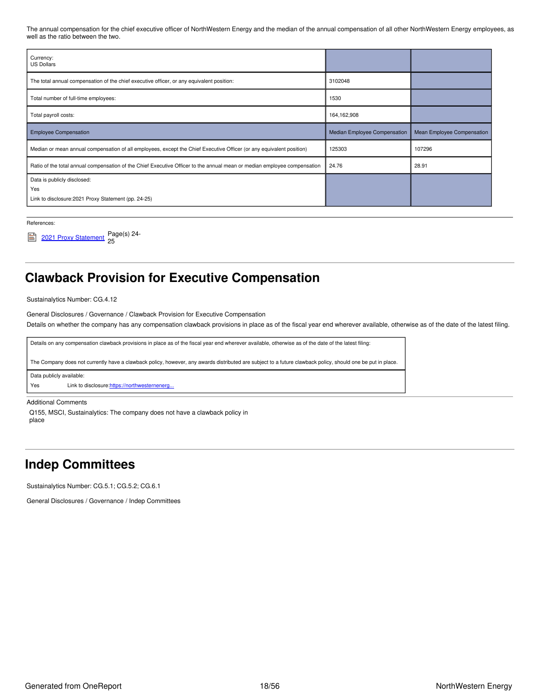The annual compensation for the chief executive officer of NorthWestern Energy and the median of the annual compensation of all other NorthWestern Energy employees, as well as the ratio between the two.

| Currency:<br><b>US Dollars</b>                                                                                           |                              |                                   |
|--------------------------------------------------------------------------------------------------------------------------|------------------------------|-----------------------------------|
| The total annual compensation of the chief executive officer, or any equivalent position:                                | 3102048                      |                                   |
| Total number of full-time employees:                                                                                     | 1530                         |                                   |
| Total payroll costs:                                                                                                     | 164, 162, 908                |                                   |
| <b>Employee Compensation</b>                                                                                             | Median Employee Compensation | <b>Mean Employee Compensation</b> |
| Median or mean annual compensation of all employees, except the Chief Executive Officer (or any equivalent position)     | 125303                       | 107296                            |
| Ratio of the total annual compensation of the Chief Executive Officer to the annual mean or median employee compensation | 24.76                        | 28.91                             |
| Data is publicly disclosed:<br>Yes<br>Link to disclosure: 2021 Proxy Statement (pp. 24-25)                               |                              |                                   |

#### References:

2021 Proxy [Statement](https://www.northwesternenergy.com/docs/default-source/documents/proxy/2021-Proxy-Statement-Final.pdf) <sub>25</sub><br>2021 Proxy Statement <sub>25</sub> 25

## <span id="page-17-0"></span>**Clawback Provision for Executive Compensation**

Sustainalytics Number: CG.4.12

General Disclosures / Governance / Clawback Provision for Executive Compensation

Details on whether the company has any compensation clawback provisions in place as of the fiscal year end wherever available, otherwise as of the date of the latest filing.

```
Details on any compensation clawback provisions in place as of the fiscal year end wherever available, otherwise as of the date of the latest filing:
The Company does not currently have a clawback policy, however, any awards distributed are subject to a future clawback policy, should one be put in place.
Data publicly available:
Yes Link to disclosure: https://northwesternenerg...
```
#### Additional Comments

Q155, MSCI, Sustainalytics: The company does not have a clawback policy in place

### <span id="page-17-1"></span>**Indep Committees**

Sustainalytics Number: CG.5.1; CG.5.2; CG.6.1

General Disclosures / Governance / Indep Committees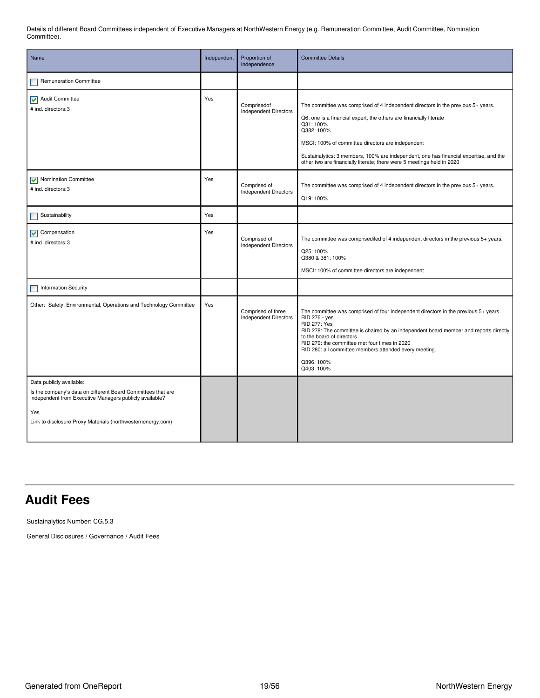Details of different Board Committees independent of Executive Managers at NorthWestern Energy (e.g. Remuneration Committee, Audit Committee, Nomination Committee).

| Name                                                                                                                                                                                                                       | Independent | Proportion of<br>Independence                      | <b>Committee Details</b>                                                                                                                                                                                                                                                                                                                                                                                 |
|----------------------------------------------------------------------------------------------------------------------------------------------------------------------------------------------------------------------------|-------------|----------------------------------------------------|----------------------------------------------------------------------------------------------------------------------------------------------------------------------------------------------------------------------------------------------------------------------------------------------------------------------------------------------------------------------------------------------------------|
| <b>Remuneration Committee</b>                                                                                                                                                                                              |             |                                                    |                                                                                                                                                                                                                                                                                                                                                                                                          |
| Audit Committee<br># ind. directors: 3                                                                                                                                                                                     | Yes         | Comprisedof<br><b>Independent Directors</b>        | The committee was comprised of 4 independent directors in the previous 5+ years.<br>Q6: one is a financial expert, the others are financially literate<br>Q31:100%<br>Q382: 100%<br>MSCI: 100% of committee directors are independent<br>Sustainalytics: 3 members, 100% are independent, one has financial expertise, and the<br>other two are financially literate; there were 5 meetings held in 2020 |
| V Nomination Committee<br># ind. directors: 3                                                                                                                                                                              | Yes         | Comprised of<br><b>Independent Directors</b>       | The committee was comprised of 4 independent directors in the previous 5+ years.<br>Q19: 100%                                                                                                                                                                                                                                                                                                            |
| Sustainability                                                                                                                                                                                                             | Yes         |                                                    |                                                                                                                                                                                                                                                                                                                                                                                                          |
| $\sqrt{\phantom{a}}$ Compensation<br># ind. directors: 3                                                                                                                                                                   | Yes         | Comprised of<br><b>Independent Directors</b>       | The committee was comprisediled of 4 independent directors in the previous 5+ years.<br>Q25:100%<br>Q380 & 381: 100%<br>MSCI: 100% of committee directors are independent                                                                                                                                                                                                                                |
| <b>Information Security</b>                                                                                                                                                                                                |             |                                                    |                                                                                                                                                                                                                                                                                                                                                                                                          |
| Other: Safety, Environmental, Operations and Technology Committee                                                                                                                                                          | Yes         | Comprised of three<br><b>Independent Directors</b> | The committee was comprised of four independent directors in the previous 5+ years.<br>RID 276 - yes<br><b>RID 277: Yes</b><br>RID 278: The committee is chaired by an independent board member and reports directly<br>to the board of directors<br>RID 279: the committee met four times in 2020<br>RID 280: all committee members attended every meeting.<br>Q396: 100%<br>Q403: 100%                 |
| Data publicly available:<br>Is the company's data on different Board Committees that are<br>independent from Executive Managers publicly available?<br>Yes<br>Link to disclosure: Proxy Materials (northwesternenergy.com) |             |                                                    |                                                                                                                                                                                                                                                                                                                                                                                                          |

### <span id="page-18-0"></span>**Audit Fees**

Sustainalytics Number: CG.5.3

General Disclosures / Governance / Audit Fees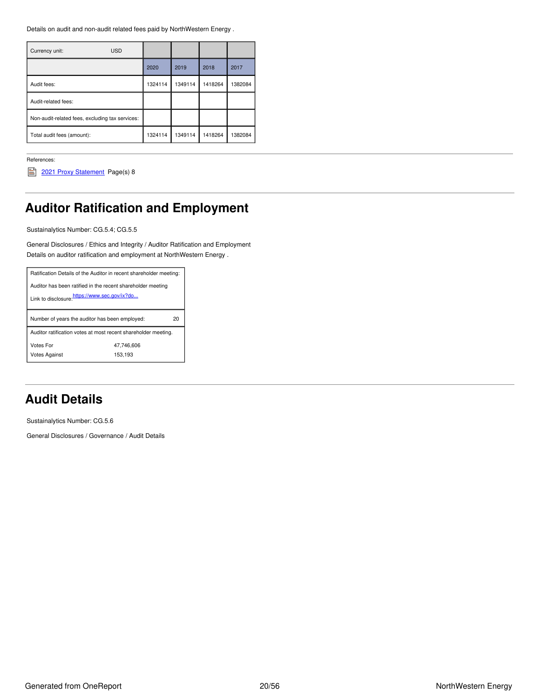Details on audit and non-audit related fees paid by NorthWestern Energy .

| Currency unit:<br><b>USD</b>                    |         |         |         |         |
|-------------------------------------------------|---------|---------|---------|---------|
|                                                 | 2020    | 2019    | 2018    | 2017    |
| Audit fees:                                     | 1324114 | 1349114 | 1418264 | 1382084 |
| Audit-related fees:                             |         |         |         |         |
| Non-audit-related fees, excluding tax services: |         |         |         |         |
| Total audit fees (amount):                      | 1324114 | 1349114 | 1418264 | 1382084 |

References:

2021 Proxy [Statement](https://www.northwesternenergy.com/docs/default-source/documents/proxy/2021-Proxy-Statement-Final.pdf) Page(s) 8

# <span id="page-19-0"></span>**Auditor Ratification and Employment**

Sustainalytics Number: CG.5.4; CG.5.5

General Disclosures / Ethics and Integrity / Auditor Ratification and Employment Details on auditor ratification and employment at NorthWestern Energy .

| Ratification Details of the Auditor in recent shareholder meeting:                                          |  |  |  |  |
|-------------------------------------------------------------------------------------------------------------|--|--|--|--|
| Auditor has been ratified in the recent shareholder meeting<br>Link to disclosure.https://www.sec.gov/ix?do |  |  |  |  |
| Number of years the auditor has been employed:<br>20                                                        |  |  |  |  |
| Auditor ratification votes at most recent shareholder meeting.                                              |  |  |  |  |
| Votes For<br>47.746.606<br><b>Votes Against</b><br>153,193                                                  |  |  |  |  |
|                                                                                                             |  |  |  |  |

## <span id="page-19-1"></span>**Audit Details**

Sustainalytics Number: CG.5.6

General Disclosures / Governance / Audit Details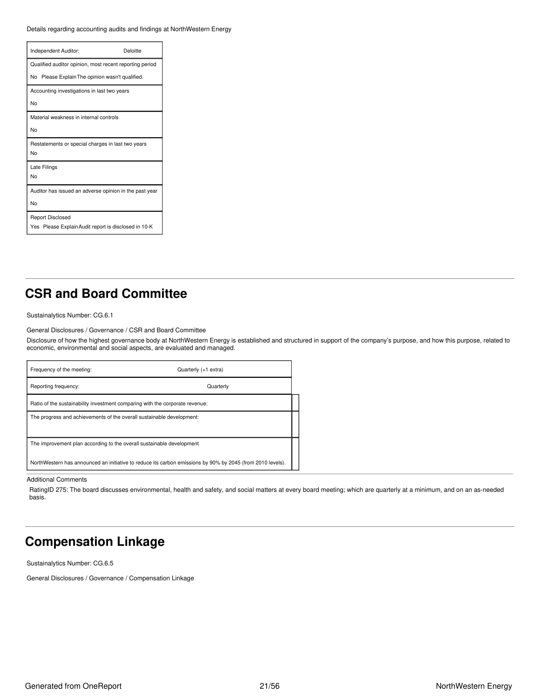Details regarding accounting audits and findings at NorthWestern Energy

| Independent Auditor:                                    | Deloitte |
|---------------------------------------------------------|----------|
| Qualified auditor opinion, most recent reporting period |          |
| No Please Explain The opinion wasn't qualified.         |          |
| Accounting investigations in last two years             |          |
| No                                                      |          |
| Material weakness in internal controls                  |          |
| No                                                      |          |
| Restatements or special charges in last two years       |          |
| No                                                      |          |
| Late Filings                                            |          |
| No                                                      |          |
| Auditor has issued an adverse opinion in the past year  |          |
| No                                                      |          |
| <b>Report Disclosed</b>                                 |          |
| Yes Please Explain Audit report is disclosed in 10-K    |          |

### <span id="page-20-0"></span>**CSR and Board Committee**

Sustainalytics Number: CG.6.1

General Disclosures / Governance / CSR and Board Committee

Disclosure of how the highest governance body at NorthWestern Energy is established and structured in support of the company's purpose, and how this purpose, related to economic, environmental and social aspects, are evaluated and managed.

| Frequency of the meeting:                                                                                  | Quarterly (+1 extra) |
|------------------------------------------------------------------------------------------------------------|----------------------|
| Reporting frequency:                                                                                       | Quarterly            |
| Ratio of the sustainability investment comparing with the corporate revenue:                               |                      |
| The progress and achievements of the overall sustainable development:                                      |                      |
|                                                                                                            |                      |
| The improvement plan according to the overall sustainable development                                      |                      |
| NorthWestern has announced an initiative to reduce its carbon emissions by 90% by 2045 (from 2010 levels). |                      |

Additional Comments

RatingID 275: The board discusses environmental, health and safety, and social matters at every board meeting; which are quarterly at a minimum, and on an as-needed basis.

## <span id="page-20-1"></span>**Compensation Linkage**

Sustainalytics Number: CG.6.5

General Disclosures / Governance / Compensation Linkage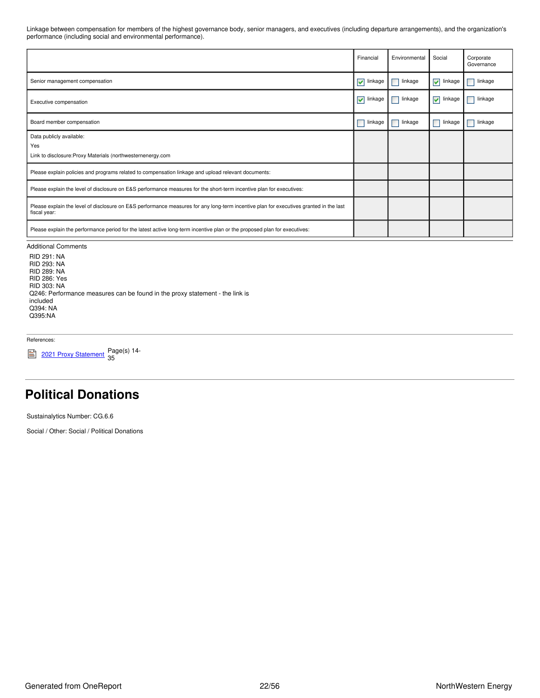Linkage between compensation for members of the highest governance body, senior managers, and executives (including departure arrangements), and the organization's performance (including social and environmental performance).

|                                                                                                                                                        | Financial                       | Environmental | Social                        | Corporate<br>Governance |
|--------------------------------------------------------------------------------------------------------------------------------------------------------|---------------------------------|---------------|-------------------------------|-------------------------|
| Senior management compensation                                                                                                                         | $\sqrt{\phantom{a}}$ linkage    | linkage       | $\blacktriangleright$ linkage | linkage                 |
| Executive compensation                                                                                                                                 | $\blacktriangledown$<br>linkage | linkage       | $\blacktriangleright$ linkage | linkage                 |
| Board member compensation                                                                                                                              | linkage<br>a s                  | linkage       | linkage<br>П                  | linkage                 |
| Data publicly available:                                                                                                                               |                                 |               |                               |                         |
| Yes                                                                                                                                                    |                                 |               |                               |                         |
| Link to disclosure: Proxy Materials (northwesternenergy.com                                                                                            |                                 |               |                               |                         |
| Please explain policies and programs related to compensation linkage and upload relevant documents:                                                    |                                 |               |                               |                         |
| Please explain the level of disclosure on E&S performance measures for the short-term incentive plan for executives:                                   |                                 |               |                               |                         |
| Please explain the level of disclosure on E&S performance measures for any long-term incentive plan for executives granted in the last<br>fiscal year: |                                 |               |                               |                         |
| Please explain the performance period for the latest active long-term incentive plan or the proposed plan for executives:                              |                                 |               |                               |                         |

#### Additional Comments

RID 291: NA RID 293: NA RID 289: NA RID 286: Yes RID 303: NA Q246: Performance measures can be found in the proxy statement - the link is included Q394: NA Q395:NA

References:

2021 Proxy [Statement](https://www.northwesternenergy.com/docs/default-source/documents/proxy/2021-Proxy-Statement-Final.pdf) Page(s) 14-35

## <span id="page-21-0"></span>**Political Donations**

Sustainalytics Number: CG.6.6

Social / Other: Social / Political Donations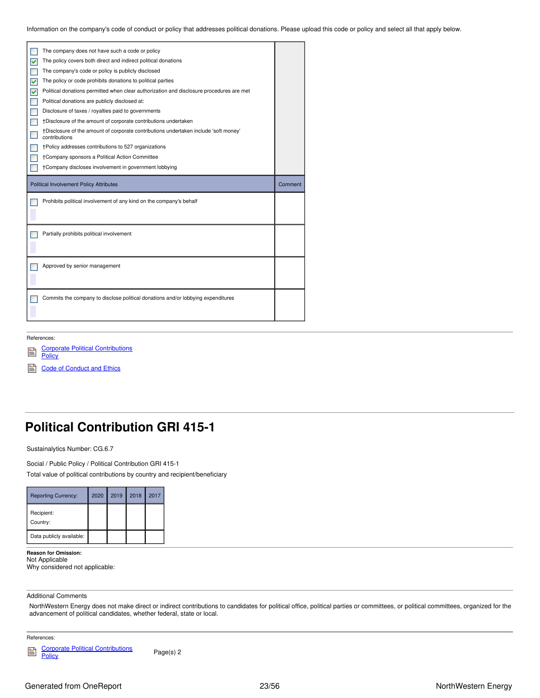Information on the company's code of conduct or policy that addresses political donations. Please upload this code or policy and select all that apply below.

| The company does not have such a code or policy                                                       |         |
|-------------------------------------------------------------------------------------------------------|---------|
| The policy covers both direct and indirect political donations                                        |         |
| The company's code or policy is publicly disclosed                                                    |         |
| The policy or code prohibits donations to political parties                                           |         |
| Political donations permitted when clear authorization and disclosure procedures are met              |         |
| Political donations are publicly disclosed at:                                                        |         |
| Disclosure of taxes / royalties paid to governments                                                   |         |
| †Disclosure of the amount of corporate contributions undertaken                                       |         |
| †Disclosure of the amount of corporate contributions undertaken include 'soft money'<br>contributions |         |
| †Policy addresses contributions to 527 organizations                                                  |         |
| †Company sponsors a Political Action Committee                                                        |         |
| †Company discloses involvement in government lobbying                                                 |         |
|                                                                                                       |         |
| <b>Political Involvement Policy Attributes</b>                                                        | Comment |
| Prohibits political involvement of any kind on the company's behalf                                   |         |
| Partially prohibits political involvement                                                             |         |
|                                                                                                       |         |
| Approved by senior management                                                                         |         |
|                                                                                                       |         |

#### References:



Code of [Conduct](https://www.northwesternenergy.com/docs/default-source/documents/corporategovernance/nwe_2021_code_lowres.pdf) and Ethics

### <span id="page-22-0"></span>**Political Contribution GRI 415-1**

Sustainalytics Number: CG.6.7

Social / Public Policy / Political Contribution GRI 415-1 Total value of political contributions by country and recipient/beneficiary

| <b>Reporting Currency:</b> | 2020 | 2019 | 2018 | 2017 |
|----------------------------|------|------|------|------|
| Recipient:<br>Country:     |      |      |      |      |
| Data publicly available:   |      |      |      |      |

### **Reason for Omission:**

Not Applicable Why considered not applicable:

### Additional Comments

NorthWestern Energy does not make direct or indirect contributions to candidates for political office, political parties or committees, or political committees, organized for the advancement of political candidates, whether federal, state or local.

References:

Corporate Political [Contributions](https://www.northwesternenergy.com/docs/default-source/default-document-library/about-us/esg/politicalcontributionspolicy.pdf?sfvrsn=4ced8f0b_8) e

**Policy** 

Page(s) 2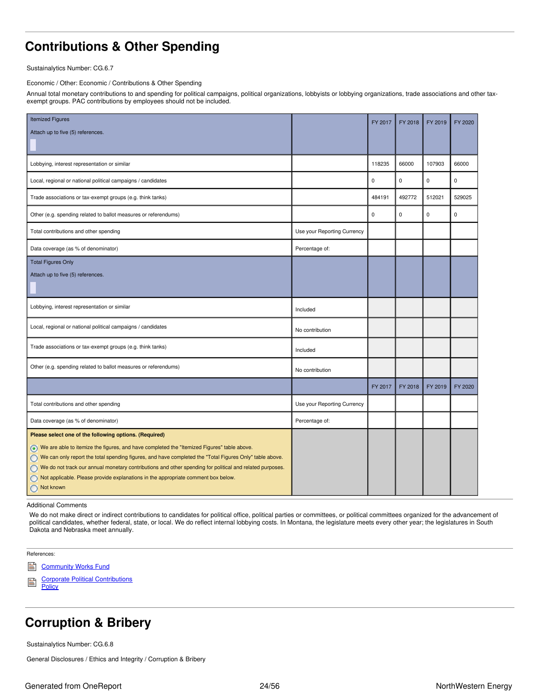# <span id="page-23-0"></span>**Contributions & Other Spending**

Sustainalytics Number: CG.6.7

Economic / Other: Economic / Contributions & Other Spending

Annual total monetary contributions to and spending for political campaigns, political organizations, lobbyists or lobbying organizations, trade associations and other taxexempt groups. PAC contributions by employees should not be included.

| <b>Itemized Figures</b><br>Attach up to five (5) references.                                                                                                                                                                                                                                                                                                                                                                                                                      |                             | FY 2017     | FY 2018     | FY 2019 | FY 2020 |
|-----------------------------------------------------------------------------------------------------------------------------------------------------------------------------------------------------------------------------------------------------------------------------------------------------------------------------------------------------------------------------------------------------------------------------------------------------------------------------------|-----------------------------|-------------|-------------|---------|---------|
| Lobbying, interest representation or similar                                                                                                                                                                                                                                                                                                                                                                                                                                      |                             | 118235      | 66000       | 107903  | 66000   |
| Local, regional or national political campaigns / candidates                                                                                                                                                                                                                                                                                                                                                                                                                      |                             | $\mathbf 0$ | $\mathbf 0$ | 0       | 0       |
| Trade associations or tax-exempt groups (e.g. think tanks)                                                                                                                                                                                                                                                                                                                                                                                                                        |                             | 484191      | 492772      | 512021  | 529025  |
| Other (e.g. spending related to ballot measures or referendums)                                                                                                                                                                                                                                                                                                                                                                                                                   |                             | $\mathbf 0$ | 0           | 0       | 0       |
| Total contributions and other spending                                                                                                                                                                                                                                                                                                                                                                                                                                            | Use your Reporting Currency |             |             |         |         |
| Data coverage (as % of denominator)                                                                                                                                                                                                                                                                                                                                                                                                                                               | Percentage of:              |             |             |         |         |
| <b>Total Figures Only</b><br>Attach up to five (5) references.                                                                                                                                                                                                                                                                                                                                                                                                                    |                             |             |             |         |         |
| Lobbying, interest representation or similar                                                                                                                                                                                                                                                                                                                                                                                                                                      | Included                    |             |             |         |         |
| Local, regional or national political campaigns / candidates                                                                                                                                                                                                                                                                                                                                                                                                                      | No contribution             |             |             |         |         |
| Trade associations or tax-exempt groups (e.g. think tanks)                                                                                                                                                                                                                                                                                                                                                                                                                        | Included                    |             |             |         |         |
| Other (e.g. spending related to ballot measures or referendums)                                                                                                                                                                                                                                                                                                                                                                                                                   | No contribution             |             |             |         |         |
|                                                                                                                                                                                                                                                                                                                                                                                                                                                                                   |                             | FY 2017     | FY 2018     | FY 2019 | FY 2020 |
| Total contributions and other spending                                                                                                                                                                                                                                                                                                                                                                                                                                            | Use your Reporting Currency |             |             |         |         |
| Data coverage (as % of denominator)                                                                                                                                                                                                                                                                                                                                                                                                                                               | Percentage of:              |             |             |         |         |
| Please select one of the following options. (Required)<br>We are able to itemize the figures, and have completed the "Itemized Figures" table above.<br>◯ We can only report the total spending figures, and have completed the "Total Figures Only" table above.<br>◯ We do not track our annual monetary contributions and other spending for political and related purposes.<br>Not applicable. Please provide explanations in the appropriate comment box below.<br>Not known |                             |             |             |         |         |

Additional Comments

We do not make direct or indirect contributions to candidates for political office, political parties or committees, or political committees organized for the advancement of political candidates, whether federal, state, or local. We do reflect internal lobbying costs. In Montana, the legislature meets every other year; the legislatures in South Dakota and Nebraska meet annually.

References:

- 閶 **[Community](https://www.northwesternenergy.com/community-works/community-works-fund) Works Fund**
- Corporate Political [Contributions](https://www.northwesternenergy.com/docs/default-source/default-document-library/about-us/esg/politicalcontributionspolicy.pdf?sfvrsn=4ced8f0b_8) B
- **Policy**

# <span id="page-23-1"></span>**Corruption & Bribery**

Sustainalytics Number: CG.6.8

General Disclosures / Ethics and Integrity / Corruption & Bribery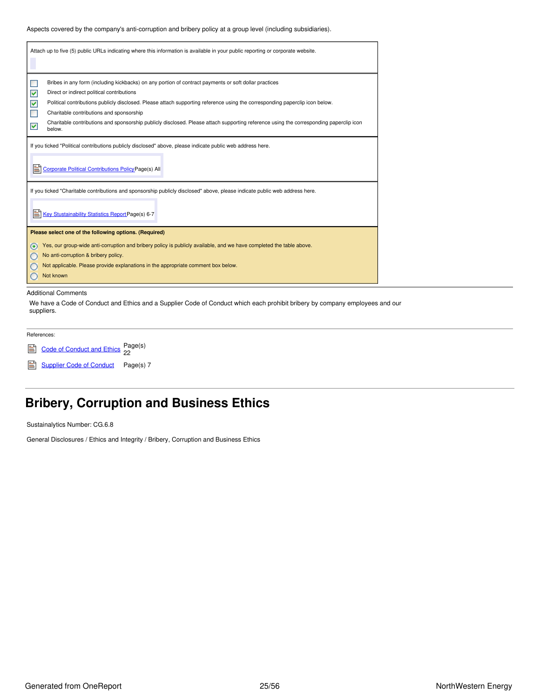### Aspects covered by the company's anti-corruption and bribery policy at a group level (including subsidiaries).

#### Additional Comments

We have a Code of Conduct and Ethics and a Supplier Code of Conduct which each prohibit bribery by company employees and our suppliers.

| References:                        |  |
|------------------------------------|--|
| Code of Conduct and Ethics Page(s) |  |
| Supplier Code of Conduct Page(s) 7 |  |

# <span id="page-24-0"></span>**Bribery, Corruption and Business Ethics**

Sustainalytics Number: CG.6.8

General Disclosures / Ethics and Integrity / Bribery, Corruption and Business Ethics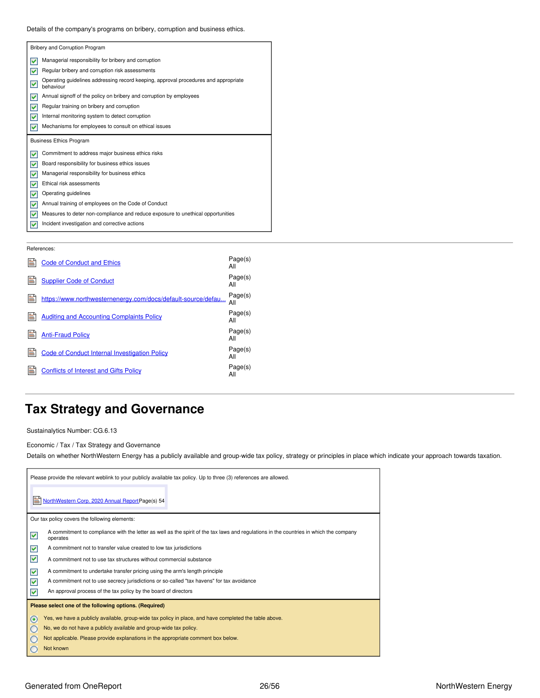Details of the company's programs on bribery, corruption and business ethics.

| <b>Bribery and Corruption Program</b> |                                                                                                  |  |  |  |
|---------------------------------------|--------------------------------------------------------------------------------------------------|--|--|--|
| v                                     | Managerial responsibility for bribery and corruption                                             |  |  |  |
| M                                     | Regular bribery and corruption risk assessments                                                  |  |  |  |
| ⊻                                     | Operating guidelines addressing record keeping, approval procedures and appropriate<br>behaviour |  |  |  |
| M                                     | Annual signoff of the policy on bribery and corruption by employees                              |  |  |  |
| M                                     | Regular training on bribery and corruption                                                       |  |  |  |
| M                                     | Internal monitoring system to detect corruption                                                  |  |  |  |
| M                                     | Mechanisms for employees to consult on ethical issues                                            |  |  |  |
|                                       | <b>Business Ethics Program</b>                                                                   |  |  |  |
| M                                     | Commitment to address major business ethics risks                                                |  |  |  |
| v                                     | Board responsibility for business ethics issues                                                  |  |  |  |
| M                                     | Managerial responsibility for business ethics                                                    |  |  |  |
| M                                     | Ethical risk assessments                                                                         |  |  |  |
| M                                     | Operating guidelines                                                                             |  |  |  |
| M                                     | Annual training of employees on the Code of Conduct                                              |  |  |  |
| M                                     | Measures to deter non-compliance and reduce exposure to unethical opportunities                  |  |  |  |
| M                                     | Incident investigation and corrective actions                                                    |  |  |  |

#### References:

| <b>Code of Conduct and Ethics</b>                            | Page(s)<br>All |
|--------------------------------------------------------------|----------------|
| <b>Supplier Code of Conduct</b>                              | Page(s)<br>All |
| https://www.northwesternenergy.com/docs/default-source/defau | Page(s)<br>All |
| <b>Auditing and Accounting Complaints Policy</b>             | Page(s)<br>All |
| <b>Anti-Fraud Policy</b>                                     | Page(s)<br>All |
| <b>Code of Conduct Internal Investigation Policy</b>         | Paqe(s)<br>All |
| <b>Conflicts of Interest and Gifts Policy</b>                | Page(s)<br>All |

### <span id="page-25-0"></span>**Tax Strategy and Governance**

Sustainalytics Number: CG.6.13

Economic / Tax / Tax Strategy and Governance

Details on whether NorthWestern Energy has a publicly available and group-wide tax policy, strategy or principles in place which indicate your approach towards taxation.

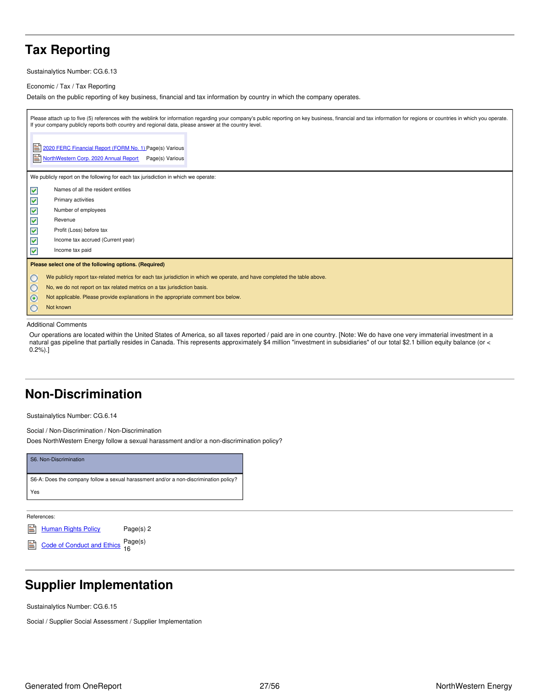# <span id="page-26-0"></span>**Tax Reporting**

Sustainalytics Number: CG.6.13

### Economic / Tax / Tax Reporting

Details on the public reporting of key business, financial and tax information by country in which the company operates.

| Please attach up to five (5) references with the weblink for information regarding your company's public reporting on key business, financial and tax information for regions or countries in which you operate.<br>If your company publicly reports both country and regional data, please answer at the country level. |
|--------------------------------------------------------------------------------------------------------------------------------------------------------------------------------------------------------------------------------------------------------------------------------------------------------------------------|
| E1<br>2020 FERC Financial Report (FORM No. 1) Page(s) Various<br>NorthWestern Corp. 2020 Annual Report Page(s) Various                                                                                                                                                                                                   |
| We publicly report on the following for each tax jurisdiction in which we operate:                                                                                                                                                                                                                                       |
| Names of all the resident entities<br>V                                                                                                                                                                                                                                                                                  |
| V<br>Primary activities                                                                                                                                                                                                                                                                                                  |
| V<br>Number of employees                                                                                                                                                                                                                                                                                                 |
| V<br>Revenue                                                                                                                                                                                                                                                                                                             |
| V<br>Profit (Loss) before tax                                                                                                                                                                                                                                                                                            |
| V<br>Income tax accrued (Current year)                                                                                                                                                                                                                                                                                   |
| V<br>Income tax paid                                                                                                                                                                                                                                                                                                     |
| Please select one of the following options. (Required)                                                                                                                                                                                                                                                                   |
| We publicly report tax-related metrics for each tax jurisdiction in which we operate, and have completed the table above.<br>$\circ$                                                                                                                                                                                     |
| $\circ$<br>No, we do not report on tax related metrics on a tax jurisdiction basis.                                                                                                                                                                                                                                      |
| $\circledcirc$<br>Not applicable. Please provide explanations in the appropriate comment box below.                                                                                                                                                                                                                      |
| $\circ$<br>Not known                                                                                                                                                                                                                                                                                                     |

#### Additional Comments

Our operations are located within the United States of America, so all taxes reported / paid are in one country. [Note: We do have one very immaterial investment in a natural gas pipeline that partially resides in Canada. This represents approximately \$4 million "investment in subsidiaries" of our total \$2.1 billion equity balance (or < 0.2%).]

# <span id="page-26-1"></span>**Non-Discrimination**

Sustainalytics Number: CG.6.14

Social / Non-Discrimination / Non-Discrimination

Does NorthWestern Energy follow a sexual harassment and/or a non-discrimination policy?



References:

[Human](https://www.northwesternenergy.com/docs/default-source/documents/corporategovernance/human-rights-policy.pdf) Rights Policy Page(s) 2

code of [Conduct](https://www.northwesternenergy.com/docs/default-source/documents/corporategovernance/nwe_2021_code_lowres.pdf) and Ethics Page(s) 16

## <span id="page-26-2"></span>**Supplier Implementation**

Sustainalytics Number: CG.6.15

Social / Supplier Social Assessment / Supplier Implementation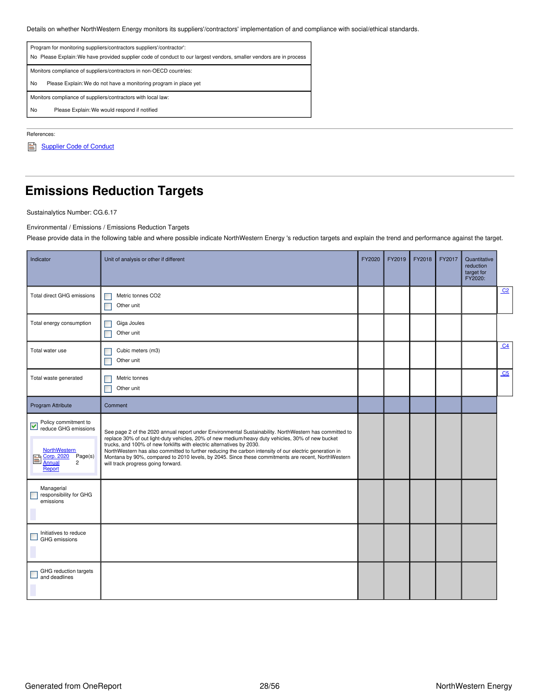Details on whether NorthWestern Energy monitors its suppliers'/contractors' implementation of and compliance with social/ethical standards.

| Program for monitoring suppliers/contractors suppliers/contractor':<br>No Please Explain: We have provided supplier code of conduct to our largest vendors, smaller vendors are in process |  |  |
|--------------------------------------------------------------------------------------------------------------------------------------------------------------------------------------------|--|--|
| Monitors compliance of suppliers/contractors in non-OECD countries:<br><b>No</b><br>Please Explain: We do not have a monitoring program in place yet                                       |  |  |
| Monitors compliance of suppliers/contractors with local law:<br>No<br>Please Explain: We would respond if notified                                                                         |  |  |

References:

[Supplier](https://www.northwesternenergy.com/docs/default-source/documents/corporategovernance/suppliercodeofconduct_10-2020.pdf) Code of Conduct

# <span id="page-27-0"></span>**Emissions Reduction Targets**

Sustainalytics Number: CG.6.17

Environmental / Emissions / Emissions Reduction Targets

Please provide data in the following table and where possible indicate NorthWestern Energy 's reduction targets and explain the trend and performance against the target.

| Indicator                                                                                                                                                | Unit of analysis or other if different                                                                                                                                                                                                                                                                                                                                                                                                                                                                                                    | FY2020 | FY2019 | FY2018 | FY2017 | Quantitative<br>reduction<br>target for<br>FY2020: |                |
|----------------------------------------------------------------------------------------------------------------------------------------------------------|-------------------------------------------------------------------------------------------------------------------------------------------------------------------------------------------------------------------------------------------------------------------------------------------------------------------------------------------------------------------------------------------------------------------------------------------------------------------------------------------------------------------------------------------|--------|--------|--------|--------|----------------------------------------------------|----------------|
| Total direct GHG emissions                                                                                                                               | Metric tonnes CO2<br>Г<br>Other unit<br>П                                                                                                                                                                                                                                                                                                                                                                                                                                                                                                 |        |        |        |        |                                                    | C <sub>2</sub> |
| Total energy consumption                                                                                                                                 | Giga Joules<br>П<br>П<br>Other unit                                                                                                                                                                                                                                                                                                                                                                                                                                                                                                       |        |        |        |        |                                                    |                |
| Total water use                                                                                                                                          | Cubic meters (m3)<br>П<br>Г<br>Other unit                                                                                                                                                                                                                                                                                                                                                                                                                                                                                                 |        |        |        |        |                                                    | C <sub>4</sub> |
| Total waste generated                                                                                                                                    | Metric tonnes<br>П<br>Other unit                                                                                                                                                                                                                                                                                                                                                                                                                                                                                                          |        |        |        |        |                                                    | C <sub>5</sub> |
| Program Attribute                                                                                                                                        | Comment                                                                                                                                                                                                                                                                                                                                                                                                                                                                                                                                   |        |        |        |        |                                                    |                |
| Policy commitment to<br>reduce GHG emissions<br>$\blacktriangledown$<br>NorthWestern<br>Corp. 2020<br>Page(s)<br>e<br>Annual<br>$\overline{2}$<br>Report | See page 2 of the 2020 annual report under Environmental Sustainability. NorthWestern has committed to<br>replace 30% of out light-duty vehicles, 20% of new medium/heavy duty vehicles, 30% of new bucket<br>trucks, and 100% of new forklifts with electric alternatives by 2030.<br>NorthWestern has also committed to further reducing the carbon intensity of our electric generation in<br>Montana by 90%, compared to 2010 levels, by 2045. Since these commitments are recent, NorthWestern<br>will track progress going forward. |        |        |        |        |                                                    |                |
| Managerial<br>responsibility for GHG<br>emissions                                                                                                        |                                                                                                                                                                                                                                                                                                                                                                                                                                                                                                                                           |        |        |        |        |                                                    |                |
| Initiatives to reduce<br>GHG emissions                                                                                                                   |                                                                                                                                                                                                                                                                                                                                                                                                                                                                                                                                           |        |        |        |        |                                                    |                |
| GHG reduction targets<br>and deadlines                                                                                                                   |                                                                                                                                                                                                                                                                                                                                                                                                                                                                                                                                           |        |        |        |        |                                                    |                |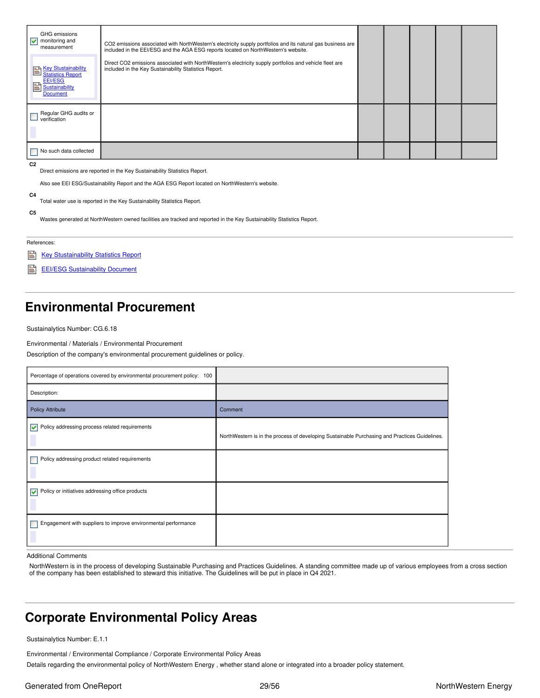| GHG emissions<br>$\sqrt{\phantom{a}}$ monitoring and<br>measurement                | CO2 emissions associated with NorthWestern's electricity supply portfolios and its natural gas business are<br>included in the EEI/ESG and the AGA ESG reports located on NorthWestern's website. |  |  |  |
|------------------------------------------------------------------------------------|---------------------------------------------------------------------------------------------------------------------------------------------------------------------------------------------------|--|--|--|
| <b>ED</b> Key Stustainability<br><b>EEI/ESG</b><br>閶<br>Sustainability<br>Document | Direct CO2 emissions associated with NorthWestern's electricity supply portfolios and vehicle fleet are<br>included in the Key Sustainability Statistics Report.                                  |  |  |  |
| Regular GHG audits or<br>verification                                              |                                                                                                                                                                                                   |  |  |  |
| No such data collected                                                             |                                                                                                                                                                                                   |  |  |  |

<span id="page-28-2"></span>**C2**

Direct emissions are reported in the Key Sustainability Statistics Report.

Also see EEI ESG/Sustainability Report and the AGA ESG Report located on NorthWestern's website.

<span id="page-28-3"></span>**C4**

Total water use is reported in the Key Sustainability Statistics Report.

<span id="page-28-4"></span>**C5**

Wastes generated at NorthWestern owned facilities are tracked and reported in the Key Sustainability Statistics Report.

References:

Key [Stustainability](https://www.northwesternenergy.com/docs/default-source/documents/esg/ESG-Sustainability-Statistics-Nov-2020.pdf) Statistics Report

閶 **EEI/ESG [Sustainability](https://www.northwesternenergy.com/docs/default-source/default-document-library/about-us/esg/eei-esg-sustainability-quantitative-2015-2019.pdf) Document** 

## <span id="page-28-0"></span>**Environmental Procurement**

Sustainalytics Number: CG.6.18

Environmental / Materials / Environmental Procurement

Description of the company's environmental procurement guidelines or policy.

| Percentage of operations covered by environmental procurement policy: 100 |                                                                                               |
|---------------------------------------------------------------------------|-----------------------------------------------------------------------------------------------|
| Description:                                                              |                                                                                               |
| <b>Policy Attribute</b>                                                   | Comment                                                                                       |
| Policy addressing process related requirements                            | NorthWestern is in the process of developing Sustainable Purchasing and Practices Guidelines. |
| Policy addressing product related requirements                            |                                                                                               |
| $\triangleright$ Policy or initiatives addressing office products         |                                                                                               |
| Engagement with suppliers to improve environmental performance            |                                                                                               |

#### Additional Comments

NorthWestern is in the process of developing Sustainable Purchasing and Practices Guidelines. A standing committee made up of various employees from a cross section of the company has been established to steward this initiative. The Guidelines will be put in place in Q4 2021.

### <span id="page-28-1"></span>**Corporate Environmental Policy Areas**

Sustainalytics Number: E.1.1

Environmental / Environmental Compliance / Corporate Environmental Policy Areas

Details regarding the environmental policy of NorthWestern Energy , whether stand alone or integrated into a broader policy statement.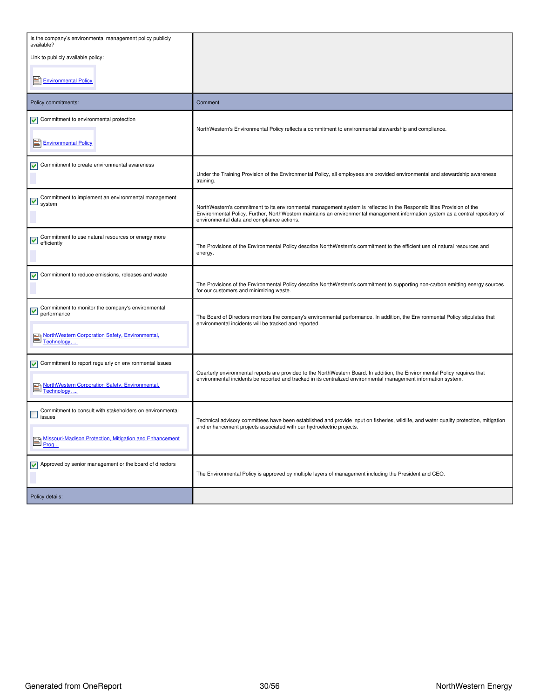| Is the company's environmental management policy publicly<br>available?                   |                                                                                                                                                                                                                                                                                                         |
|-------------------------------------------------------------------------------------------|---------------------------------------------------------------------------------------------------------------------------------------------------------------------------------------------------------------------------------------------------------------------------------------------------------|
| Link to publicly available policy:                                                        |                                                                                                                                                                                                                                                                                                         |
| Environmental Policy                                                                      |                                                                                                                                                                                                                                                                                                         |
| Policy commitments:                                                                       | Comment                                                                                                                                                                                                                                                                                                 |
| Commitment to environmental protection<br>Environmental Policy                            | NorthWestern's Environmental Policy reflects a commitment to environmental stewardship and compliance.                                                                                                                                                                                                  |
| Commitment to create environmental awareness                                              | Under the Training Provision of the Environmental Policy, all employees are provided environmental and stewardship awareness<br>training.                                                                                                                                                               |
| Commitment to implement an environmental management<br>▽<br>system                        | NorthWestern's commitment to its environmental management system is reflected in the Responsibilities Provision of the<br>Environmental Policy. Further, NorthWestern maintains an environmental management information system as a central repository of<br>environmental data and compliance actions. |
| Commitment to use natural resources or energy more<br>$\blacktriangledown$<br>efficiently | The Provisions of the Environmental Policy describe NorthWestern's commitment to the efficient use of natural resources and<br>energy.                                                                                                                                                                  |
| Commitment to reduce emissions, releases and waste<br>⊵                                   | The Provisions of the Environmental Policy describe NorthWestern's commitment to supporting non-carbon emitting energy sources<br>for our customers and minimizing waste.                                                                                                                               |
| Commitment to monitor the company's environmental<br>performance                          | The Board of Directors monitors the company's environmental performance. In addition, the Environmental Policy stipulates that<br>environmental incidents will be tracked and reported.                                                                                                                 |
| NorthWestern Corporation Safety, Environmental,                                           |                                                                                                                                                                                                                                                                                                         |
| Commitment to report regularly on environmental issues                                    |                                                                                                                                                                                                                                                                                                         |
| NorthWestern Corporation Safety, Environmental,                                           | Quarterly environmental reports are provided to the NorthWestern Board. In addition, the Environmental Policy requires that<br>environmental incidents be reported and tracked in its centralized environmental management information system.                                                          |
| Commitment to consult with stakeholders on environmental<br>issues                        | Technical advisory committees have been established and provide input on fisheries, wildlife, and water quality protection, mitigation<br>and enhancement projects associated with our hydroelectric projects.                                                                                          |
| Missouri-Madison Protection, Mitigation and Enhancement                                   |                                                                                                                                                                                                                                                                                                         |
| Approved by senior management or the board of directors                                   | The Environmental Policy is approved by multiple layers of management including the President and CEO.                                                                                                                                                                                                  |
| Policy details:                                                                           |                                                                                                                                                                                                                                                                                                         |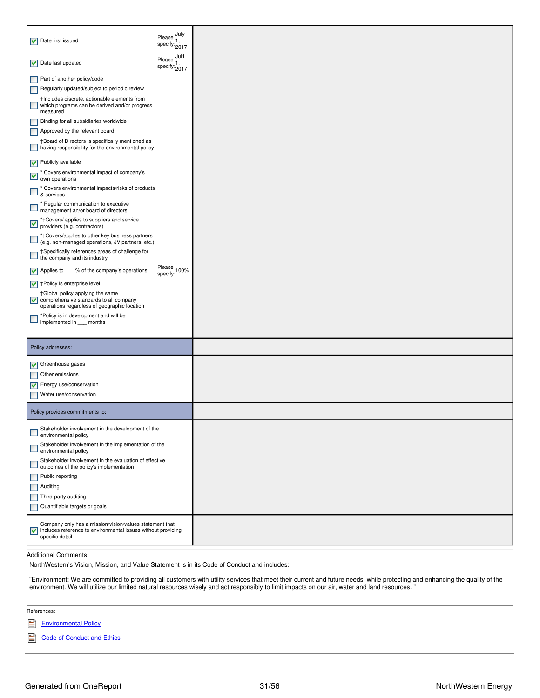|                             | $\triangleright$ Date first issued                                                                                                          | Please July<br>specify: 2017                                 |
|-----------------------------|---------------------------------------------------------------------------------------------------------------------------------------------|--------------------------------------------------------------|
|                             | $\triangleright$ Date last updated                                                                                                          | Please $\frac{$ \text{Jul1}}{1}<br>specify: $\frac{1}{2017}$ |
|                             | Part of another policy/code                                                                                                                 |                                                              |
|                             | Regularly updated/subject to periodic review                                                                                                |                                                              |
| $\Box$                      | †Includes discrete, actionable elements from<br>which programs can be derived and/or progress<br>measured                                   |                                                              |
| $\Box$                      | Binding for all subsidiaries worldwide                                                                                                      |                                                              |
|                             | Approved by the relevant board                                                                                                              |                                                              |
|                             | †Board of Directors is specifically mentioned as<br>having responsibility for the environmental policy                                      |                                                              |
|                             | $\blacktriangleright$ Publicly available                                                                                                    |                                                              |
|                             | * Covers environmental impact of company's<br>$\overline{\smash{\bigtriangledown}}$ own operations                                          |                                                              |
|                             | * Covers environmental impacts/risks of products<br>& services                                                                              |                                                              |
|                             | * Regular communication to executive<br>management an/or board of directors                                                                 |                                                              |
|                             | *†Covers/ applies to suppliers and service<br>providers (e.g. contractors)                                                                  |                                                              |
|                             | *†Covers/applies to other key business partners<br>(e.g. non-managed operations, JV partners, etc.)                                         |                                                              |
|                             | †Specifically references areas of challenge for<br>$\Box$ the company and its industry                                                      |                                                              |
|                             | ✔ Applies to <sub>2</sub> % of the company's operations                                                                                     | Please<br>specify: 100%                                      |
|                             | $\blacktriangleright$ † Policy is enterprise level                                                                                          |                                                              |
|                             | †Global policy applying the same<br>$\triangleright$ comprehensive standards to all company<br>operations regardless of geographic location |                                                              |
|                             | *Policy is in development and will be<br>implemented in <u>months</u>                                                                       |                                                              |
|                             |                                                                                                                                             |                                                              |
|                             | Policy addresses:                                                                                                                           |                                                              |
|                             | $\sqrt{\phantom{a}}$ Greenhouse gases                                                                                                       |                                                              |
|                             | Other emissions                                                                                                                             |                                                              |
|                             | $\sqrt{\phantom{a}}$ Energy use/conservation                                                                                                |                                                              |
|                             | Water use/conservation                                                                                                                      |                                                              |
|                             | Policy provides commitments to:                                                                                                             |                                                              |
| L                           | Stakeholder involvement in the development of the<br>environmental policy                                                                   |                                                              |
| L                           | Stakeholder involvement in the implementation of the<br>environmental policy                                                                |                                                              |
| $\mathcal{L}_{\mathcal{A}}$ | Stakeholder involvement in the evaluation of effective<br>outcomes of the policy's implementation                                           |                                                              |
|                             | Public reporting                                                                                                                            |                                                              |
|                             | Auditing                                                                                                                                    |                                                              |
|                             | Third-party auditing                                                                                                                        |                                                              |
|                             | Quantifiable targets or goals                                                                                                               |                                                              |
|                             | Company only has a mission/vision/values statement that<br>vincludes reference to environmental issues without providing<br>specific detail |                                                              |

### Additional Comments

NorthWestern's Vision, Mission, and Value Statement is in its Code of Conduct and includes:

"Environment: We are committed to providing all customers with utility services that meet their current and future needs, while protecting and enhancing the quality of the environment. We will utilize our limited natural resources wisely and act responsibly to limit impacts on our air, water and land resources. "

References:

[Environmental](https://www.northwesternenergy.com/docs/default-source/documents/environment/environmental-commitment/environmental-policy-07012017.pdf) Policy

P **Code of [Conduct](https://www.northwesternenergy.com/docs/default-source/documents/corporategovernance/nwe_2021_code_lowres.pdf) and Ethics**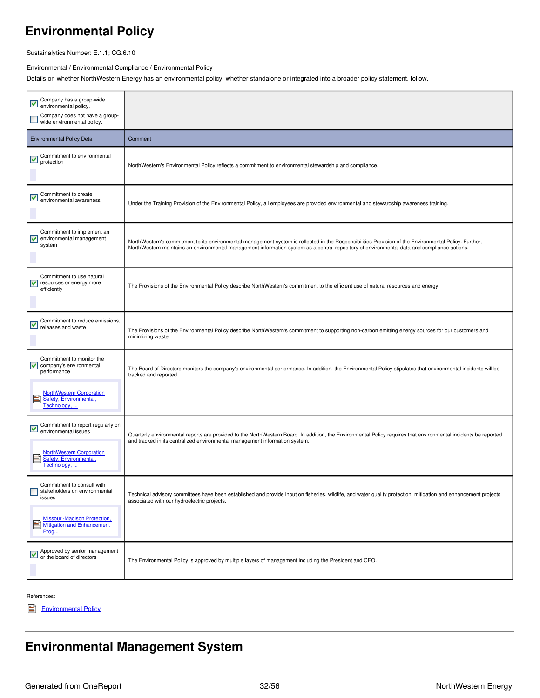# <span id="page-31-0"></span>**Environmental Policy**

Sustainalytics Number: E.1.1; CG.6.10

Environmental / Environmental Compliance / Environmental Policy

Details on whether NorthWestern Energy has an environmental policy, whether standalone or integrated into a broader policy statement, follow.

| Company has a group-wide<br>⊻<br>environmental policy.<br>Company does not have a group-<br>wide environmental policy.                                         |                                                                                                                                                                                                                                                                                                      |
|----------------------------------------------------------------------------------------------------------------------------------------------------------------|------------------------------------------------------------------------------------------------------------------------------------------------------------------------------------------------------------------------------------------------------------------------------------------------------|
| <b>Environmental Policy Detail</b>                                                                                                                             | Comment                                                                                                                                                                                                                                                                                              |
| Commitment to environmental<br>V<br>protection                                                                                                                 | NorthWestern's Environmental Policy reflects a commitment to environmental stewardship and compliance.                                                                                                                                                                                               |
| Commitment to create<br>V<br>environmental awareness                                                                                                           | Under the Training Provision of the Environmental Policy, all employees are provided environmental and stewardship awareness training.                                                                                                                                                               |
| Commitment to implement an<br>environmental management<br>M<br>system                                                                                          | NorthWestern's commitment to its environmental management system is reflected in the Responsibilities Provision of the Environmental Policy. Further,<br>NorthWestern maintains an environmental management information system as a central repository of environmental data and compliance actions. |
| Commitment to use natural<br>M<br>resources or energy more<br>efficiently                                                                                      | The Provisions of the Environmental Policy describe NorthWestern's commitment to the efficient use of natural resources and energy.                                                                                                                                                                  |
| Commitment to reduce emissions,<br>V<br>releases and waste                                                                                                     | The Provisions of the Environmental Policy describe NorthWestern's commitment to supporting non-carbon emitting energy sources for our customers and<br>minimizing waste.                                                                                                                            |
| Commitment to monitor the<br>company's environmental<br>M<br>performance<br><b>NorthWestern Corporation</b>                                                    | The Board of Directors monitors the company's environmental performance. In addition, the Environmental Policy stipulates that environmental incidents will be<br>tracked and reported.                                                                                                              |
| B<br>Safety, Environmental,<br>Technology,                                                                                                                     |                                                                                                                                                                                                                                                                                                      |
| Commitment to report regularly on<br>environmental issues<br><b>NorthWestern Corporation</b><br>Safety, Environmental,<br>Technology,                          | Quarterly environmental reports are provided to the NorthWestern Board. In addition, the Environmental Policy requires that environmental incidents be reported<br>and tracked in its centralized environmental management information system.                                                       |
| Commitment to consult with<br>stakeholders on environmental<br>issues<br><b>Missouri-Madison Protection,</b><br>冒<br><b>Mitigation and Enhancement</b><br>Prog | Technical advisory committees have been established and provide input on fisheries, wildlife, and water quality protection, mitigation and enhancement projects<br>associated with our hydroelectric projects.                                                                                       |
| Approved by senior management<br>or the board of directors<br>V                                                                                                | The Environmental Policy is approved by multiple layers of management including the President and CEO.                                                                                                                                                                                               |

References:

[Environmental](https://www.northwesternenergy.com/docs/default-source/documents/environment/environmental-commitment/environmental-policy-07012017.pdf) Policy

# <span id="page-31-1"></span>**Environmental Management System**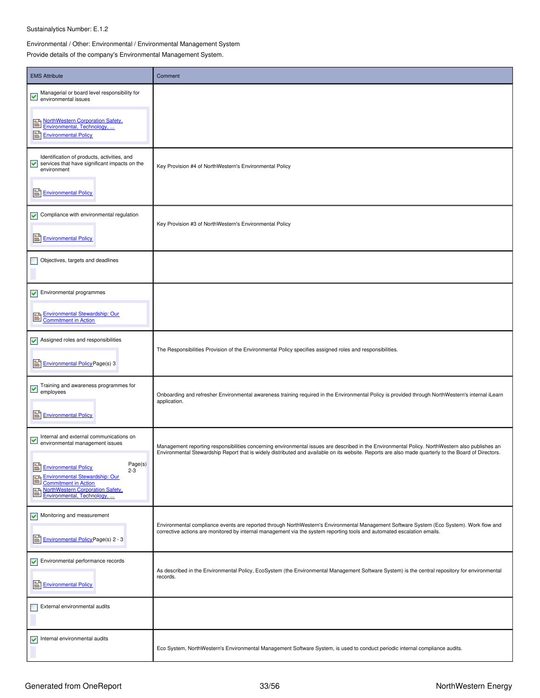### Sustainalytics Number: E.1.2

### Environmental / Other: Environmental / Environmental Management System

Provide details of the company's Environmental Management System.

| <b>EMS Attribute</b>                                                                                                         | Comment                                                                                                                                                           |
|------------------------------------------------------------------------------------------------------------------------------|-------------------------------------------------------------------------------------------------------------------------------------------------------------------|
| Managerial or board level responsibility for<br>$\blacktriangledown$<br>environmental issues                                 |                                                                                                                                                                   |
| NorthWestern Corporation Safety,<br>Environmental, Technology,<br>閶<br><b>Environmental Policy</b>                           |                                                                                                                                                                   |
| Identification of products, activities, and<br>services that have significant impacts on the<br>M<br>environment             | Key Provision #4 of NorthWestern's Environmental Policy                                                                                                           |
| 閶<br><b>Environmental Policy</b>                                                                                             |                                                                                                                                                                   |
| $\triangleright$ Compliance with environmental regulation                                                                    | Key Provision #3 of NorthWestern's Environmental Policy                                                                                                           |
| Ei<br><b>Environmental Policy</b>                                                                                            |                                                                                                                                                                   |
| Objectives, targets and deadlines                                                                                            |                                                                                                                                                                   |
| $\sqrt{\phantom{a}}$ Environmental programmes                                                                                |                                                                                                                                                                   |
| <b>Environmental Stewardship: Our</b><br>B<br><b>Commitment in Action</b>                                                    |                                                                                                                                                                   |
| $\triangleright$ Assigned roles and responsibilities                                                                         | The Responsibilities Provision of the Environmental Policy specifies assigned roles and responsibilities.                                                         |
| Ħ<br><b>Environmental Policy Page(s) 3</b>                                                                                   |                                                                                                                                                                   |
| Training and awareness programmes for<br>✓<br>employees                                                                      | Onboarding and refresher Environmental awareness training required in the Environmental Policy is provided through NorthWestern's internal iLearn<br>application. |
| ë<br><b>Environmental Policy</b>                                                                                             |                                                                                                                                                                   |
| Internal and external communications on<br>✔<br>environmental management issues                                              | Management reporting responsibilities concerning environmental issues are described in the Environmental Policy. NorthWestern also publishes an                   |
| Page(s)<br>B<br><b>Environmental Policy</b><br>$2 - 3$<br>Environmental Stewardship: Our<br>E<br><b>Commitment in Action</b> | Environmental Stewardship Report that is widely distributed and available on its website. Reports are also made quarterly to the Board of Directors.              |
| NorthWestern Corporation Safety,<br>e<br>Environmental, Technology,                                                          |                                                                                                                                                                   |
| Monitoring and measurement                                                                                                   | Environmental compliance events are reported through NorthWestern's Environmental Management Software System (Eco System). Work flow and                          |
| Environmental Policy Page(s) 2 - 3<br>圁                                                                                      | corrective actions are monitored by internal management via the system reporting tools and automated escalation emails.                                           |
| Environmental performance records                                                                                            | As described in the Environmental Policy, EcoSystem (the Environmental Management Software System) is the central repository for environmental                    |
| B<br><b>Environmental Policy</b>                                                                                             | records.                                                                                                                                                          |
| External environmental audits                                                                                                |                                                                                                                                                                   |
| Internal environmental audits<br>⊻                                                                                           | Eco System, NorthWestern's Environmental Management Software System, is used to conduct periodic internal compliance audits.                                      |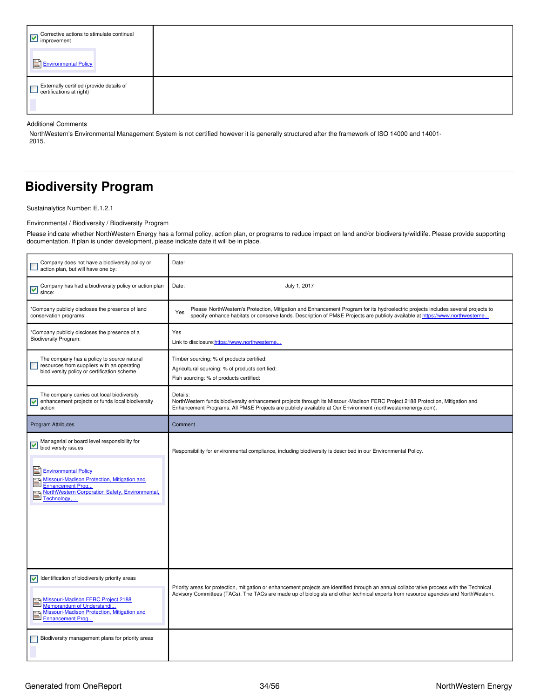| Corrective actions to stimulate continual<br>Oorrective active active<br>Environmental Policy |  |
|-----------------------------------------------------------------------------------------------|--|
| Externally certified (provide details of<br>certifications at right)                          |  |

Additional Comments

NorthWestern's Environmental Management System is not certified however it is generally structured after the framework of ISO 14000 and 14001- 2015.

# <span id="page-33-0"></span>**Biodiversity Program**

Sustainalytics Number: E.1.2.1

Environmental / Biodiversity / Biodiversity Program

Please indicate whether NorthWestern Energy has a formal policy, action plan, or programs to reduce impact on land and/or biodiversity/wildlife. Please provide supporting documentation. If plan is under development, please indicate date it will be in place.

| Company does not have a biodiversity policy or<br>action plan, but will have one by:                                                                                                            | Date:                                                                                                                                                                                                                                                                              |
|-------------------------------------------------------------------------------------------------------------------------------------------------------------------------------------------------|------------------------------------------------------------------------------------------------------------------------------------------------------------------------------------------------------------------------------------------------------------------------------------|
| Company has had a biodiversity policy or action plan<br>⊽<br>since:                                                                                                                             | Date:<br>July 1, 2017                                                                                                                                                                                                                                                              |
| *Company publicly discloses the presence of land<br>conservation programs:                                                                                                                      | Please NorthWestern's Protection, Mitigation and Enhancement Program for its hydroelectric projects includes several projects to<br>Yes<br>specify: enhance habitats or conserve lands. Description of PM&E Projects are publicly available at https://www.northwesterne           |
| *Company publicly discloses the presence of a<br><b>Biodiversity Program:</b>                                                                                                                   | Yes<br>Link to disclosure: https://www.northwesterne                                                                                                                                                                                                                               |
| The company has a policy to source natural<br>resources from suppliers with an operating<br>biodiversity policy or certification scheme                                                         | Timber sourcing: % of products certified:<br>Agricultural sourcing: % of products certified:<br>Fish sourcing: % of products certified:                                                                                                                                            |
| The company carries out local biodiversity<br>⊽<br>enhancement projects or funds local biodiversity<br>action                                                                                   | Details:<br>NorthWestern funds biodiversity enhancement projects through its Missouri-Madison FERC Project 2188 Protection, Mitigation and<br>Enhancement Programs. All PM&E Projects are publicly available at Our Environment (northwesternenergy.com).                          |
| Program Attributes                                                                                                                                                                              | Comment                                                                                                                                                                                                                                                                            |
| Managerial or board level responsibility for<br>V<br>biodiversity issues                                                                                                                        | Responsibility for environmental compliance, including biodiversity is described in our Environmental Policy.                                                                                                                                                                      |
| Ħ<br><b>Environmental Policy</b><br>Missouri-Madison Protection, Mitigation and<br>Enhancement Prog<br>NorthWestern Corporation Safety, Environmental,<br>Technology,                           |                                                                                                                                                                                                                                                                                    |
|                                                                                                                                                                                                 |                                                                                                                                                                                                                                                                                    |
|                                                                                                                                                                                                 |                                                                                                                                                                                                                                                                                    |
| Identification of biodiversity priority areas<br>Missouri-Madison FERC Project 2188<br>Memorandum of Understandi<br>Missouri-Madison Protection, Mitigation and<br>B<br><b>Enhancement Prog</b> | Priority areas for protection, mitigation or enhancement projects are identified through an annual collaborative process with the Technical<br>Advisory Committees (TACs). The TACs are made up of biologists and other technical experts from resource agencies and NorthWestern. |
| Biodiversity management plans for priority areas                                                                                                                                                |                                                                                                                                                                                                                                                                                    |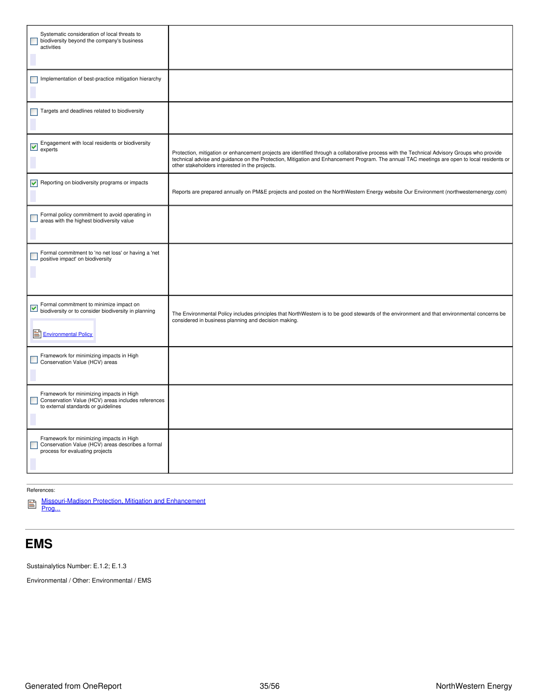| Systematic consideration of local threats to<br>biodiversity beyond the company's business<br>activities                              |                                                                                                                                                                                                                                                                                                                                               |
|---------------------------------------------------------------------------------------------------------------------------------------|-----------------------------------------------------------------------------------------------------------------------------------------------------------------------------------------------------------------------------------------------------------------------------------------------------------------------------------------------|
| Implementation of best-practice mitigation hierarchy                                                                                  |                                                                                                                                                                                                                                                                                                                                               |
| Targets and deadlines related to biodiversity                                                                                         |                                                                                                                                                                                                                                                                                                                                               |
| Engagement with local residents or biodiversity<br>V<br>experts                                                                       | Protection, mitigation or enhancement projects are identified through a collaborative process with the Technical Advisory Groups who provide<br>technical advise and guidance on the Protection, Mitigation and Enhancement Program. The annual TAC meetings are open to local residents or<br>other stakeholders interested in the projects. |
| Reporting on biodiversity programs or impacts<br>⊽                                                                                    | Reports are prepared annually on PM&E projects and posted on the NorthWestern Energy website Our Environment (northwesternenergy.com)                                                                                                                                                                                                         |
| Formal policy commitment to avoid operating in<br>L<br>areas with the highest biodiversity value                                      |                                                                                                                                                                                                                                                                                                                                               |
| Formal commitment to 'no net loss' or having a 'net<br>positive impact' on biodiversity                                               |                                                                                                                                                                                                                                                                                                                                               |
| Formal commitment to minimize impact on<br>biodiversity or to consider biodiversity in planning<br>Environmental Policy               | The Environmental Policy includes principles that NorthWestern is to be good stewards of the environment and that environmental concerns be<br>considered in business planning and decision making.                                                                                                                                           |
| Framework for minimizing impacts in High<br>Conservation Value (HCV) areas                                                            |                                                                                                                                                                                                                                                                                                                                               |
| Framework for minimizing impacts in High<br>Conservation Value (HCV) areas includes references<br>to external standards or guidelines |                                                                                                                                                                                                                                                                                                                                               |
| Framework for minimizing impacts in High<br>Conservation Value (HCV) areas describes a formal<br>process for evaluating projects      |                                                                                                                                                                                                                                                                                                                                               |

References:

[Missouri-Madison](https://www.northwesternenergy.com/environment/missouri-madison-project-2188) Protection, Mitigation and Enhancement Prog...

### <span id="page-34-0"></span>**EMS**

Sustainalytics Number: E.1.2; E.1.3

Environmental / Other: Environmental / EMS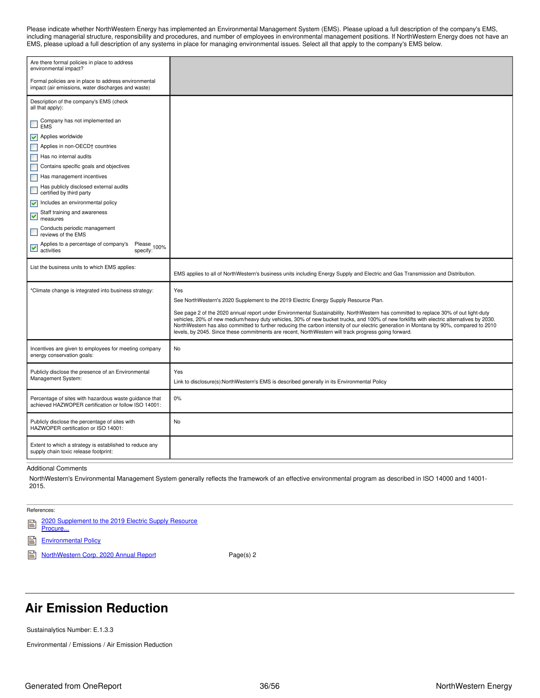Please indicate whether NorthWestern Energy has implemented an Environmental Management System (EMS). Please upload a full description of the company's EMS, including managerial structure, responsibility and procedures, and number of employees in environmental management positions. If NorthWestern Energy does not have an EMS, please upload a full description of any systems in place for managing environmental issues. Select all that apply to the company's EMS below.

| Are there formal policies in place to address<br>environmental impact?<br>Formal policies are in place to address environmental<br>impact (air emissions, water discharges and waste)                                                                                                                                                                                                                                                    |                                                                                                                                                                                                                                                                                                                                                                                                                                                                                                                                                                                                                                    |
|------------------------------------------------------------------------------------------------------------------------------------------------------------------------------------------------------------------------------------------------------------------------------------------------------------------------------------------------------------------------------------------------------------------------------------------|------------------------------------------------------------------------------------------------------------------------------------------------------------------------------------------------------------------------------------------------------------------------------------------------------------------------------------------------------------------------------------------------------------------------------------------------------------------------------------------------------------------------------------------------------------------------------------------------------------------------------------|
| Description of the company's EMS (check<br>all that apply):<br>Company has not implemented an<br><b>EMS</b><br>Applies worldwide<br>▽<br>Applies in non-OECD† countries<br>Has no internal audits<br>Contains specific goals and objectives<br>Has management incentives<br>Has publicly disclosed external audits<br>certified by third party<br>Includes an environmental policy<br>M<br>Staff training and awareness<br>▽<br>measures |                                                                                                                                                                                                                                                                                                                                                                                                                                                                                                                                                                                                                                    |
| Conducts periodic management<br>reviews of the EMS<br>Applies to a percentage of company's<br>Please 100%<br>V<br>activities<br>specify:                                                                                                                                                                                                                                                                                                 |                                                                                                                                                                                                                                                                                                                                                                                                                                                                                                                                                                                                                                    |
| List the business units to which EMS applies:                                                                                                                                                                                                                                                                                                                                                                                            | EMS applies to all of NorthWestern's business units including Energy Supply and Electric and Gas Transmission and Distribution.                                                                                                                                                                                                                                                                                                                                                                                                                                                                                                    |
| *Climate change is integrated into business strategy:                                                                                                                                                                                                                                                                                                                                                                                    | Yes<br>See NorthWestern's 2020 Supplement to the 2019 Electric Energy Supply Resource Plan.<br>See page 2 of the 2020 annual report under Environmental Sustainability. NorthWestern has committed to replace 30% of out light-duty<br>vehicles, 20% of new medium/heavy duty vehicles, 30% of new bucket trucks, and 100% of new forklifts with electric alternatives by 2030.<br>NorthWestern has also committed to further reducing the carbon intensity of our electric generation in Montana by 90%, compared to 2010<br>levels, by 2045. Since these commitments are recent, NorthWestern will track progress going forward. |
| Incentives are given to employees for meeting company<br>energy conservation goals:                                                                                                                                                                                                                                                                                                                                                      | No                                                                                                                                                                                                                                                                                                                                                                                                                                                                                                                                                                                                                                 |
| Publicly disclose the presence of an Environmental<br>Management System:                                                                                                                                                                                                                                                                                                                                                                 | Yes<br>Link to disclosure(s):NorthWestern's EMS is described generally in its Environmental Policy                                                                                                                                                                                                                                                                                                                                                                                                                                                                                                                                 |
| Percentage of sites with hazardous waste guidance that                                                                                                                                                                                                                                                                                                                                                                                   |                                                                                                                                                                                                                                                                                                                                                                                                                                                                                                                                                                                                                                    |
| achieved HAZWOPER certification or follow ISO 14001:                                                                                                                                                                                                                                                                                                                                                                                     | 0%                                                                                                                                                                                                                                                                                                                                                                                                                                                                                                                                                                                                                                 |
| Publicly disclose the percentage of sites with<br>HAZWOPER certification or ISO 14001:                                                                                                                                                                                                                                                                                                                                                   | No                                                                                                                                                                                                                                                                                                                                                                                                                                                                                                                                                                                                                                 |

#### Additional Comments

NorthWestern's Environmental Management System generally reflects the framework of an effective environmental program as described in ISO 14000 and 14001- 2015.

### References:

| <b>ED</b> 2020 Supplement to the 2019 Electric Supply Resource<br>Procure |
|---------------------------------------------------------------------------|
|                                                                           |

昏 [Environmental](https://www.northwesternenergy.com/docs/default-source/documents/environment/environmental-commitment/environmental-policy-07012017.pdf) Policy

[NorthWestern](https://www.northwesternenergy.com/docs/default-source/documents/annual-report/2020-annual-report-10k-final.pdf) Corp. 2020 Annual Report Page(s) 2

### <span id="page-35-0"></span>**Air Emission Reduction**

Sustainalytics Number: E.1.3.3

Environmental / Emissions / Air Emission Reduction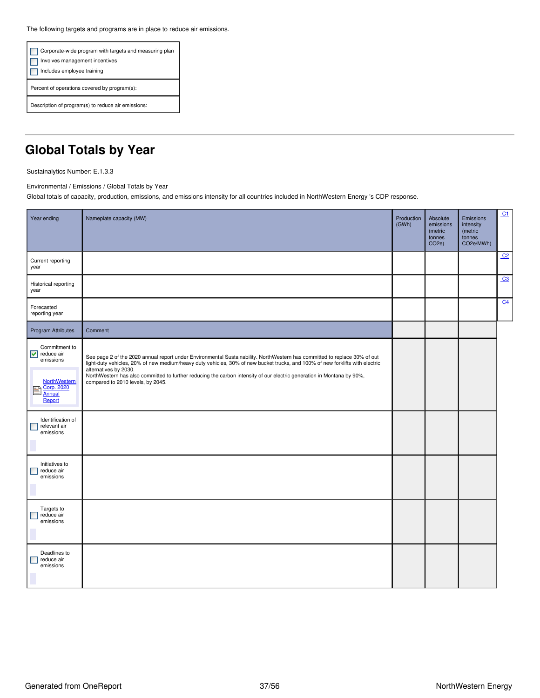The following targets and programs are in place to reduce air emissions.

| Corporate-wide program with targets and measuring plan<br>Involves management incentives<br>Includes employee training |
|------------------------------------------------------------------------------------------------------------------------|
| Percent of operations covered by program(s):                                                                           |

Description of program(s) to reduce air emissions:

# <span id="page-36-0"></span>**Global Totals by Year**

Sustainalytics Number: E.1.3.3

Environmental / Emissions / Global Totals by Year

Global totals of capacity, production, emissions, and emissions intensity for all countries included in NorthWestern Energy 's CDP response.

| Year ending                                                                                                            | Nameplate capacity (MW)                                                                                                                                                                                                                                                                                                                                                                                                                            | Production<br>(GWh) | Absolute<br>emissions<br>(metric<br>tonnes<br>CO <sub>2e</sub> ) | <b>Emissions</b><br>intensity<br>(metric<br>tonnes<br>CO2e/MWh) | C1             |
|------------------------------------------------------------------------------------------------------------------------|----------------------------------------------------------------------------------------------------------------------------------------------------------------------------------------------------------------------------------------------------------------------------------------------------------------------------------------------------------------------------------------------------------------------------------------------------|---------------------|------------------------------------------------------------------|-----------------------------------------------------------------|----------------|
| Current reporting<br>year                                                                                              |                                                                                                                                                                                                                                                                                                                                                                                                                                                    |                     |                                                                  |                                                                 | C <sub>2</sub> |
| Historical reporting<br>year                                                                                           |                                                                                                                                                                                                                                                                                                                                                                                                                                                    |                     |                                                                  |                                                                 | C3             |
| Forecasted<br>reporting year                                                                                           |                                                                                                                                                                                                                                                                                                                                                                                                                                                    |                     |                                                                  |                                                                 | C <sub>4</sub> |
| Program Attributes                                                                                                     | Comment                                                                                                                                                                                                                                                                                                                                                                                                                                            |                     |                                                                  |                                                                 |                |
| Commitment to<br>reduce air<br>▽<br>emissions<br>NorthWestern<br>Corp. 2020<br>$\mathbf{E}$<br><b>Annual</b><br>Report | See page 2 of the 2020 annual report under Environmental Sustainability. NorthWestern has committed to replace 30% of out<br>light-duty vehicles, 20% of new medium/heavy duty vehicles, 30% of new bucket trucks, and 100% of new forklifts with electric<br>alternatives by 2030.<br>NorthWestern has also committed to further reducing the carbon intensity of our electric generation in Montana by 90%,<br>compared to 2010 levels, by 2045. |                     |                                                                  |                                                                 |                |
| Identification of<br>relevant air<br>Г<br>emissions                                                                    |                                                                                                                                                                                                                                                                                                                                                                                                                                                    |                     |                                                                  |                                                                 |                |
| Initiatives to<br>reduce air<br>г<br>emissions                                                                         |                                                                                                                                                                                                                                                                                                                                                                                                                                                    |                     |                                                                  |                                                                 |                |
| Targets to<br>reduce air<br>emissions                                                                                  |                                                                                                                                                                                                                                                                                                                                                                                                                                                    |                     |                                                                  |                                                                 |                |
| Deadlines to<br>reduce air<br>emissions                                                                                |                                                                                                                                                                                                                                                                                                                                                                                                                                                    |                     |                                                                  |                                                                 |                |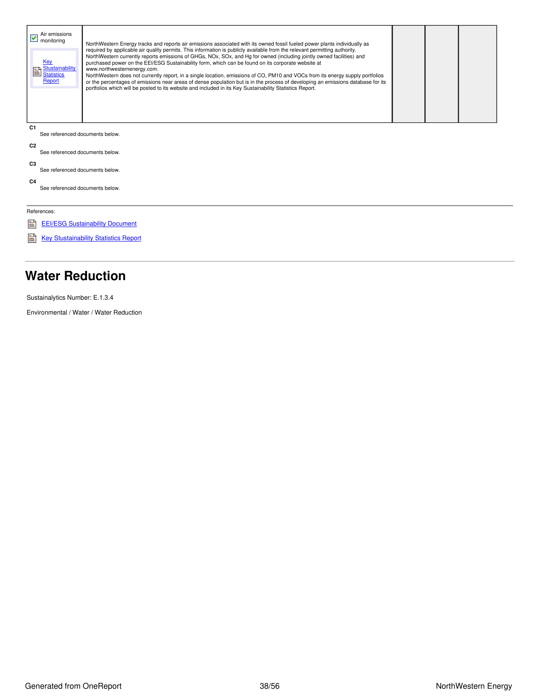<span id="page-37-2"></span><span id="page-37-1"></span>

| Air emissions<br>V<br>monitoring<br>Key<br>Stustainability<br>Report | NorthWestern Energy tracks and reports air emissions associated with its owned fossil fueled power plants individually as<br>required by applicable air quality permits. This information is publicly available from the relevant permitting authority.<br>NorthWestern currently reports emissions of GHGs, NOx, SOx, and Hg for owned (including jointly owned facilities) and<br>purchased power on the EEI/ESG Sustainability form, which can be found on its corporate website at<br>www.northwesternenergy.com.<br>NorthWestern does not currently report, in a single location, emissions of CO, PM10 and VOCs from its energy supply portfolios<br>or the percentages of emissions near areas of dense population but is in the process of developing an emissions database for its<br>portfolios which will be posted to its website and included in its Key Sustainability Statistics Report. |  |  |  |  |  |  |  |  |  |
|----------------------------------------------------------------------|---------------------------------------------------------------------------------------------------------------------------------------------------------------------------------------------------------------------------------------------------------------------------------------------------------------------------------------------------------------------------------------------------------------------------------------------------------------------------------------------------------------------------------------------------------------------------------------------------------------------------------------------------------------------------------------------------------------------------------------------------------------------------------------------------------------------------------------------------------------------------------------------------------|--|--|--|--|--|--|--|--|--|
| C <sub>1</sub>                                                       | See referenced documents below.                                                                                                                                                                                                                                                                                                                                                                                                                                                                                                                                                                                                                                                                                                                                                                                                                                                                         |  |  |  |  |  |  |  |  |  |
| C <sub>2</sub>                                                       | See referenced documents below.                                                                                                                                                                                                                                                                                                                                                                                                                                                                                                                                                                                                                                                                                                                                                                                                                                                                         |  |  |  |  |  |  |  |  |  |
| C <sub>3</sub>                                                       |                                                                                                                                                                                                                                                                                                                                                                                                                                                                                                                                                                                                                                                                                                                                                                                                                                                                                                         |  |  |  |  |  |  |  |  |  |
|                                                                      | See referenced documents below.                                                                                                                                                                                                                                                                                                                                                                                                                                                                                                                                                                                                                                                                                                                                                                                                                                                                         |  |  |  |  |  |  |  |  |  |
| C <sub>4</sub>                                                       | See referenced documents below.                                                                                                                                                                                                                                                                                                                                                                                                                                                                                                                                                                                                                                                                                                                                                                                                                                                                         |  |  |  |  |  |  |  |  |  |
|                                                                      |                                                                                                                                                                                                                                                                                                                                                                                                                                                                                                                                                                                                                                                                                                                                                                                                                                                                                                         |  |  |  |  |  |  |  |  |  |
| References:                                                          |                                                                                                                                                                                                                                                                                                                                                                                                                                                                                                                                                                                                                                                                                                                                                                                                                                                                                                         |  |  |  |  |  |  |  |  |  |
| Ħ                                                                    | <b>EEI/ESG Sustainability Document</b>                                                                                                                                                                                                                                                                                                                                                                                                                                                                                                                                                                                                                                                                                                                                                                                                                                                                  |  |  |  |  |  |  |  |  |  |
| 閶                                                                    | <b>Key Stustainability Statistics Report</b>                                                                                                                                                                                                                                                                                                                                                                                                                                                                                                                                                                                                                                                                                                                                                                                                                                                            |  |  |  |  |  |  |  |  |  |

# <span id="page-37-4"></span><span id="page-37-3"></span><span id="page-37-0"></span>**Water Reduction**

Sustainalytics Number: E.1.3.4

Environmental / Water / Water Reduction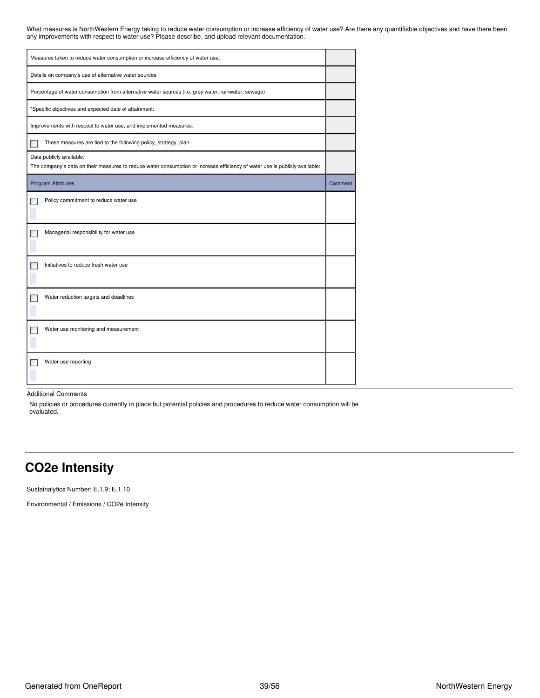What measures is NorthWestern Energy taking to reduce water consumption or increase efficiency of water use? Are there any quantifiable objectives and have there been any improvements with respect to water use? Please describe, and upload relevant documentation.

| Measures taken to reduce water consumption or increase efficiency of water use:                                                                         |         |  |  |  |  |
|---------------------------------------------------------------------------------------------------------------------------------------------------------|---------|--|--|--|--|
| Details on company's use of alternative water sources                                                                                                   |         |  |  |  |  |
| Percentage of water consumption from alternative water sources (i.e. grey water, rainwater, sewage):                                                    |         |  |  |  |  |
| *Specific objectives and expected date of attainment:                                                                                                   |         |  |  |  |  |
| Improvements with respect to water use, and implemented measures:                                                                                       |         |  |  |  |  |
| These measures are tied to the following policy, strategy, plan:                                                                                        |         |  |  |  |  |
| Data publicly available:<br>The company's data on their measures to reduce water consumption or increase efficiency of water use is publicly available: |         |  |  |  |  |
| Program Attributes                                                                                                                                      | Comment |  |  |  |  |
| Policy commitment to reduce water use                                                                                                                   |         |  |  |  |  |
| Managerial responsibility for water use                                                                                                                 |         |  |  |  |  |
| Initiatives to reduce fresh water use                                                                                                                   |         |  |  |  |  |
| Water reduction targets and deadlines                                                                                                                   |         |  |  |  |  |
| Water use monitoring and measurement                                                                                                                    |         |  |  |  |  |
| Water use reporting                                                                                                                                     |         |  |  |  |  |

Additional Comments

No policies or procedures currently in place but potential policies and procedures to reduce water consumption will be evaluated.

# <span id="page-38-0"></span>**CO2e Intensity**

Sustainalytics Number: E.1.9; E.1.10

Environmental / Emissions / CO2e Intensity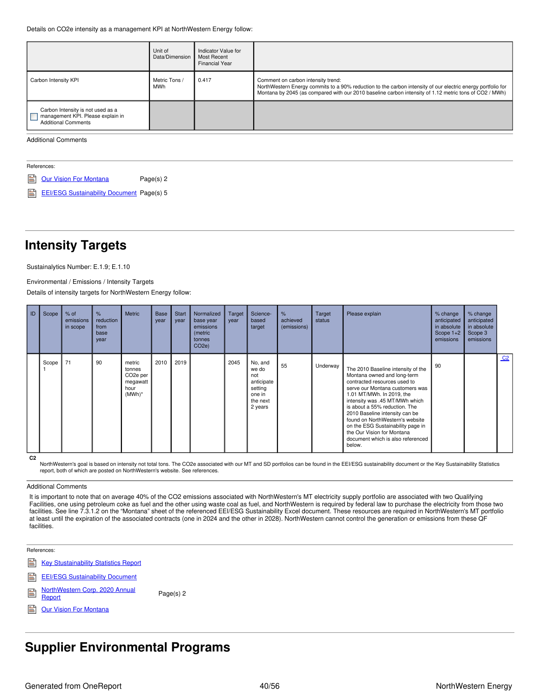Details on CO2e intensity as a management KPI at NorthWestern Energy follow:

|                                                                                                      | Unit of<br>Data/Dimension | Indicator Value for<br>Most Recent<br><b>Financial Year</b> |                                                                                                                                                                                                                                                             |
|------------------------------------------------------------------------------------------------------|---------------------------|-------------------------------------------------------------|-------------------------------------------------------------------------------------------------------------------------------------------------------------------------------------------------------------------------------------------------------------|
| Carbon Intensity KPI                                                                                 | Metric Tons /<br>MWh      | 0.417                                                       | Comment on carbon intensity trend:<br>NorthWestern Energy commits to a 90% reduction to the carbon intensity of our electric energy portfolio for<br>Montana by 2045 (as compared with our 2010 baseline carbon intensity of 1.12 metric tons of CO2 / MWh) |
| Carbon Intensity is not used as a<br>management KPI. Please explain in<br><b>Additional Comments</b> |                           |                                                             |                                                                                                                                                                                                                                                             |

Additional Comments

| References:                                |              |
|--------------------------------------------|--------------|
| <b>E</b> Our Vision For Montana            | Page $(s)$ 2 |
| E ELIESG Sustainability Document Page(s) 5 |              |

# <span id="page-39-0"></span>**Intensity Targets**

Sustainalytics Number: E.1.9; E.1.10

Environmental / Emissions / Intensity Targets

Details of intensity targets for NorthWestern Energy follow:

| ID | Scope | $%$ of<br>emissions<br>in scope | $\%$<br>reduction<br>from<br>base<br>year | <b>Metric</b>                                                              | Base<br>year | <b>Start</b><br>year | Normalized<br>base year<br>emissions<br>(metric<br>tonnes<br>CO <sub>2e</sub> ) | Target<br>year | Science-<br>based<br>target                                                       | $\%$<br>achieved<br>(emissions) | Target<br>status | Please explain                                                                                                                                                                                                                                                                                                                                                                                                              | % change<br>anticipated<br>in absolute<br>Scope 1+2<br>emissions | % change<br>anticipated<br>in absolute<br>Scope 3<br>emissions |                |
|----|-------|---------------------------------|-------------------------------------------|----------------------------------------------------------------------------|--------------|----------------------|---------------------------------------------------------------------------------|----------------|-----------------------------------------------------------------------------------|---------------------------------|------------------|-----------------------------------------------------------------------------------------------------------------------------------------------------------------------------------------------------------------------------------------------------------------------------------------------------------------------------------------------------------------------------------------------------------------------------|------------------------------------------------------------------|----------------------------------------------------------------|----------------|
|    | Scope | 71                              | 90                                        | metric<br>tonnes<br>CO <sub>2</sub> e per<br>megawatt<br>hour<br>$(MWh)^*$ | 2010         | 2019                 |                                                                                 | 2045           | No, and<br>we do<br>not<br>anticipate<br>setting<br>one in<br>the next<br>2 years | 55                              | Underway         | The 2010 Baseline intensity of the<br>Montana owned and long-term<br>contracted resources used to<br>serve our Montana customers was<br>1.01 MT/MWh. In 2019, the<br>intensity was .45 MT/MWh which<br>is about a 55% reduction. The<br>2010 Baseline intensity can be<br>found on NorthWestern's website<br>on the ESG Sustainability page in<br>the Our Vision for Montana<br>document which is also referenced<br>below. | 90                                                               |                                                                | C <sub>2</sub> |

<span id="page-39-2"></span>**C2**

NorthWestern's goal is based on intensity not total tons. The CO2e associated with our MT and SD portfolios can be found in the EEI/ESG sustainability document or the Key Sustainability Statistics report, both of which are posted on NorthWestern's website. See references.

### Additional Comments

It is important to note that on average 40% of the CO2 emissions associated with NorthWestern's MT electricity supply portfolio are associated with two Qualifying Facilities, one using petroleum coke as fuel and the other using waste coal as fuel, and NorthWestern is required by federal law to purchase the electricity from those two facilities. See line 7.3.1.2 on the "Montana" sheet of the referenced EEI/ESG Sustainability Excel document. These resources are required in NorthWestern's MT portfolio at least until the expiration of the associated contracts (one in 2024 and the other in 2028). NorthWestern cannot control the generation or emissions from these QF facilities.

| References:                                   |           |
|-----------------------------------------------|-----------|
| <b>Key Stustainability Statistics Report</b>  |           |
| <b>EEI/ESG Sustainability Document</b>        |           |
| NorthWestern Corp. 2020 Annual<br>≣<br>Report | Page(s) 2 |
| <b>Our Vision For Montana</b>                 |           |

# <span id="page-39-1"></span>**Supplier Environmental Programs**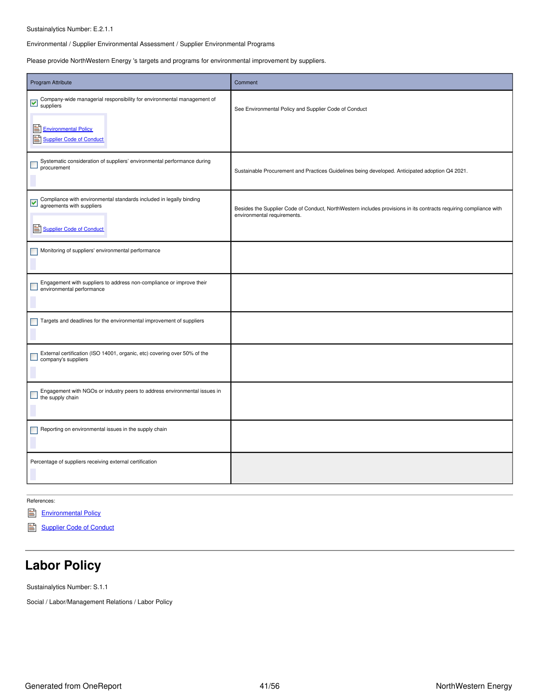### Sustainalytics Number: E.2.1.1

Environmental / Supplier Environmental Assessment / Supplier Environmental Programs

Please provide NorthWestern Energy 's targets and programs for environmental improvement by suppliers.

| Program Attribute                                                                                                                                                                        | Comment                                                                                                                                          |
|------------------------------------------------------------------------------------------------------------------------------------------------------------------------------------------|--------------------------------------------------------------------------------------------------------------------------------------------------|
| Company-wide managerial responsibility for environmental management of<br>$\overline{\phantom{a}}$ suppliers<br>E<br><b>Environmental Policy</b><br>P<br><b>Supplier Code of Conduct</b> | See Environmental Policy and Supplier Code of Conduct                                                                                            |
| Systematic consideration of suppliers' environmental performance during<br>procurement                                                                                                   | Sustainable Procurement and Practices Guidelines being developed. Anticipated adoption Q4 2021.                                                  |
| Compliance with environmental standards included in legally binding<br>agreements with suppliers<br>Supplier Code of Conduct                                                             | Besides the Supplier Code of Conduct, NorthWestern includes provisions in its contracts requiring compliance with<br>environmental requirements. |
| Monitoring of suppliers' environmental performance                                                                                                                                       |                                                                                                                                                  |
| Engagement with suppliers to address non-compliance or improve their<br>environmental performance                                                                                        |                                                                                                                                                  |
| Targets and deadlines for the environmental improvement of suppliers                                                                                                                     |                                                                                                                                                  |
| External certification (ISO 14001, organic, etc) covering over 50% of the<br>company's suppliers                                                                                         |                                                                                                                                                  |
| Engagement with NGOs or industry peers to address environmental issues in<br>the supply chain                                                                                            |                                                                                                                                                  |
| Reporting on environmental issues in the supply chain                                                                                                                                    |                                                                                                                                                  |
| Percentage of suppliers receiving external certification                                                                                                                                 |                                                                                                                                                  |

References:

[Environmental](https://www.northwesternenergy.com/docs/default-source/documents/environment/environmental-commitment/environmental-policy-07012017.pdf) Policy

[Supplier](https://www.northwesternenergy.com/docs/default-source/documents/corporategovernance/suppliercodeofconduct_10-2020.pdf) Code of Conduct

# <span id="page-40-0"></span>**Labor Policy**

Sustainalytics Number: S.1.1

Social / Labor/Management Relations / Labor Policy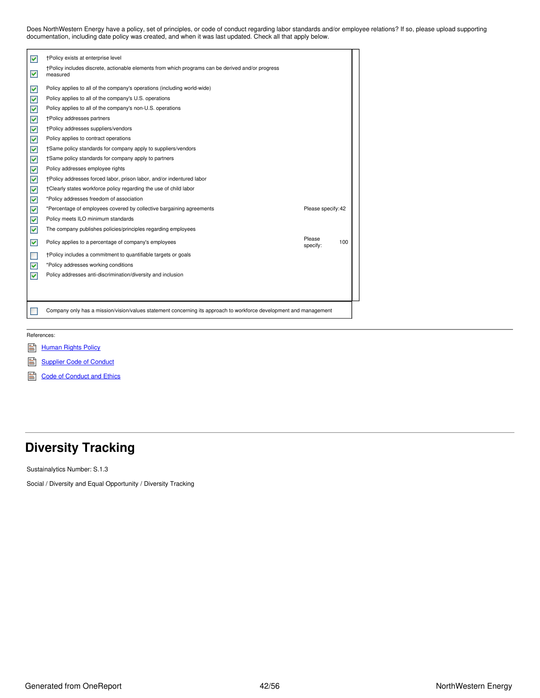Does NorthWestern Energy have a policy, set of principles, or code of conduct regarding labor standards and/or employee relations? If so, please upload supporting documentation, including date policy was created, and when it was last updated. Check all that apply below.

| ⊽ | <b>+Policy exists at enterprise level</b>                                                                          |                    |     |
|---|--------------------------------------------------------------------------------------------------------------------|--------------------|-----|
| M | †Policy includes discrete, actionable elements from which programs can be derived and/or progress<br>measured      |                    |     |
| ⊽ | Policy applies to all of the company's operations (including world-wide)                                           |                    |     |
| ▽ | Policy applies to all of the company's U.S. operations                                                             |                    |     |
| ▽ | Policy applies to all of the company's non-U.S. operations                                                         |                    |     |
| ⊽ | †Policy addresses partners                                                                                         |                    |     |
| ⊽ | †Policy addresses suppliers/vendors                                                                                |                    |     |
| ▽ | Policy applies to contract operations                                                                              |                    |     |
| ▽ | †Same policy standards for company apply to suppliers/vendors                                                      |                    |     |
| ⊻ | †Same policy standards for company apply to partners                                                               |                    |     |
| ⊽ | Policy addresses employee rights                                                                                   |                    |     |
| ▿ | †Policy addresses forced labor, prison labor, and/or indentured labor                                              |                    |     |
| ▽ | +Clearly states workforce policy regarding the use of child labor                                                  |                    |     |
| ▽ | *Policy addresses freedom of association                                                                           |                    |     |
| ▽ | *Percentage of employees covered by collective bargaining agreements                                               | Please specify: 42 |     |
| ⊽ | Policy meets ILO minimum standards                                                                                 |                    |     |
| ▽ | The company publishes policies/principles regarding employees                                                      |                    |     |
| ⊽ | Policy applies to a percentage of company's employees                                                              | Please<br>specify: | 100 |
|   | †Policy includes a commitment to quantifiable targets or goals                                                     |                    |     |
| ⊽ | *Policy addresses working conditions                                                                               |                    |     |
| ⊽ | Policy addresses anti-discrimination/diversity and inclusion                                                       |                    |     |
|   |                                                                                                                    |                    |     |
|   | Company only has a mission/vision/values statement concerning its approach to workforce development and management |                    |     |

References:

- **[Human](https://www.northwesternenergy.com/docs/default-source/documents/corporategovernance/human-rights-policy.pdf) Rights Policy**
- **[Supplier](https://www.northwesternenergy.com/docs/default-source/documents/corporategovernance/suppliercodeofconduct_10-2020.pdf) Code of Conduct** B
- Code of [Conduct](https://www.northwesternenergy.com/docs/default-source/documents/corporategovernance/nwe_2021_code_lowres.pdf) and Ethics

# <span id="page-41-0"></span>**Diversity Tracking**

Sustainalytics Number: S.1.3

Social / Diversity and Equal Opportunity / Diversity Tracking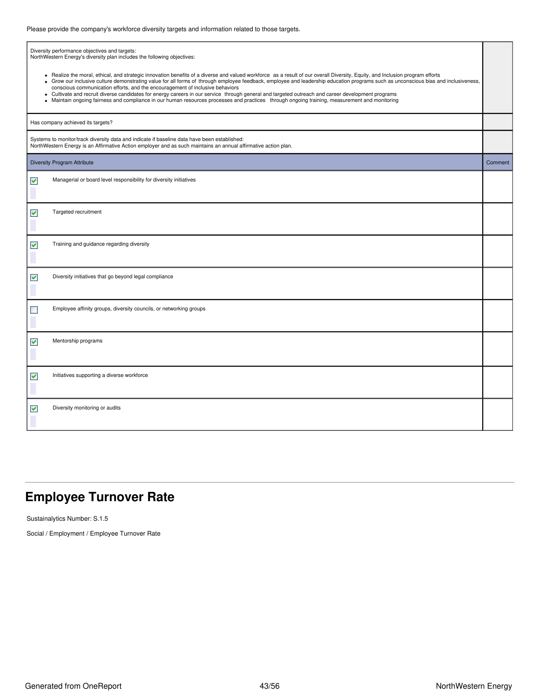| Diversity performance objectives and targets:<br>NorthWestern Energy's diversity plan includes the following objectives:<br>• Realize the moral, ethical, and strategic innovation benefits of a diverse and valued workforce as a result of our overall Diversity, Equity, and Inclusion program efforts<br>• Grow our inclusive culture demonstrating value for all forms of through employee feedback, employee and leadership education programs such as unconscious bias and inclusiveness,<br>conscious communication efforts, and the encouragement of inclusive behaviors<br>• Cultivate and recruit diverse candidates for energy careers in our service through general and targeted outreach and career development programs<br>• Maintain ongoing fairness and compliance in our human resources processes and practices through ongoing training, measurement and monitoring |         |
|-------------------------------------------------------------------------------------------------------------------------------------------------------------------------------------------------------------------------------------------------------------------------------------------------------------------------------------------------------------------------------------------------------------------------------------------------------------------------------------------------------------------------------------------------------------------------------------------------------------------------------------------------------------------------------------------------------------------------------------------------------------------------------------------------------------------------------------------------------------------------------------------|---------|
| Has company achieved its targets?                                                                                                                                                                                                                                                                                                                                                                                                                                                                                                                                                                                                                                                                                                                                                                                                                                                         |         |
| Systems to monitor/track diversity data and indicate if baseline data have been established:<br>NorthWestern Energy is an Affirmative Action employer and as such maintains an annual affirmative action plan.                                                                                                                                                                                                                                                                                                                                                                                                                                                                                                                                                                                                                                                                            |         |
| Diversity Program Attribute                                                                                                                                                                                                                                                                                                                                                                                                                                                                                                                                                                                                                                                                                                                                                                                                                                                               | Comment |
| Managerial or board level responsibility for diversity initiatives<br>$\blacktriangledown$                                                                                                                                                                                                                                                                                                                                                                                                                                                                                                                                                                                                                                                                                                                                                                                                |         |
| Targeted recruitment<br>V                                                                                                                                                                                                                                                                                                                                                                                                                                                                                                                                                                                                                                                                                                                                                                                                                                                                 |         |
| Training and guidance regarding diversity<br>V                                                                                                                                                                                                                                                                                                                                                                                                                                                                                                                                                                                                                                                                                                                                                                                                                                            |         |
| Diversity initiatives that go beyond legal compliance<br>▽                                                                                                                                                                                                                                                                                                                                                                                                                                                                                                                                                                                                                                                                                                                                                                                                                                |         |
| Employee affinity groups, diversity councils, or networking groups                                                                                                                                                                                                                                                                                                                                                                                                                                                                                                                                                                                                                                                                                                                                                                                                                        |         |
| Mentorship programs<br>V                                                                                                                                                                                                                                                                                                                                                                                                                                                                                                                                                                                                                                                                                                                                                                                                                                                                  |         |
| Initiatives supporting a diverse workforce<br>V                                                                                                                                                                                                                                                                                                                                                                                                                                                                                                                                                                                                                                                                                                                                                                                                                                           |         |
| Diversity monitoring or audits<br>V                                                                                                                                                                                                                                                                                                                                                                                                                                                                                                                                                                                                                                                                                                                                                                                                                                                       |         |

# <span id="page-42-0"></span>**Employee Turnover Rate**

Sustainalytics Number: S.1.5

Social / Employment / Employee Turnover Rate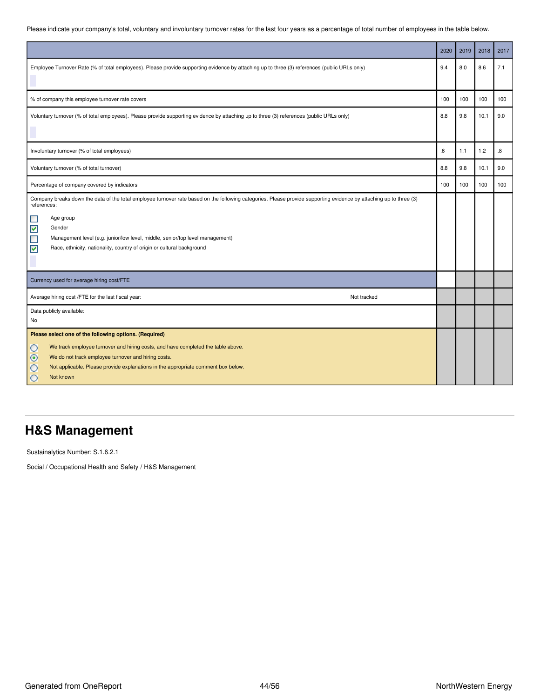Please indicate your company's total, voluntary and involuntary turnover rates for the last four years as a percentage of total number of employees in the table below.

|                                                                                                                                                                                                                                                                                                                                                                                                                                         | 2020 | 2019 | 2018 | 2017              |
|-----------------------------------------------------------------------------------------------------------------------------------------------------------------------------------------------------------------------------------------------------------------------------------------------------------------------------------------------------------------------------------------------------------------------------------------|------|------|------|-------------------|
| Employee Turnover Rate (% of total employees). Please provide supporting evidence by attaching up to three (3) references (public URLs only)                                                                                                                                                                                                                                                                                            | 9.4  | 8.0  | 8.6  | 7.1               |
| % of company this employee turnover rate covers                                                                                                                                                                                                                                                                                                                                                                                         | 100  | 100  | 100  | 100               |
| Voluntary turnover (% of total employees). Please provide supporting evidence by attaching up to three (3) references (public URLs only)                                                                                                                                                                                                                                                                                                | 8.8  | 9.8  | 10.1 | 9.0               |
| Involuntary turnover (% of total employees)                                                                                                                                                                                                                                                                                                                                                                                             | 6.6  | 1.1  | 1.2  | $\boldsymbol{.8}$ |
| Voluntary turnover (% of total turnover)                                                                                                                                                                                                                                                                                                                                                                                                | 8.8  | 9.8  | 10.1 | 9.0               |
| Percentage of company covered by indicators                                                                                                                                                                                                                                                                                                                                                                                             | 100  | 100  | 100  | 100               |
| Company breaks down the data of the total employee turnover rate based on the following categories. Please provide supporting evidence by attaching up to three (3)<br>references:<br>Age group<br>$\overline{\phantom{a}}$<br>$\blacktriangledown$<br>Gender<br>$\Box$<br>Management level (e.g. junior/low level, middle, senior/top level management)<br>V<br>Race, ethnicity, nationality, country of origin or cultural background |      |      |      |                   |
| Currency used for average hiring cost/FTE                                                                                                                                                                                                                                                                                                                                                                                               |      |      |      |                   |
| Average hiring cost /FTE for the last fiscal year:<br>Not tracked                                                                                                                                                                                                                                                                                                                                                                       |      |      |      |                   |
| Data publicly available:<br>No                                                                                                                                                                                                                                                                                                                                                                                                          |      |      |      |                   |
| Please select one of the following options. (Required)<br>$\circ$<br>We track employee turnover and hiring costs, and have completed the table above.<br>$\odot$<br>We do not track employee turnover and hiring costs.<br>$\circ$<br>Not applicable. Please provide explanations in the appropriate comment box below.<br>$\circ$<br>Not known                                                                                         |      |      |      |                   |

# <span id="page-43-0"></span>**H&S Management**

Sustainalytics Number: S.1.6.2.1

Social / Occupational Health and Safety / H&S Management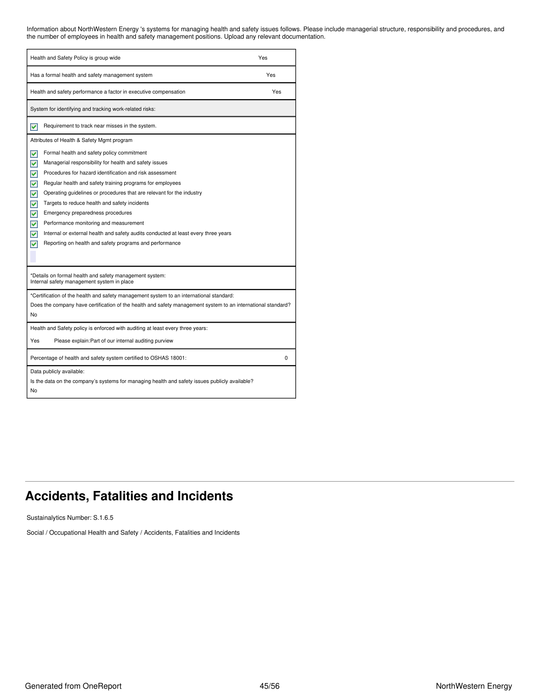Information about NorthWestern Energy 's systems for managing health and safety issues follows. Please include managerial structure, responsibility and procedures, and the number of employees in health and safety management positions. Upload any relevant documentation.

| Health and Safety Policy is group wide                                                                                                                                                                                                                                                                                                                                                                                                                                                                                                                                                                                                                                                  | Yes |
|-----------------------------------------------------------------------------------------------------------------------------------------------------------------------------------------------------------------------------------------------------------------------------------------------------------------------------------------------------------------------------------------------------------------------------------------------------------------------------------------------------------------------------------------------------------------------------------------------------------------------------------------------------------------------------------------|-----|
| Has a formal health and safety management system                                                                                                                                                                                                                                                                                                                                                                                                                                                                                                                                                                                                                                        | Yes |
| Health and safety performance a factor in executive compensation                                                                                                                                                                                                                                                                                                                                                                                                                                                                                                                                                                                                                        | Yes |
| System for identifying and tracking work-related risks:                                                                                                                                                                                                                                                                                                                                                                                                                                                                                                                                                                                                                                 |     |
| Requirement to track near misses in the system.<br>M                                                                                                                                                                                                                                                                                                                                                                                                                                                                                                                                                                                                                                    |     |
| Attributes of Health & Safety Mgmt program<br>Formal health and safety policy commitment<br>М<br>◛<br>Managerial responsibility for health and safety issues<br>⊽<br>Procedures for hazard identification and risk assessment<br>⊽<br>Regular health and safety training programs for employees<br>⊽<br>Operating guidelines or procedures that are relevant for the industry<br>▿<br>Targets to reduce health and safety incidents<br>⊽<br>Emergency preparedness procedures<br>M<br>Performance monitoring and measurement<br>Internal or external health and safety audits conducted at least every three years<br>ᢦ<br>v<br>Reporting on health and safety programs and performance |     |
| *Details on formal health and safety management system:<br>Internal safety management system in place                                                                                                                                                                                                                                                                                                                                                                                                                                                                                                                                                                                   |     |
| *Certification of the health and safety management system to an international standard:<br>Does the company have certification of the health and safety management system to an international standard?<br>No.                                                                                                                                                                                                                                                                                                                                                                                                                                                                          |     |
| Health and Safety policy is enforced with auditing at least every three years:<br>Yes<br>Please explain: Part of our internal auditing purview                                                                                                                                                                                                                                                                                                                                                                                                                                                                                                                                          |     |
| Percentage of health and safety system certified to OSHAS 18001:                                                                                                                                                                                                                                                                                                                                                                                                                                                                                                                                                                                                                        | 0   |
| Data publicly available:<br>Is the data on the company's systems for managing health and safety issues publicly available?<br>No                                                                                                                                                                                                                                                                                                                                                                                                                                                                                                                                                        |     |

# <span id="page-44-0"></span>**Accidents, Fatalities and Incidents**

Sustainalytics Number: S.1.6.5

Social / Occupational Health and Safety / Accidents, Fatalities and Incidents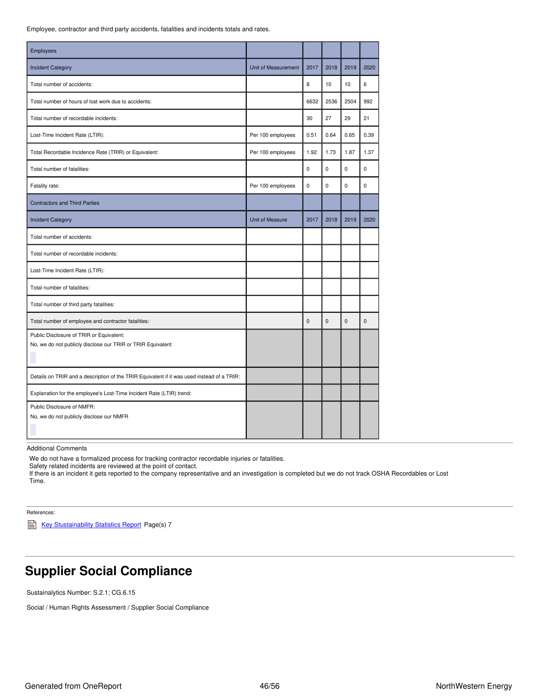Employee, contractor and third party accidents, fatalities and incidents totals and rates.

| Employees                                                                                               |                     |             |             |             |             |
|---------------------------------------------------------------------------------------------------------|---------------------|-------------|-------------|-------------|-------------|
| <b>Incident Category</b>                                                                                | Unit of Measurement | 2017        | 2018        | 2019        | 2020        |
| Total number of accidents:                                                                              |                     | 8           | 10          | 10          | 6           |
| Total number of hours of lost work due to accidents:                                                    |                     | 6632        | 2536        | 2504        | 992         |
| Total number of recordable incidents:                                                                   |                     | 30          | 27          | 29          | 21          |
| Lost-Time Incident Rate (LTIR):                                                                         | Per 100 employees   | 0.51        | 0.64        | 0.65        | 0.39        |
| Total Recordable Incidence Rate (TRIR) or Equivalent:                                                   | Per 100 employees   | 1.92        | 1.73        | 1.87        | 1.37        |
| Total number of fatalities:                                                                             |                     | $\mathbf 0$ | $\pmb{0}$   | $\mathbf 0$ | $\mathbf 0$ |
| Fatality rate:                                                                                          | Per 100 employees   | $\Omega$    | $\mathbf 0$ | $\Omega$    | $\mathbf 0$ |
| <b>Contractors and Third Parties</b>                                                                    |                     |             |             |             |             |
| <b>Incident Category</b>                                                                                | Unit of Measure     | 2017        | 2018        | 2019        | 2020        |
| Total number of accidents:                                                                              |                     |             |             |             |             |
| Total number of recordable incidents:                                                                   |                     |             |             |             |             |
| Lost-Time Incident Rate (LTIR):                                                                         |                     |             |             |             |             |
| Total number of fatalities:                                                                             |                     |             |             |             |             |
| Total number of third party fatalities:                                                                 |                     |             |             |             |             |
| Total number of employee and contractor fatalities:                                                     |                     | $\Omega$    | $\Omega$    | $\Omega$    | $\Omega$    |
| Public Disclosure of TRIR or Equivalent:<br>No, we do not publicly disclose our TRIR or TRIR Equivalent |                     |             |             |             |             |
| Details on TRIR and a description of the TRIR Equivalent if it was used instead of a TRIR:              |                     |             |             |             |             |
| Explanation for the employee's Lost-Time Incident Rate (LTIR) trend:                                    |                     |             |             |             |             |
| Public Disclosure of NMFR:<br>No, we do not publicly disclose our NMFR                                  |                     |             |             |             |             |

Additional Comments

We do not have a formalized process for tracking contractor recordable injuries or fatalities.

Safety related incidents are reviewed at the point of contact.

If there is an incident it gets reported to the company representative and an investigation is completed but we do not track OSHA Recordables or Lost Time.

References:

Key [Stustainability](https://www.northwesternenergy.com/docs/default-source/documents/esg/ESG-Sustainability-Statistics-Nov-2020.pdf) Statistics Report Page(s) 7

# <span id="page-45-0"></span>**Supplier Social Compliance**

Sustainalytics Number: S.2.1; CG.6.15

Social / Human Rights Assessment / Supplier Social Compliance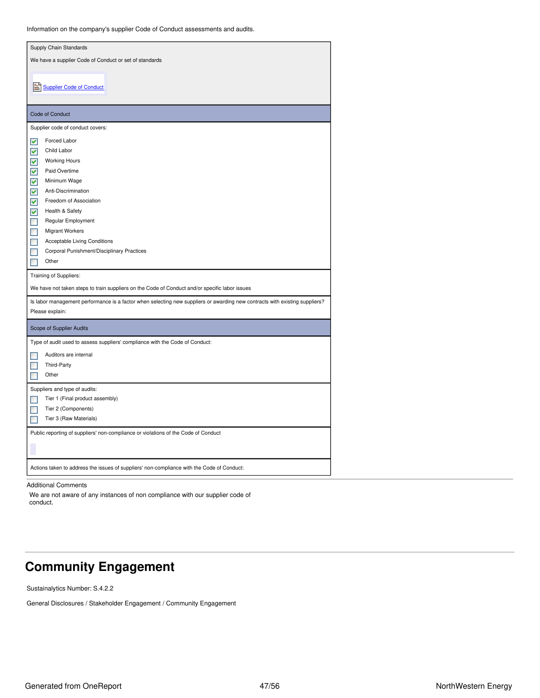Information on the company's supplier Code of Conduct assessments and audits.

| Supply Chain Standards                                                                                                      |
|-----------------------------------------------------------------------------------------------------------------------------|
| We have a supplier Code of Conduct or set of standards                                                                      |
| <b>Supplier Code of Conduct</b>                                                                                             |
| Code of Conduct                                                                                                             |
| Supplier code of conduct covers:                                                                                            |
| Forced Labor<br>▽                                                                                                           |
| Child Labor<br>⊽                                                                                                            |
| <b>Working Hours</b><br>⊻                                                                                                   |
| Paid Overtime<br>▽                                                                                                          |
| V<br>Minimum Wage                                                                                                           |
| ⊽<br>Anti-Discrimination                                                                                                    |
| $\blacktriangledown$<br>Freedom of Association                                                                              |
| V<br>Health & Safety                                                                                                        |
| Regular Employment<br>$\Box$                                                                                                |
| $\Box$<br><b>Migrant Workers</b>                                                                                            |
| Acceptable Living Conditions                                                                                                |
| Corporal Punishment/Disciplinary Practices<br>Other                                                                         |
|                                                                                                                             |
| Training of Suppliers:                                                                                                      |
| We have not taken steps to train suppliers on the Code of Conduct and/or specific labor issues                              |
| Is labor management performance is a factor when selecting new suppliers or awarding new contracts with existing suppliers? |
| Please explain:                                                                                                             |
| Scope of Supplier Audits                                                                                                    |
| Type of audit used to assess suppliers' compliance with the Code of Conduct:                                                |
| Auditors are internal                                                                                                       |
| Third-Party                                                                                                                 |
| Other                                                                                                                       |
| Suppliers and type of audits:                                                                                               |
| Tier 1 (Final product assembly)                                                                                             |
| Tier 2 (Components)                                                                                                         |
| Tier 3 (Raw Materials)                                                                                                      |
| Public reporting of suppliers' non-compliance or violations of the Code of Conduct                                          |
|                                                                                                                             |
|                                                                                                                             |
| Actions taken to address the issues of suppliers' non-compliance with the Code of Conduct:                                  |

### Additional Comments

We are not aware of any instances of non compliance with our supplier code of conduct.

# <span id="page-46-0"></span>**Community Engagement**

Sustainalytics Number: S.4.2.2

General Disclosures / Stakeholder Engagement / Community Engagement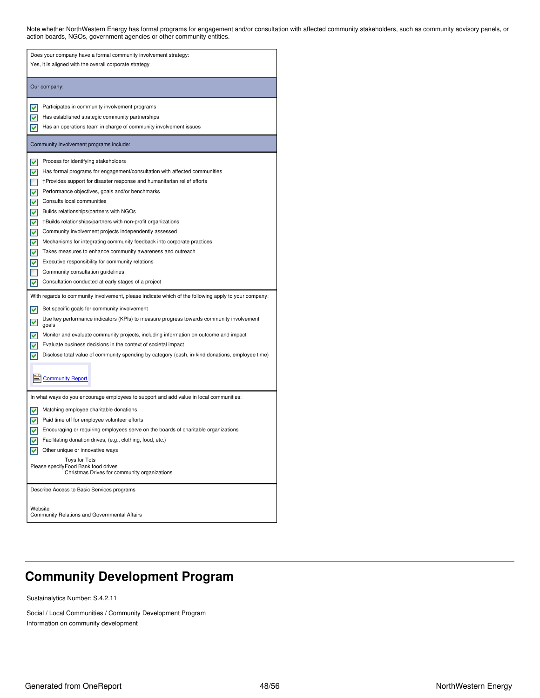Note whether NorthWestern Energy has formal programs for engagement and/or consultation with affected community stakeholders, such as community advisory panels, or action boards, NGOs, government agencies or other community entities.

| Does your company have a formal community involvement strategy:                                                                                                                                                                                                                                                                                                                                                                                                                                                                                                                                                                                                                                                                      |
|--------------------------------------------------------------------------------------------------------------------------------------------------------------------------------------------------------------------------------------------------------------------------------------------------------------------------------------------------------------------------------------------------------------------------------------------------------------------------------------------------------------------------------------------------------------------------------------------------------------------------------------------------------------------------------------------------------------------------------------|
| Yes, it is aligned with the overall corporate strategy                                                                                                                                                                                                                                                                                                                                                                                                                                                                                                                                                                                                                                                                               |
| Our company:                                                                                                                                                                                                                                                                                                                                                                                                                                                                                                                                                                                                                                                                                                                         |
| Participates in community involvement programs<br>M<br>Has established strategic community partnerships<br>v                                                                                                                                                                                                                                                                                                                                                                                                                                                                                                                                                                                                                         |
| Has an operations team in charge of community involvement issues<br>M                                                                                                                                                                                                                                                                                                                                                                                                                                                                                                                                                                                                                                                                |
| Community involvement programs include:                                                                                                                                                                                                                                                                                                                                                                                                                                                                                                                                                                                                                                                                                              |
| Process for identifying stakeholders<br>M<br>Has formal programs for engagement/consultation with affected communities<br>M<br>†Provides support for disaster response and humanitarian relief efforts<br>⊽<br>Performance objectives, goals and/or benchmarks<br>Consults local communities<br>⊽<br>M<br>Builds relationships/partners with NGOs<br>†Builds relationships/partners with non-profit organizations<br>⊽<br>Community involvement projects independently assessed<br>M<br>⊽<br>Mechanisms for integrating community feedback into corporate practices<br>Takes measures to enhance community awareness and outreach<br>M<br>Executive responsibility for community relations<br>M<br>Community consultation guidelines |
| Consultation conducted at early stages of a project<br>⊽                                                                                                                                                                                                                                                                                                                                                                                                                                                                                                                                                                                                                                                                             |
| With regards to community involvement, please indicate which of the following apply to your company:<br>Set specific goals for community involvement<br>M<br>Use key performance indicators (KPIs) to measure progress towards community involvement<br>◛<br>goals<br>Monitor and evaluate community projects, including information on outcome and impact<br>м<br>Evaluate business decisions in the context of societal impact<br>v<br>Disclose total value of community spending by category (cash, in-kind donations, employee time)<br>M                                                                                                                                                                                        |
| <b>Community Report</b>                                                                                                                                                                                                                                                                                                                                                                                                                                                                                                                                                                                                                                                                                                              |
| In what ways do you encourage employees to support and add value in local communities:<br>Matching employee charitable donations<br>M<br>Paid time off for employee volunteer efforts<br>Encouraging or requiring employees serve on the boards of charitable organizations<br>M<br>Facilitating donation drives, (e.g., clothing, food, etc.)<br>M<br>Other unique or innovative ways<br>M<br>Toys for Tots<br>Please specify Food Bank food drives<br>Christmas Drives for community organizations                                                                                                                                                                                                                                 |
| Describe Access to Basic Services programs<br>Website                                                                                                                                                                                                                                                                                                                                                                                                                                                                                                                                                                                                                                                                                |
| Community Relations and Governmental Affairs                                                                                                                                                                                                                                                                                                                                                                                                                                                                                                                                                                                                                                                                                         |

# <span id="page-47-0"></span>**Community Development Program**

Sustainalytics Number: S.4.2.11

Social / Local Communities / Community Development Program Information on community development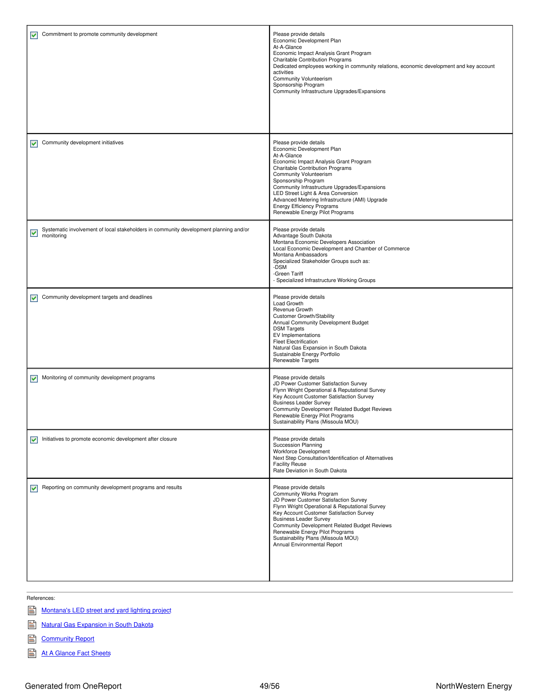| Commitment to promote community development<br>$\blacktriangledown$                                                         | Please provide details<br>Economic Development Plan<br>At-A-Glance<br>Economic Impact Analysis Grant Program<br>Charitable Contribution Programs<br>Dedicated employees working in community relations, economic development and key account<br>activities<br>Community Volunteerism<br>Sponsorship Program<br>Community Infrastructure Upgrades/Expansions                                                              |
|-----------------------------------------------------------------------------------------------------------------------------|--------------------------------------------------------------------------------------------------------------------------------------------------------------------------------------------------------------------------------------------------------------------------------------------------------------------------------------------------------------------------------------------------------------------------|
| Community development initiatives<br>M                                                                                      | Please provide details<br>Economic Development Plan<br>At-A-Glance<br>Economic Impact Analysis Grant Program<br>Charitable Contribution Programs<br><b>Community Volunteerism</b><br>Sponsorship Program<br>Community Infrastructure Upgrades/Expansions<br>LED Street Light & Area Conversion<br>Advanced Metering Infrastructure (AMI) Upgrade<br><b>Energy Efficiency Programs</b><br>Renewable Energy Pilot Programs |
| Systematic involvement of local stakeholders in community development planning and/or<br>$\blacktriangledown$<br>monitoring | Please provide details<br>Advantage South Dakota<br>Montana Economic Developers Association<br>Local Economic Development and Chamber of Commerce<br>Montana Ambassadors<br>Specialized Stakeholder Groups such as:<br>-DSM<br>-Green Tariff<br>- Specialized Infrastructure Working Groups                                                                                                                              |
| Community development targets and deadlines<br>M                                                                            | Please provide details<br>Load Growth<br>Revenue Growth<br>Customer Growth/Stability<br>Annual Community Development Budget<br><b>DSM Targets</b><br>EV Implementations<br><b>Fleet Electrification</b><br>Natural Gas Expansion in South Dakota<br>Sustainable Energy Portfolio<br>Renewable Targets                                                                                                                    |
| Monitoring of community development programs<br>M                                                                           | Please provide details<br>JD Power Customer Satisfaction Survey<br>Flynn Wright Operational & Reputational Survey<br>Key Account Customer Satisfaction Survey<br><b>Business Leader Survey</b><br>Community Development Related Budget Reviews<br>Renewable Energy Pilot Programs<br>Sustainability Plans (Missoula MOU)                                                                                                 |
| Initiatives to promote economic development after closure<br>M                                                              | Please provide details<br><b>Succession Planning</b><br><b>Workforce Development</b><br>Next Step Consultation/Identification of Alternatives<br><b>Facility Reuse</b><br>Rate Deviation in South Dakota                                                                                                                                                                                                                 |
| Reporting on community development programs and results<br>M                                                                | Please provide details<br>Community Works Program<br>JD Power Customer Satisfaction Survey<br>Flynn Wright Operational & Reputational Survey<br>Key Account Customer Satisfaction Survey<br><b>Business Leader Survey</b><br>Community Development Related Budget Reviews<br>Renewable Energy Pilot Programs<br>Sustainability Plans (Missoula MOU)<br>Annual Environmental Report                                       |

References:

[Montana's](https://www.northwesternenergy.com/our-company/projects/montana-led-streetlight-project) LED street and yard lighting project

**Natural Gas [Expansion](https://www.northwesternenergy.com/our-company/projects/natural-gas-expansion-sd) in South Dakota** 

**E** [Community](https://www.northwesternenergy.com/docs/default-source/documents/community-works/community_report_2020.pdf) Report

At A [Glance](https://www.northwesternenergy.com/community-works/economic-development/at-a-glance-fact-sheets) Fact Sheets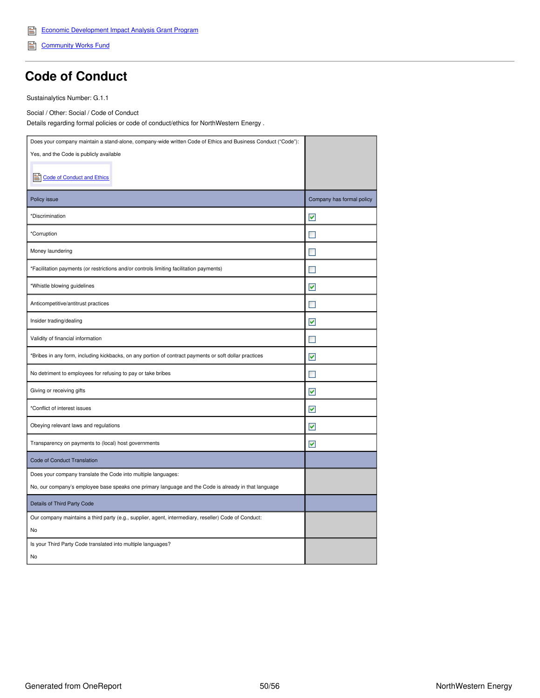[Community](https://www.northwesternenergy.com/community-works/community-works-fund) Works Fund

## <span id="page-49-0"></span>**Code of Conduct**

Sustainalytics Number: G.1.1

Social / Other: Social / Code of Conduct

Details regarding formal policies or code of conduct/ethics for NorthWestern Energy .

| Does your company maintain a stand-alone, company-wide written Code of Ethics and Business Conduct ("Code"): |                           |
|--------------------------------------------------------------------------------------------------------------|---------------------------|
| Yes, and the Code is publicly available                                                                      |                           |
| Code of Conduct and Ethics                                                                                   |                           |
| Policy issue                                                                                                 | Company has formal policy |
| *Discrimination                                                                                              | ⊽                         |
| *Corruption                                                                                                  |                           |
| Money laundering                                                                                             |                           |
| *Facilitation payments (or restrictions and/or controls limiting facilitation payments)                      |                           |
| *Whistle blowing guidelines                                                                                  | ⊽                         |
| Anticompetitive/antitrust practices                                                                          |                           |
| Insider trading/dealing                                                                                      | M                         |
| Validity of financial information                                                                            |                           |
| *Bribes in any form, including kickbacks, on any portion of contract payments or soft dollar practices       | ⊽                         |
| No detriment to employees for refusing to pay or take bribes                                                 |                           |
| Giving or receiving gifts                                                                                    | ⊽                         |
| *Conflict of interest issues                                                                                 | M                         |
| Obeying relevant laws and regulations                                                                        | ⊽                         |
| Transparency on payments to (local) host governments                                                         | V                         |
| Code of Conduct Translation                                                                                  |                           |
| Does your company translate the Code into multiple languages:                                                |                           |
| No, our company's employee base speaks one primary language and the Code is already in that language         |                           |
| Details of Third Party Code                                                                                  |                           |
| Our company maintains a third party (e.g., supplier, agent, intermediary, reseller) Code of Conduct:         |                           |
| No                                                                                                           |                           |
| Is your Third Party Code translated into multiple languages?                                                 |                           |
| No                                                                                                           |                           |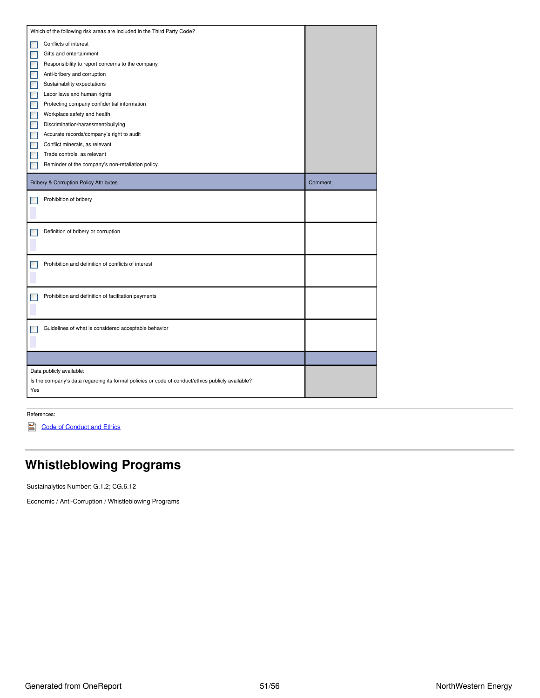|     | Which of the following risk areas are included in the Third Party Code?                           |         |
|-----|---------------------------------------------------------------------------------------------------|---------|
|     | Conflicts of interest                                                                             |         |
| ٠   | Gifts and entertainment                                                                           |         |
|     | Responsibility to report concerns to the company                                                  |         |
| ٠   | Anti-bribery and corruption                                                                       |         |
| П   | Sustainability expectations                                                                       |         |
| П   | Labor laws and human rights                                                                       |         |
| П   | Protecting company confidential information                                                       |         |
|     | Workplace safety and health                                                                       |         |
|     | Discrimination/harassment/bullying                                                                |         |
|     | Accurate records/company's right to audit                                                         |         |
|     | Conflict minerals, as relevant                                                                    |         |
|     | Trade controls, as relevant                                                                       |         |
|     | Reminder of the company's non-retaliation policy                                                  |         |
|     |                                                                                                   |         |
|     | <b>Bribery &amp; Corruption Policy Attributes</b>                                                 | Comment |
|     | Prohibition of bribery                                                                            |         |
|     |                                                                                                   |         |
|     |                                                                                                   |         |
|     | Definition of bribery or corruption                                                               |         |
|     |                                                                                                   |         |
|     |                                                                                                   |         |
|     | Prohibition and definition of conflicts of interest                                               |         |
|     |                                                                                                   |         |
|     |                                                                                                   |         |
|     | Prohibition and definition of facilitation payments                                               |         |
|     |                                                                                                   |         |
|     |                                                                                                   |         |
|     | Guidelines of what is considered acceptable behavior                                              |         |
|     |                                                                                                   |         |
|     |                                                                                                   |         |
|     |                                                                                                   |         |
|     | Data publicly available:                                                                          |         |
|     | Is the company's data regarding its formal policies or code of conduct/ethics publicly available? |         |
| Yes |                                                                                                   |         |

### References:

code of [Conduct](https://www.northwesternenergy.com/docs/default-source/documents/corporategovernance/nwe_2021_code_lowres.pdf) and Ethics

# <span id="page-50-0"></span>**Whistleblowing Programs**

Sustainalytics Number: G.1.2; CG.6.12

Economic / Anti-Corruption / Whistleblowing Programs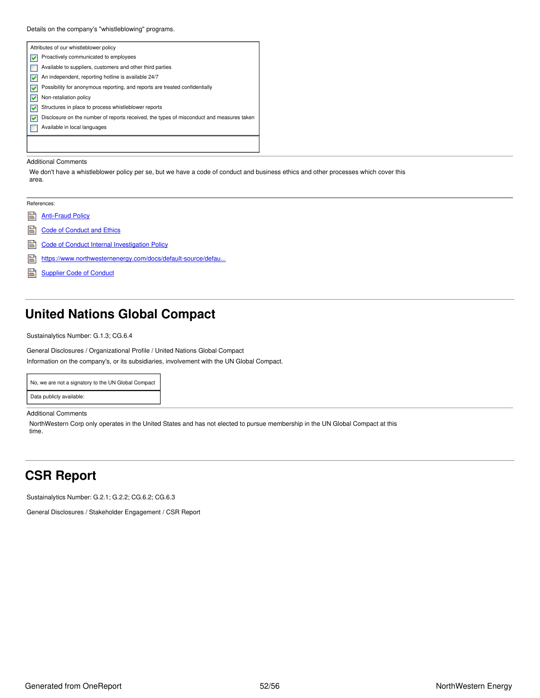| Attributes of our whistleblower policy                                                   |
|------------------------------------------------------------------------------------------|
| Proactively communicated to employees                                                    |
| Available to suppliers, customers and other third parties                                |
| An independent, reporting hotline is available 24/7                                      |
| Possibility for anonymous reporting, and reports are treated confidentially              |
| Non-retaliation policy                                                                   |
| Structures in place to process whistleblower reports                                     |
| Disclosure on the number of reports received, the types of misconduct and measures taken |
| Available in local languages                                                             |
|                                                                                          |

### Additional Comments

We don't have a whistleblower policy per se, but we have a code of conduct and business ethics and other processes which cover this area.

| References: |  |
|-------------|--|
|-------------|--|

- **E** [Anti-Fraud](https://www.northwesternenergy.com/docs/default-source/default-document-library/about-us/esg/anti-fraud-policy.pdf?sfvrsn=8a718bc0_5) Policy
- 閶 **Code of [Conduct](https://www.northwesternenergy.com/docs/default-source/documents/corporategovernance/nwe_2021_code_lowres.pdf) and Ethics**
- 閶 Code of Conduct Internal [Investigation](https://www.northwesternenergy.com/docs/default-source/default-document-library/about-us/esg/code-of-conduct-internal-investigation-policy.pdf?sfvrsn=7b610ca1_5) Policy
- [https://www.northwesternenergy.com/docs/default-source/defau...](https://www.northwesternenergy.com/docs/default-source/default-document-library/about-us/investors/governance/code-of-ethics-for-the-ceo-and-sfos_2021.pdf?sfvrsn=4aa904b4_7) ▤
- [Supplier](https://www.northwesternenergy.com/docs/default-source/documents/corporategovernance/suppliercodeofconduct_10-2020.pdf) Code of Conduct

## <span id="page-51-0"></span>**United Nations Global Compact**

Sustainalytics Number: G.1.3; CG.6.4

General Disclosures / Organizational Profile / United Nations Global Compact Information on the company's, or its subsidiaries, involvement with the UN Global Compact.

| No, we are not a signatory to the UN Global Compact |
|-----------------------------------------------------|
| Data publicly available:                            |

#### Additional Comments

NorthWestern Corp only operates in the United States and has not elected to pursue membership in the UN Global Compact at this time.

## <span id="page-51-1"></span>**CSR Report**

Sustainalytics Number: G.2.1; G.2.2; CG.6.2; CG.6.3

General Disclosures / Stakeholder Engagement / CSR Report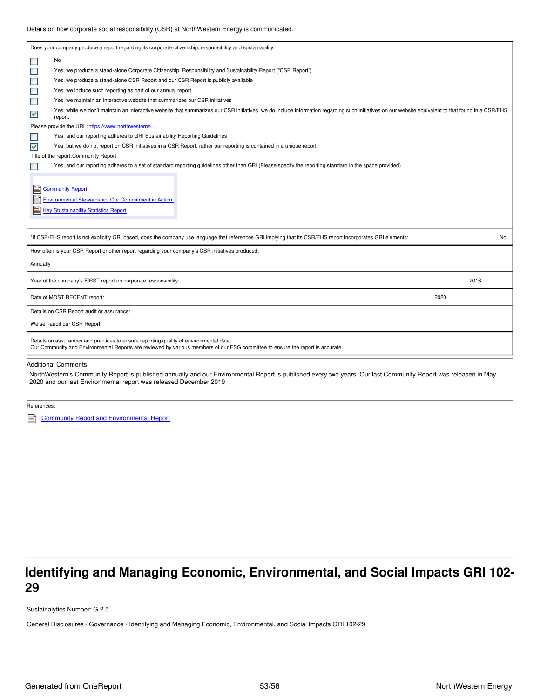### Details on how corporate social responsibility (CSR) at NorthWestern Energy is communicated.

| No<br>□<br>Yes, we produce a stand-alone Corporate Citizenship, Responsibility and Sustainability Report ("CSR Report")<br>$\Box$<br>□<br>Yes, we produce a stand-alone CSR Report and our CSR Report is publicly available<br>E<br>Yes, we include such reporting as part of our annual report<br>Г<br>Yes, we maintain an interactive website that summarizes our CSR initiatives<br>Yes, while we don't maintain an interactive website that summarizes our CSR initiatives, we do include information regarding such initiatives on our website equivalent to that found in a CSR/EHS<br>V<br>report.<br>Please provide the URL: https://www.northwesterne<br>Yes, and our reporting adheres to GRI Sustainability Reporting Guidelines<br>$\Box$<br>Yes, but we do not report on CSR initiatives in a CSR Report, rather our reporting is contained in a unique report<br>⊽<br>Title of the report: Community Report<br>Yes, and our reporting adheres to a set of standard reporting guidelines other than GRI (Please specify the reporting standard in the space provided)<br>П<br>E<br><b>Community Report</b><br>탙<br>Environmental Stewardship: Our Commitment in Action<br><b>Key Stustainability Statistics Report</b><br>*If CSR/EHS report is not explicitly GRI based, does the company use language that references GRI implying that its CSR/EHS report incorporates GRI elements:<br>No<br>How often is your CSR Report or other report regarding your company's CSR initiatives produced:<br>Annually<br>Year of the company's FIRST report on corporate responsibility:<br>2016<br>Date of MOST RECENT report:<br>2020<br>Details on CSR Report audit or assurance:<br>We self-audit our CSR Report<br>Details on assurances and practices to ensure reporting quality of environmental data:<br>Our Community and Environmental Reports are reviewed by various members of our ESG committee to ensure the report is accurate. |                                                                                                            |  |  |  |  |  |  |  |
|------------------------------------------------------------------------------------------------------------------------------------------------------------------------------------------------------------------------------------------------------------------------------------------------------------------------------------------------------------------------------------------------------------------------------------------------------------------------------------------------------------------------------------------------------------------------------------------------------------------------------------------------------------------------------------------------------------------------------------------------------------------------------------------------------------------------------------------------------------------------------------------------------------------------------------------------------------------------------------------------------------------------------------------------------------------------------------------------------------------------------------------------------------------------------------------------------------------------------------------------------------------------------------------------------------------------------------------------------------------------------------------------------------------------------------------------------------------------------------------------------------------------------------------------------------------------------------------------------------------------------------------------------------------------------------------------------------------------------------------------------------------------------------------------------------------------------------------------------------------------------------------------------------------------------------------------------|------------------------------------------------------------------------------------------------------------|--|--|--|--|--|--|--|
|                                                                                                                                                                                                                                                                                                                                                                                                                                                                                                                                                                                                                                                                                                                                                                                                                                                                                                                                                                                                                                                                                                                                                                                                                                                                                                                                                                                                                                                                                                                                                                                                                                                                                                                                                                                                                                                                                                                                                      | Does your company produce a report regarding its corporate citizenship, responsibility and sustainability: |  |  |  |  |  |  |  |
|                                                                                                                                                                                                                                                                                                                                                                                                                                                                                                                                                                                                                                                                                                                                                                                                                                                                                                                                                                                                                                                                                                                                                                                                                                                                                                                                                                                                                                                                                                                                                                                                                                                                                                                                                                                                                                                                                                                                                      |                                                                                                            |  |  |  |  |  |  |  |
|                                                                                                                                                                                                                                                                                                                                                                                                                                                                                                                                                                                                                                                                                                                                                                                                                                                                                                                                                                                                                                                                                                                                                                                                                                                                                                                                                                                                                                                                                                                                                                                                                                                                                                                                                                                                                                                                                                                                                      |                                                                                                            |  |  |  |  |  |  |  |
|                                                                                                                                                                                                                                                                                                                                                                                                                                                                                                                                                                                                                                                                                                                                                                                                                                                                                                                                                                                                                                                                                                                                                                                                                                                                                                                                                                                                                                                                                                                                                                                                                                                                                                                                                                                                                                                                                                                                                      |                                                                                                            |  |  |  |  |  |  |  |
|                                                                                                                                                                                                                                                                                                                                                                                                                                                                                                                                                                                                                                                                                                                                                                                                                                                                                                                                                                                                                                                                                                                                                                                                                                                                                                                                                                                                                                                                                                                                                                                                                                                                                                                                                                                                                                                                                                                                                      |                                                                                                            |  |  |  |  |  |  |  |
|                                                                                                                                                                                                                                                                                                                                                                                                                                                                                                                                                                                                                                                                                                                                                                                                                                                                                                                                                                                                                                                                                                                                                                                                                                                                                                                                                                                                                                                                                                                                                                                                                                                                                                                                                                                                                                                                                                                                                      |                                                                                                            |  |  |  |  |  |  |  |
|                                                                                                                                                                                                                                                                                                                                                                                                                                                                                                                                                                                                                                                                                                                                                                                                                                                                                                                                                                                                                                                                                                                                                                                                                                                                                                                                                                                                                                                                                                                                                                                                                                                                                                                                                                                                                                                                                                                                                      |                                                                                                            |  |  |  |  |  |  |  |
|                                                                                                                                                                                                                                                                                                                                                                                                                                                                                                                                                                                                                                                                                                                                                                                                                                                                                                                                                                                                                                                                                                                                                                                                                                                                                                                                                                                                                                                                                                                                                                                                                                                                                                                                                                                                                                                                                                                                                      |                                                                                                            |  |  |  |  |  |  |  |
|                                                                                                                                                                                                                                                                                                                                                                                                                                                                                                                                                                                                                                                                                                                                                                                                                                                                                                                                                                                                                                                                                                                                                                                                                                                                                                                                                                                                                                                                                                                                                                                                                                                                                                                                                                                                                                                                                                                                                      |                                                                                                            |  |  |  |  |  |  |  |
|                                                                                                                                                                                                                                                                                                                                                                                                                                                                                                                                                                                                                                                                                                                                                                                                                                                                                                                                                                                                                                                                                                                                                                                                                                                                                                                                                                                                                                                                                                                                                                                                                                                                                                                                                                                                                                                                                                                                                      |                                                                                                            |  |  |  |  |  |  |  |
|                                                                                                                                                                                                                                                                                                                                                                                                                                                                                                                                                                                                                                                                                                                                                                                                                                                                                                                                                                                                                                                                                                                                                                                                                                                                                                                                                                                                                                                                                                                                                                                                                                                                                                                                                                                                                                                                                                                                                      |                                                                                                            |  |  |  |  |  |  |  |
|                                                                                                                                                                                                                                                                                                                                                                                                                                                                                                                                                                                                                                                                                                                                                                                                                                                                                                                                                                                                                                                                                                                                                                                                                                                                                                                                                                                                                                                                                                                                                                                                                                                                                                                                                                                                                                                                                                                                                      |                                                                                                            |  |  |  |  |  |  |  |
|                                                                                                                                                                                                                                                                                                                                                                                                                                                                                                                                                                                                                                                                                                                                                                                                                                                                                                                                                                                                                                                                                                                                                                                                                                                                                                                                                                                                                                                                                                                                                                                                                                                                                                                                                                                                                                                                                                                                                      |                                                                                                            |  |  |  |  |  |  |  |
|                                                                                                                                                                                                                                                                                                                                                                                                                                                                                                                                                                                                                                                                                                                                                                                                                                                                                                                                                                                                                                                                                                                                                                                                                                                                                                                                                                                                                                                                                                                                                                                                                                                                                                                                                                                                                                                                                                                                                      |                                                                                                            |  |  |  |  |  |  |  |
|                                                                                                                                                                                                                                                                                                                                                                                                                                                                                                                                                                                                                                                                                                                                                                                                                                                                                                                                                                                                                                                                                                                                                                                                                                                                                                                                                                                                                                                                                                                                                                                                                                                                                                                                                                                                                                                                                                                                                      |                                                                                                            |  |  |  |  |  |  |  |
|                                                                                                                                                                                                                                                                                                                                                                                                                                                                                                                                                                                                                                                                                                                                                                                                                                                                                                                                                                                                                                                                                                                                                                                                                                                                                                                                                                                                                                                                                                                                                                                                                                                                                                                                                                                                                                                                                                                                                      |                                                                                                            |  |  |  |  |  |  |  |
|                                                                                                                                                                                                                                                                                                                                                                                                                                                                                                                                                                                                                                                                                                                                                                                                                                                                                                                                                                                                                                                                                                                                                                                                                                                                                                                                                                                                                                                                                                                                                                                                                                                                                                                                                                                                                                                                                                                                                      |                                                                                                            |  |  |  |  |  |  |  |
|                                                                                                                                                                                                                                                                                                                                                                                                                                                                                                                                                                                                                                                                                                                                                                                                                                                                                                                                                                                                                                                                                                                                                                                                                                                                                                                                                                                                                                                                                                                                                                                                                                                                                                                                                                                                                                                                                                                                                      |                                                                                                            |  |  |  |  |  |  |  |
|                                                                                                                                                                                                                                                                                                                                                                                                                                                                                                                                                                                                                                                                                                                                                                                                                                                                                                                                                                                                                                                                                                                                                                                                                                                                                                                                                                                                                                                                                                                                                                                                                                                                                                                                                                                                                                                                                                                                                      |                                                                                                            |  |  |  |  |  |  |  |
|                                                                                                                                                                                                                                                                                                                                                                                                                                                                                                                                                                                                                                                                                                                                                                                                                                                                                                                                                                                                                                                                                                                                                                                                                                                                                                                                                                                                                                                                                                                                                                                                                                                                                                                                                                                                                                                                                                                                                      |                                                                                                            |  |  |  |  |  |  |  |
|                                                                                                                                                                                                                                                                                                                                                                                                                                                                                                                                                                                                                                                                                                                                                                                                                                                                                                                                                                                                                                                                                                                                                                                                                                                                                                                                                                                                                                                                                                                                                                                                                                                                                                                                                                                                                                                                                                                                                      |                                                                                                            |  |  |  |  |  |  |  |

#### Additional Comments

NorthWestern's Community Report is published annually and our Environmental Report is published every two years. Our last Community Report was released in May 2020 and our last Environmental report was released December 2019

References:

**Community Report and [Environmental](https://www.northwesternenergy.com/our-company/investor-relations/ESG-Sustainability) Report** 

### <span id="page-52-0"></span>**Identifying and Managing Economic, Environmental, and Social Impacts GRI 102- 29**

Sustainalytics Number: G.2.5

General Disclosures / Governance / Identifying and Managing Economic, Environmental, and Social Impacts GRI 102-29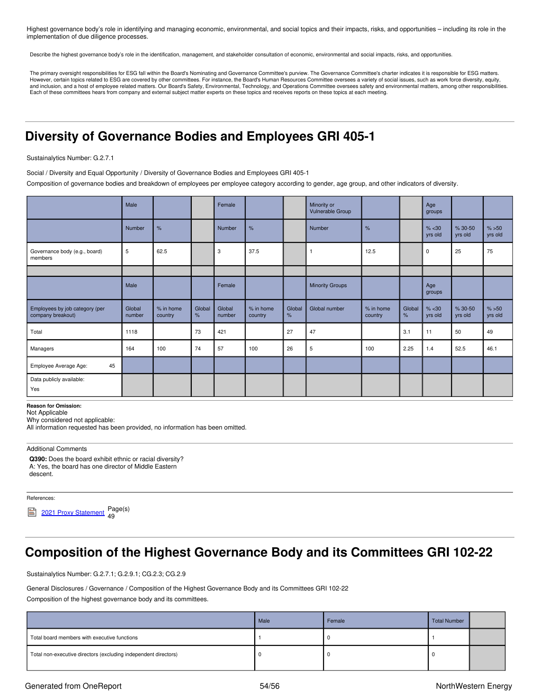Highest governance body's role in identifying and managing economic, environmental, and social topics and their impacts, risks, and opportunities – including its role in the implementation of due diligence processes.

Describe the highest governance body's role in the identification, management, and stakeholder consultation of economic, environmental and social impacts, risks, and opportunities.

The primary oversight responsibilities for ESG fall within the Board's Nominating and Governance Committee's purview. The Governance Committee's charter indicates it is responsible for ESG matters. However, certain topics related to ESG are covered by other committees. For instance, the Board's Human Resources Committee oversees a variety of social issues, such as work force diversity, equity,<br>and inclusion, and a ho Each of these committees hears from company and external subject matter experts on these topics and receives reports on these topics at each meeting.

## <span id="page-53-0"></span>**Diversity of Governance Bodies and Employees GRI 405-1**

Sustainalytics Number: G.2.7.1

Social / Diversity and Equal Opportunity / Diversity of Governance Bodies and Employees GRI 405-1

Composition of governance bodies and breakdown of employees per employee category according to gender, age group, and other indicators of diversity.

|                                                     | Male             |                      |             | Female           |                      |             | Minority or<br>Vulnerable Group |                      |             | Age<br>groups     |                        |                  |
|-----------------------------------------------------|------------------|----------------------|-------------|------------------|----------------------|-------------|---------------------------------|----------------------|-------------|-------------------|------------------------|------------------|
|                                                     | Number           | %                    |             | <b>Number</b>    | %                    |             | Number                          | %                    |             | % < 30<br>yrs old | $% 30 - 50$<br>yrs old | % >50<br>yrs old |
| Governance body (e.g., board)<br>members            | 5                | 62.5                 |             | 3                | 37.5                 |             | $\overline{1}$                  | 12.5                 |             | 0                 | 25                     | 75               |
|                                                     |                  |                      |             |                  |                      |             |                                 |                      |             |                   |                        |                  |
|                                                     | Male             |                      |             | Female           |                      |             | <b>Minority Groups</b>          |                      |             | Age<br>groups     |                        |                  |
| Employees by job category (per<br>company breakout) | Global<br>number | % in home<br>country | Global<br>% | Global<br>number | % in home<br>country | Global<br>% | Global number                   | % in home<br>country | Global<br>% | % < 30<br>yrs old | $% 30 - 50$<br>yrs old | % >50<br>yrs old |
| Total                                               | 1118             |                      | 73          | 421              |                      | 27          | 47                              |                      | 3.1         | 11                | 50                     | 49               |
| Managers                                            | 164              | 100                  | 74          | 57               | 100                  | 26          | 5                               | 100                  | 2.25        | 1.4               | 52.5                   | 46.1             |
| Employee Average Age:<br>45                         |                  |                      |             |                  |                      |             |                                 |                      |             |                   |                        |                  |
| Data publicly available:<br>Yes                     |                  |                      |             |                  |                      |             |                                 |                      |             |                   |                        |                  |

#### **Reason for Omission:**

Not Applicable

Why considered not applicable:

All information requested has been provided, no information has been omitted.

Additional Comments

**Q390:** Does the board exhibit ethnic or racial diversity? A: Yes, the board has one director of Middle Eastern descent.

References:



## <span id="page-53-1"></span>**Composition of the Highest Governance Body and its Committees GRI 102-22**

Sustainalytics Number: G.2.7.1; G.2.9.1; CG.2.3; CG.2.9

General Disclosures / Governance / Composition of the Highest Governance Body and its Committees GRI 102-22

Composition of the highest governance body and its committees.

|                                                                 | Male | Female | <b>Total Number</b> |  |
|-----------------------------------------------------------------|------|--------|---------------------|--|
| Total board members with executive functions                    |      |        |                     |  |
| Total non-executive directors (excluding independent directors) |      |        |                     |  |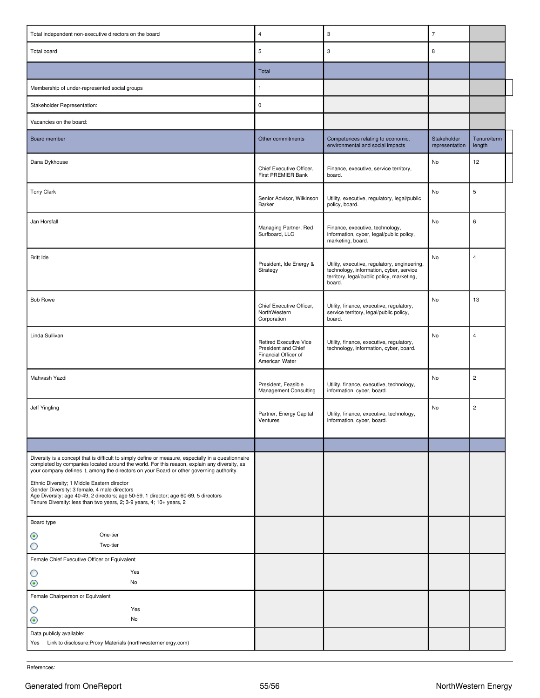| Total independent non-executive directors on the board                                                                                                                                                                                                                                                                                                                                                                                                                                                                                                        | $\sqrt{4}$                                                                                     | 3                                                                                                                                               | $\overline{7}$                |                       |
|---------------------------------------------------------------------------------------------------------------------------------------------------------------------------------------------------------------------------------------------------------------------------------------------------------------------------------------------------------------------------------------------------------------------------------------------------------------------------------------------------------------------------------------------------------------|------------------------------------------------------------------------------------------------|-------------------------------------------------------------------------------------------------------------------------------------------------|-------------------------------|-----------------------|
| Total board                                                                                                                                                                                                                                                                                                                                                                                                                                                                                                                                                   | 5                                                                                              | 3                                                                                                                                               | 8                             |                       |
|                                                                                                                                                                                                                                                                                                                                                                                                                                                                                                                                                               | Total                                                                                          |                                                                                                                                                 |                               |                       |
| Membership of under-represented social groups                                                                                                                                                                                                                                                                                                                                                                                                                                                                                                                 | 1                                                                                              |                                                                                                                                                 |                               |                       |
| Stakeholder Representation:                                                                                                                                                                                                                                                                                                                                                                                                                                                                                                                                   | 0                                                                                              |                                                                                                                                                 |                               |                       |
| Vacancies on the board:                                                                                                                                                                                                                                                                                                                                                                                                                                                                                                                                       |                                                                                                |                                                                                                                                                 |                               |                       |
| Board member                                                                                                                                                                                                                                                                                                                                                                                                                                                                                                                                                  | Other commitments                                                                              | Competences relating to economic,<br>environmental and social impacts                                                                           | Stakeholder<br>representation | Tenure/term<br>length |
| Dana Dykhouse                                                                                                                                                                                                                                                                                                                                                                                                                                                                                                                                                 | Chief Executive Officer,<br>First PREMIER Bank                                                 | Finance, executive, service territory,<br>board.                                                                                                | No                            | 12                    |
| <b>Tony Clark</b>                                                                                                                                                                                                                                                                                                                                                                                                                                                                                                                                             | Senior Advisor, Wilkinson<br>Barker                                                            | Utility, executive, regulatory, legal/public<br>policy, board.                                                                                  | No                            | 5                     |
| Jan Horsfall                                                                                                                                                                                                                                                                                                                                                                                                                                                                                                                                                  | Managing Partner, Red<br>Surfboard, LLC                                                        | Finance, executive, technology,<br>information, cyber, legal/public policy,<br>marketing, board.                                                | No                            | 6                     |
| Britt Ide                                                                                                                                                                                                                                                                                                                                                                                                                                                                                                                                                     | President, Ide Energy &<br>Strategy                                                            | Utility, executive, regulatory, engineering,<br>technology, information, cyber, service<br>territory, legal/public policy, marketing,<br>board. | No                            | $\overline{4}$        |
| <b>Bob Rowe</b>                                                                                                                                                                                                                                                                                                                                                                                                                                                                                                                                               | Chief Executive Officer,<br>NorthWestern<br>Corporation                                        | Utility, finance, executive, regulatory,<br>service territory, legal/public policy,<br>board.                                                   | No                            | 13                    |
| Linda Sullivan                                                                                                                                                                                                                                                                                                                                                                                                                                                                                                                                                | <b>Retired Executive Vice</b><br>President and Chief<br>Financial Officer of<br>American Water | Utility, finance, executive, regulatory,<br>technology, information, cyber, board.                                                              | No                            | $\overline{4}$        |
| Mahvash Yazdi                                                                                                                                                                                                                                                                                                                                                                                                                                                                                                                                                 | President, Feasible<br>Management Consulting                                                   | Utility, finance, executive, technology,<br>information, cyber, board.                                                                          | No                            | $\overline{c}$        |
| Jeff Yingling                                                                                                                                                                                                                                                                                                                                                                                                                                                                                                                                                 | Partner, Energy Capital<br>Ventures                                                            | Utility, finance, executive, technology,<br>information, cyber, board.                                                                          | No                            | $\overline{c}$        |
|                                                                                                                                                                                                                                                                                                                                                                                                                                                                                                                                                               |                                                                                                |                                                                                                                                                 |                               |                       |
| Diversity is a concept that is difficult to simply define or measure, especially in a questionnaire<br>completed by companies located around the world. For this reason, explain any diversity, as<br>your company defines it, among the directors on your Board or other governing authority.<br>Ethnic Diversity; 1 Middle Eastern director<br>Gender Diversity: 3 female, 4 male directors<br>Age Diversity: age 40-49, 2 directors; age 50-59, 1 director; age 60-69, 5 directors<br>Tenure Diversity: less than two years, 2; 3-9 years, 4; 10+ years, 2 |                                                                                                |                                                                                                                                                 |                               |                       |
| Board type<br>One-tier<br>◉<br>О<br>Two-tier                                                                                                                                                                                                                                                                                                                                                                                                                                                                                                                  |                                                                                                |                                                                                                                                                 |                               |                       |
| Female Chief Executive Officer or Equivalent                                                                                                                                                                                                                                                                                                                                                                                                                                                                                                                  |                                                                                                |                                                                                                                                                 |                               |                       |
| Yes<br>O<br>$_{\odot}$<br>No                                                                                                                                                                                                                                                                                                                                                                                                                                                                                                                                  |                                                                                                |                                                                                                                                                 |                               |                       |
| Female Chairperson or Equivalent                                                                                                                                                                                                                                                                                                                                                                                                                                                                                                                              |                                                                                                |                                                                                                                                                 |                               |                       |
| Yes<br>O<br>No<br>$\circledcirc$                                                                                                                                                                                                                                                                                                                                                                                                                                                                                                                              |                                                                                                |                                                                                                                                                 |                               |                       |
| Data publicly available:<br>Yes Link to disclosure: Proxy Materials (northwesternenergy.com)                                                                                                                                                                                                                                                                                                                                                                                                                                                                  |                                                                                                |                                                                                                                                                 |                               |                       |

References: